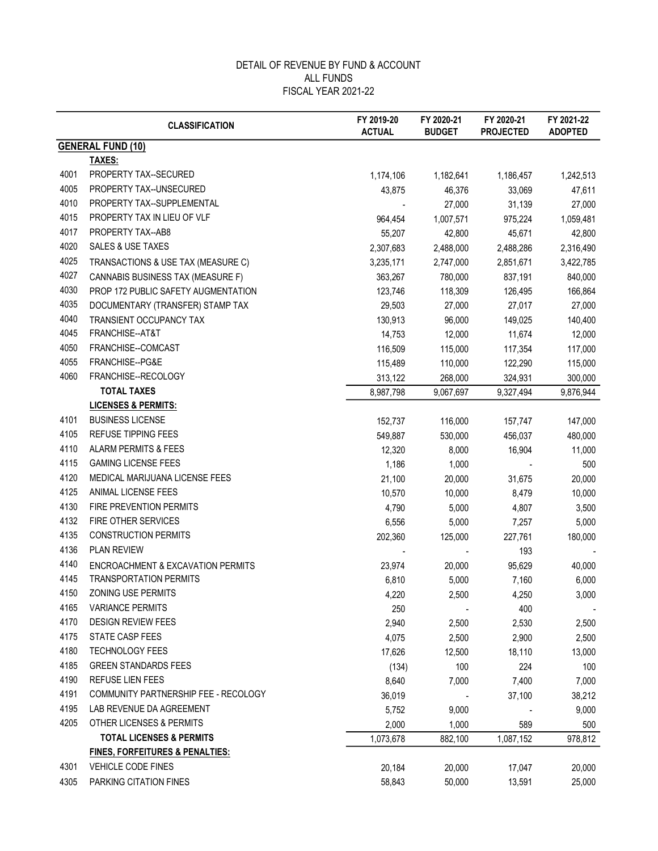|      | <b>CLASSIFICATION</b>                      | FY 2019-20<br><b>ACTUAL</b> | FY 2020-21<br><b>BUDGET</b> | FY 2020-21<br><b>PROJECTED</b> | FY 2021-22<br><b>ADOPTED</b> |
|------|--------------------------------------------|-----------------------------|-----------------------------|--------------------------------|------------------------------|
|      | <b>GENERAL FUND (10)</b>                   |                             |                             |                                |                              |
|      | TAXES:                                     |                             |                             |                                |                              |
| 4001 | PROPERTY TAX--SECURED                      | 1,174,106                   | 1,182,641                   | 1,186,457                      | 1,242,513                    |
| 4005 | PROPERTY TAX--UNSECURED                    | 43,875                      | 46,376                      | 33,069                         | 47,611                       |
| 4010 | PROPERTY TAX--SUPPLEMENTAL                 |                             | 27,000                      | 31,139                         | 27,000                       |
| 4015 | PROPERTY TAX IN LIEU OF VLF                | 964,454                     | 1,007,571                   | 975,224                        | 1,059,481                    |
| 4017 | PROPERTY TAX--AB8                          | 55,207                      | 42,800                      | 45,671                         | 42,800                       |
| 4020 | SALES & USE TAXES                          | 2,307,683                   | 2,488,000                   | 2,488,286                      | 2,316,490                    |
| 4025 | TRANSACTIONS & USE TAX (MEASURE C)         | 3,235,171                   | 2,747,000                   | 2,851,671                      | 3,422,785                    |
| 4027 | CANNABIS BUSINESS TAX (MEASURE F)          | 363,267                     | 780,000                     | 837,191                        | 840,000                      |
| 4030 | PROP 172 PUBLIC SAFETY AUGMENTATION        | 123,746                     | 118,309                     | 126,495                        | 166,864                      |
| 4035 | DOCUMENTARY (TRANSFER) STAMP TAX           | 29,503                      | 27,000                      | 27,017                         | 27,000                       |
| 4040 | TRANSIENT OCCUPANCY TAX                    | 130,913                     | 96,000                      | 149,025                        | 140,400                      |
| 4045 | FRANCHISE--AT&T                            | 14,753                      | 12,000                      | 11,674                         | 12,000                       |
| 4050 | FRANCHISE--COMCAST                         | 116,509                     | 115,000                     | 117,354                        | 117,000                      |
| 4055 | FRANCHISE--PG&E                            | 115,489                     | 110,000                     | 122,290                        | 115,000                      |
| 4060 | FRANCHISE--RECOLOGY                        | 313,122                     | 268,000                     | 324,931                        | 300,000                      |
|      | <b>TOTAL TAXES</b>                         | 8,987,798                   | 9,067,697                   | 9,327,494                      | 9,876,944                    |
|      | <b>LICENSES &amp; PERMITS:</b>             |                             |                             |                                |                              |
| 4101 | <b>BUSINESS LICENSE</b>                    | 152,737                     | 116,000                     | 157,747                        | 147,000                      |
| 4105 | REFUSE TIPPING FEES                        | 549,887                     | 530,000                     | 456,037                        | 480,000                      |
| 4110 | <b>ALARM PERMITS &amp; FEES</b>            | 12,320                      | 8,000                       | 16,904                         | 11,000                       |
| 4115 | <b>GAMING LICENSE FEES</b>                 | 1,186                       | 1,000                       |                                | 500                          |
| 4120 | MEDICAL MARIJUANA LICENSE FEES             | 21,100                      | 20,000                      | 31,675                         | 20,000                       |
| 4125 | ANIMAL LICENSE FEES                        | 10,570                      | 10,000                      | 8,479                          | 10,000                       |
| 4130 | FIRE PREVENTION PERMITS                    | 4,790                       | 5,000                       | 4,807                          | 3,500                        |
| 4132 | FIRE OTHER SERVICES                        | 6,556                       | 5,000                       | 7,257                          | 5,000                        |
| 4135 | <b>CONSTRUCTION PERMITS</b>                | 202,360                     | 125,000                     | 227,761                        | 180,000                      |
| 4136 | <b>PLAN REVIEW</b>                         |                             |                             | 193                            |                              |
| 4140 | ENCROACHMENT & EXCAVATION PERMITS          | 23,974                      | 20,000                      | 95,629                         | 40,000                       |
| 4145 | <b>TRANSPORTATION PERMITS</b>              | 6,810                       | 5,000                       | 7,160                          | 6,000                        |
| 4150 | ZONING USE PERMITS                         | 4,220                       | 2,500                       | 4,250                          | 3,000                        |
| 4165 | <b>VARIANCE PERMITS</b>                    | 250                         |                             | 400                            |                              |
| 4170 | <b>DESIGN REVIEW FEES</b>                  | 2,940                       | 2,500                       | 2,530                          | 2,500                        |
| 4175 | <b>STATE CASP FEES</b>                     | 4,075                       | 2,500                       | 2,900                          | 2,500                        |
| 4180 | <b>TECHNOLOGY FEES</b>                     | 17,626                      | 12,500                      | 18,110                         | 13,000                       |
| 4185 | <b>GREEN STANDARDS FEES</b>                | (134)                       | 100                         | 224                            | 100                          |
| 4190 | REFUSE LIEN FEES                           | 8,640                       | 7,000                       | 7,400                          | 7,000                        |
| 4191 | COMMUNITY PARTNERSHIP FEE - RECOLOGY       | 36,019                      |                             | 37,100                         | 38,212                       |
| 4195 | LAB REVENUE DA AGREEMENT                   | 5,752                       | 9,000                       |                                | 9,000                        |
| 4205 | OTHER LICENSES & PERMITS                   | 2,000                       | 1,000                       | 589                            | 500                          |
|      | <b>TOTAL LICENSES &amp; PERMITS</b>        | 1,073,678                   | 882,100                     | 1,087,152                      | 978,812                      |
|      | <b>FINES, FORFEITURES &amp; PENALTIES:</b> |                             |                             |                                |                              |
| 4301 | VEHICLE CODE FINES                         | 20,184                      | 20,000                      | 17,047                         | 20,000                       |
| 4305 | PARKING CITATION FINES                     | 58,843                      | 50,000                      | 13,591                         | 25,000                       |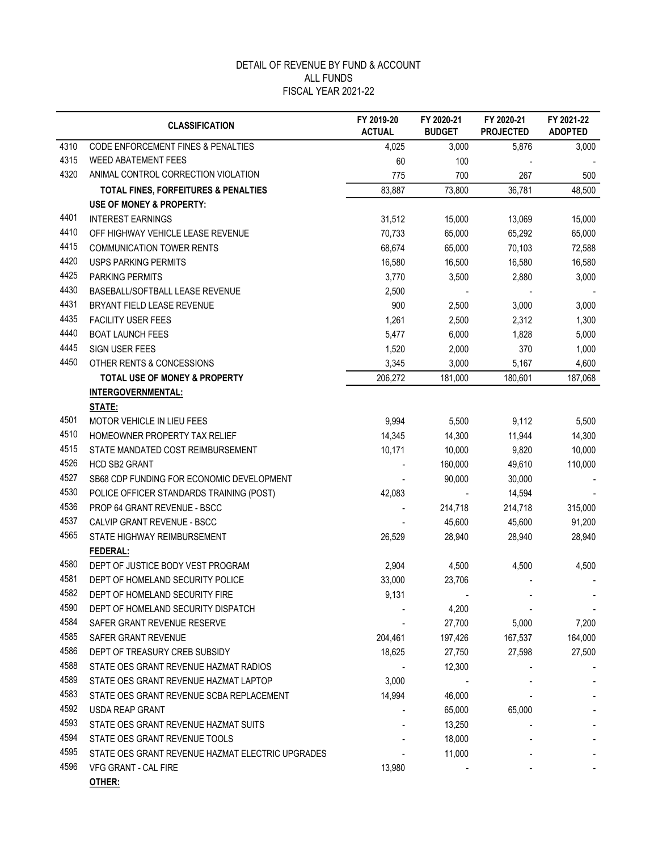|      | <b>CLASSIFICATION</b>                            | FY 2019-20<br><b>ACTUAL</b> | FY 2020-21<br><b>BUDGET</b> | FY 2020-21<br><b>PROJECTED</b> | FY 2021-22<br><b>ADOPTED</b> |
|------|--------------------------------------------------|-----------------------------|-----------------------------|--------------------------------|------------------------------|
| 4310 | CODE ENFORCEMENT FINES & PENALTIES               | 4,025                       | 3,000                       | 5,876                          | 3,000                        |
| 4315 | <b>WEED ABATEMENT FEES</b>                       | 60                          | 100                         |                                |                              |
| 4320 | ANIMAL CONTROL CORRECTION VIOLATION              | 775                         | 700                         | 267                            | 500                          |
|      | TOTAL FINES, FORFEITURES & PENALTIES             | 83,887                      | 73,800                      | 36,781                         | 48,500                       |
|      | <b>USE OF MONEY &amp; PROPERTY:</b>              |                             |                             |                                |                              |
| 4401 | <b>INTEREST EARNINGS</b>                         | 31,512                      | 15,000                      | 13,069                         | 15,000                       |
| 4410 | OFF HIGHWAY VEHICLE LEASE REVENUE                | 70,733                      | 65,000                      | 65,292                         | 65,000                       |
| 4415 | <b>COMMUNICATION TOWER RENTS</b>                 | 68,674                      | 65,000                      | 70,103                         | 72,588                       |
| 4420 | <b>USPS PARKING PERMITS</b>                      | 16,580                      | 16,500                      | 16,580                         | 16,580                       |
| 4425 | PARKING PERMITS                                  | 3,770                       | 3,500                       | 2,880                          | 3,000                        |
| 4430 | BASEBALL/SOFTBALL LEASE REVENUE                  | 2,500                       |                             |                                |                              |
| 4431 | BRYANT FIELD LEASE REVENUE                       | 900                         | 2,500                       | 3,000                          | 3,000                        |
| 4435 | <b>FACILITY USER FEES</b>                        | 1,261                       | 2,500                       | 2,312                          | 1,300                        |
| 4440 | <b>BOAT LAUNCH FEES</b>                          | 5,477                       | 6,000                       | 1,828                          | 5,000                        |
| 4445 | SIGN USER FEES                                   | 1,520                       | 2,000                       | 370                            | 1,000                        |
| 4450 | OTHER RENTS & CONCESSIONS                        | 3,345                       | 3,000                       | 5,167                          | 4,600                        |
|      | <b>TOTAL USE OF MONEY &amp; PROPERTY</b>         | 206,272                     | 181,000                     | 180,601                        | 187,068                      |
|      | INTERGOVERNMENTAL:                               |                             |                             |                                |                              |
|      | STATE:                                           |                             |                             |                                |                              |
| 4501 | MOTOR VEHICLE IN LIEU FEES                       | 9,994                       | 5,500                       | 9,112                          | 5,500                        |
| 4510 | HOMEOWNER PROPERTY TAX RELIEF                    | 14,345                      | 14,300                      | 11,944                         | 14,300                       |
| 4515 | STATE MANDATED COST REIMBURSEMENT                | 10,171                      | 10,000                      | 9,820                          | 10,000                       |
| 4526 | <b>HCD SB2 GRANT</b>                             |                             | 160,000                     | 49,610                         | 110,000                      |
| 4527 | SB68 CDP FUNDING FOR ECONOMIC DEVELOPMENT        |                             | 90,000                      | 30,000                         |                              |
| 4530 | POLICE OFFICER STANDARDS TRAINING (POST)         | 42,083                      | $\sim$                      | 14,594                         |                              |
| 4536 | <b>PROP 64 GRANT REVENUE - BSCC</b>              |                             | 214,718                     | 214,718                        | 315,000                      |
| 4537 | CALVIP GRANT REVENUE - BSCC                      |                             | 45,600                      | 45,600                         | 91,200                       |
| 4565 | STATE HIGHWAY REIMBURSEMENT                      | 26,529                      | 28,940                      | 28,940                         | 28,940                       |
|      | FEDERAL:                                         |                             |                             |                                |                              |
| 4580 | DEPT OF JUSTICE BODY VEST PROGRAM                | 2,904                       | 4,500                       | 4,500                          | 4,500                        |
| 4581 | DEPT OF HOMELAND SECURITY POLICE                 | 33,000                      | 23,706                      |                                |                              |
| 4582 | DEPT OF HOMELAND SECURITY FIRE                   | 9,131                       |                             |                                |                              |
| 4590 | DEPT OF HOMELAND SECURITY DISPATCH               |                             | 4,200                       |                                |                              |
| 4584 | SAFER GRANT REVENUE RESERVE                      |                             | 27,700                      | 5,000                          | 7,200                        |
| 4585 | SAFER GRANT REVENUE                              | 204,461                     | 197,426                     | 167,537                        | 164,000                      |
| 4586 | DEPT OF TREASURY CREB SUBSIDY                    | 18,625                      | 27,750                      | 27,598                         | 27,500                       |
| 4588 | STATE OES GRANT REVENUE HAZMAT RADIOS            |                             | 12,300                      |                                |                              |
| 4589 | STATE OES GRANT REVENUE HAZMAT LAPTOP            | 3,000                       |                             |                                |                              |
| 4583 | STATE OES GRANT REVENUE SCBA REPLACEMENT         | 14,994                      | 46,000                      |                                |                              |
| 4592 | USDA REAP GRANT                                  |                             | 65,000                      | 65,000                         |                              |
| 4593 | STATE OES GRANT REVENUE HAZMAT SUITS             |                             | 13,250                      |                                |                              |
| 4594 | STATE OES GRANT REVENUE TOOLS                    |                             | 18,000                      |                                |                              |
| 4595 | STATE OES GRANT REVENUE HAZMAT ELECTRIC UPGRADES |                             | 11,000                      |                                |                              |
| 4596 | VFG GRANT - CAL FIRE                             | 13,980                      |                             |                                |                              |
|      | OTUED.                                           |                             |                             |                                |                              |

OTHER: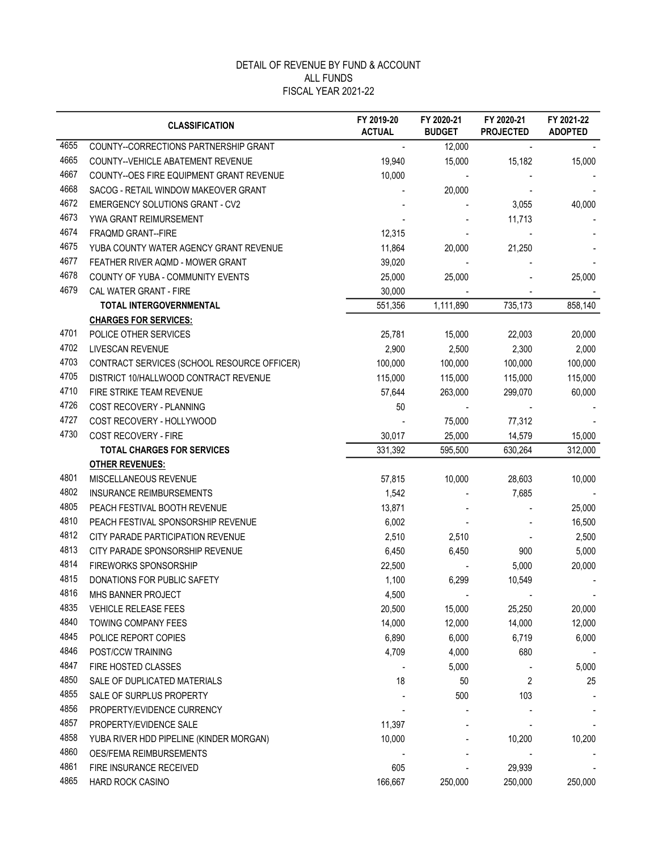|      | <b>CLASSIFICATION</b>                       | FY 2019-20<br><b>ACTUAL</b> | FY 2020-21<br><b>BUDGET</b> | FY 2020-21<br><b>PROJECTED</b> | FY 2021-22<br><b>ADOPTED</b> |
|------|---------------------------------------------|-----------------------------|-----------------------------|--------------------------------|------------------------------|
| 4655 | COUNTY--CORRECTIONS PARTNERSHIP GRANT       |                             | 12,000                      |                                |                              |
| 4665 | COUNTY--VEHICLE ABATEMENT REVENUE           | 19,940                      | 15,000                      | 15,182                         | 15,000                       |
| 4667 | COUNTY--OES FIRE EQUIPMENT GRANT REVENUE    | 10,000                      |                             |                                |                              |
| 4668 | SACOG - RETAIL WINDOW MAKEOVER GRANT        |                             | 20,000                      |                                |                              |
| 4672 | EMERGENCY SOLUTIONS GRANT - CV2             |                             |                             | 3,055                          | 40,000                       |
| 4673 | YWA GRANT REIMURSEMENT                      |                             |                             | 11,713                         |                              |
| 4674 | FRAQMD GRANT--FIRE                          | 12,315                      |                             |                                |                              |
| 4675 | YUBA COUNTY WATER AGENCY GRANT REVENUE      | 11,864                      | 20,000                      | 21,250                         |                              |
| 4677 | FEATHER RIVER AQMD - MOWER GRANT            | 39,020                      |                             |                                |                              |
| 4678 | COUNTY OF YUBA - COMMUNITY EVENTS           | 25,000                      | 25,000                      |                                | 25,000                       |
| 4679 | CAL WATER GRANT - FIRE                      | 30,000                      |                             |                                |                              |
|      | TOTAL INTERGOVERNMENTAL                     | 551,356                     | 1,111,890                   | 735,173                        | 858,140                      |
|      | <b>CHARGES FOR SERVICES:</b>                |                             |                             |                                |                              |
| 4701 | POLICE OTHER SERVICES                       | 25,781                      | 15,000                      | 22,003                         | 20,000                       |
| 4702 | LIVESCAN REVENUE                            | 2,900                       | 2,500                       | 2,300                          | 2,000                        |
| 4703 | CONTRACT SERVICES (SCHOOL RESOURCE OFFICER) | 100,000                     | 100,000                     | 100,000                        | 100,000                      |
| 4705 | DISTRICT 10/HALLWOOD CONTRACT REVENUE       | 115,000                     | 115,000                     | 115,000                        | 115,000                      |
| 4710 | FIRE STRIKE TEAM REVENUE                    | 57,644                      | 263,000                     | 299,070                        | 60,000                       |
| 4726 | COST RECOVERY - PLANNING                    | 50                          |                             |                                |                              |
| 4727 | COST RECOVERY - HOLLYWOOD                   |                             | 75,000                      | 77,312                         |                              |
| 4730 | COST RECOVERY - FIRE                        | 30,017                      | 25,000                      | 14,579                         | 15,000                       |
|      | <b>TOTAL CHARGES FOR SERVICES</b>           | 331,392                     | 595,500                     | 630,264                        | 312,000                      |
|      | <b>OTHER REVENUES:</b>                      |                             |                             |                                |                              |
| 4801 | MISCELLANEOUS REVENUE                       | 57,815                      | 10,000                      | 28,603                         | 10,000                       |
| 4802 | <b>INSURANCE REIMBURSEMENTS</b>             | 1,542                       |                             | 7,685                          |                              |
| 4805 | PEACH FESTIVAL BOOTH REVENUE                | 13,871                      |                             |                                | 25,000                       |
| 4810 | PEACH FESTIVAL SPONSORSHIP REVENUE          | 6,002                       |                             |                                | 16,500                       |
| 4812 | CITY PARADE PARTICIPATION REVENUE           | 2,510                       | 2,510                       |                                | 2,500                        |
| 4813 | CITY PARADE SPONSORSHIP REVENUE             | 6,450                       | 6,450                       | 900                            | 5,000                        |
| 4814 | FIREWORKS SPONSORSHIP                       | 22,500                      |                             | 5,000                          | 20,000                       |
| 4815 | DONATIONS FOR PUBLIC SAFETY                 | 1,100                       | 6,299                       | 10,549                         |                              |
| 4816 | MHS BANNER PROJECT                          | 4,500                       |                             |                                |                              |
| 4835 | <b>VEHICLE RELEASE FEES</b>                 | 20,500                      | 15,000                      | 25,250                         | 20,000                       |
| 4840 | TOWING COMPANY FEES                         | 14,000                      | 12,000                      | 14,000                         | 12,000                       |
| 4845 | POLICE REPORT COPIES                        | 6,890                       | 6,000                       | 6,719                          | 6,000                        |
| 4846 | POST/CCW TRAINING                           | 4,709                       | 4,000                       | 680                            |                              |
| 4847 | FIRE HOSTED CLASSES                         |                             | 5,000                       |                                | 5,000                        |
| 4850 | SALE OF DUPLICATED MATERIALS                | 18                          | 50                          | 2                              | 25                           |
| 4855 | SALE OF SURPLUS PROPERTY                    |                             | 500                         | 103                            |                              |
| 4856 | PROPERTY/EVIDENCE CURRENCY                  |                             |                             |                                |                              |
| 4857 | PROPERTY/EVIDENCE SALE                      | 11,397                      |                             |                                |                              |
| 4858 | YUBA RIVER HDD PIPELINE (KINDER MORGAN)     | 10,000                      |                             | 10,200                         | 10,200                       |
| 4860 | OES/FEMA REIMBURSEMENTS                     |                             |                             |                                |                              |
| 4861 | FIRE INSURANCE RECEIVED                     | 605                         |                             | 29,939                         |                              |
| 4865 | HARD ROCK CASINO                            | 166,667                     | 250,000                     | 250,000                        | 250,000                      |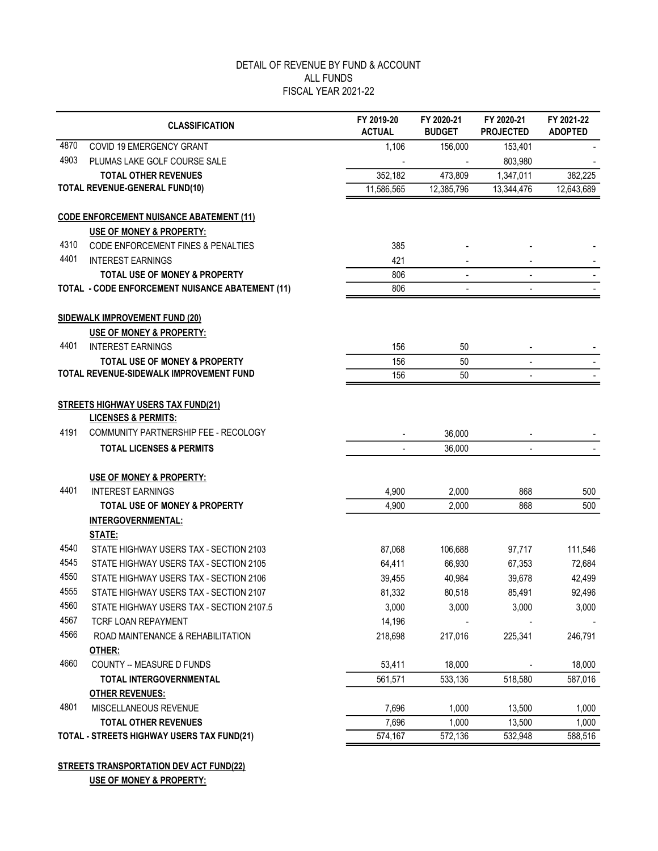|      | <b>CLASSIFICATION</b>                                                  | FY 2019-20<br><b>ACTUAL</b> | FY 2020-21<br><b>BUDGET</b> | FY 2020-21<br><b>PROJECTED</b> | FY 2021-22<br><b>ADOPTED</b> |
|------|------------------------------------------------------------------------|-----------------------------|-----------------------------|--------------------------------|------------------------------|
| 4870 | COVID 19 EMERGENCY GRANT                                               | 1,106                       | 156,000                     | 153,401                        |                              |
| 4903 | PLUMAS LAKE GOLF COURSE SALE                                           |                             |                             | 803,980                        |                              |
|      | <b>TOTAL OTHER REVENUES</b>                                            | 352,182                     | 473,809                     | 1,347,011                      | 382,225                      |
|      | <b>TOTAL REVENUE-GENERAL FUND(10)</b>                                  | 11,586,565                  | 12,385,796                  | 13,344,476                     | 12,643,689                   |
|      | <b>CODE ENFORCEMENT NUISANCE ABATEMENT (11)</b>                        |                             |                             |                                |                              |
|      | USE OF MONEY & PROPERTY:                                               |                             |                             |                                |                              |
| 4310 | <b>CODE ENFORCEMENT FINES &amp; PENALTIES</b>                          | 385                         |                             |                                |                              |
| 4401 | <b>INTEREST EARNINGS</b>                                               | 421                         |                             |                                |                              |
|      | <b>TOTAL USE OF MONEY &amp; PROPERTY</b>                               | 806                         | $\overline{a}$              | ٠                              |                              |
|      | <b>TOTAL - CODE ENFORCEMENT NUISANCE ABATEMENT (11)</b>                | 806                         |                             |                                |                              |
|      | <b>SIDEWALK IMPROVEMENT FUND (20)</b>                                  |                             |                             |                                |                              |
|      | <b>USE OF MONEY &amp; PROPERTY:</b>                                    |                             |                             |                                |                              |
| 4401 | <b>INTEREST EARNINGS</b>                                               | 156                         | 50                          |                                |                              |
|      | <b>TOTAL USE OF MONEY &amp; PROPERTY</b>                               | 156                         | 50                          | $\overline{\phantom{0}}$       |                              |
|      | TOTAL REVENUE-SIDEWALK IMPROVEMENT FUND                                | 156                         | 50                          |                                |                              |
|      |                                                                        |                             |                             |                                |                              |
|      | <b>STREETS HIGHWAY USERS TAX FUND(21)</b>                              |                             |                             |                                |                              |
| 4191 | <b>LICENSES &amp; PERMITS:</b><br>COMMUNITY PARTNERSHIP FEE - RECOLOGY |                             |                             |                                |                              |
|      |                                                                        |                             | 36,000                      |                                |                              |
|      | <b>TOTAL LICENSES &amp; PERMITS</b>                                    |                             | 36,000                      | $\overline{\phantom{a}}$       |                              |
|      | USE OF MONEY & PROPERTY:                                               |                             |                             |                                |                              |
| 4401 | <b>INTEREST EARNINGS</b>                                               | 4,900                       | 2,000                       | 868                            | 500                          |
|      | <b>TOTAL USE OF MONEY &amp; PROPERTY</b>                               | 4,900                       | 2,000                       | 868                            | 500                          |
|      | <b>INTERGOVERNMENTAL:</b>                                              |                             |                             |                                |                              |
|      | <b>STATE:</b>                                                          |                             |                             |                                |                              |
| 4540 | STATE HIGHWAY USERS TAX - SECTION 2103                                 | 87,068                      | 106,688                     | 97,717                         | 111,546                      |
| 4545 | STATE HIGHWAY USERS TAX - SECTION 2105                                 | 64,411                      | 66,930                      | 67,353                         | 72,684                       |
| 4550 | STATE HIGHWAY USERS TAX - SECTION 2106                                 | 39,455                      | 40,984                      | 39,678                         | 42,499                       |
| 4555 | STATE HIGHWAY USERS TAX - SECTION 2107                                 | 81,332                      | 80,518                      | 85,491                         | 92,496                       |
| 4560 | STATE HIGHWAY USERS TAX - SECTION 2107.5                               | 3,000                       | 3,000                       | 3,000                          | 3,000                        |
| 4567 | TCRF LOAN REPAYMENT                                                    | 14,196                      |                             |                                |                              |
| 4566 | ROAD MAINTENANCE & REHABILITATION                                      | 218,698                     | 217,016                     | 225,341                        | 246,791                      |
|      | OTHER:                                                                 |                             |                             |                                |                              |
| 4660 | COUNTY -- MEASURE D FUNDS                                              | 53,411                      | 18,000                      |                                | 18,000                       |
|      | <b>TOTAL INTERGOVERNMENTAL</b>                                         | 561,571                     | 533,136                     | 518,580                        | 587,016                      |
|      | <b>OTHER REVENUES:</b>                                                 |                             |                             |                                |                              |
| 4801 | MISCELLANEOUS REVENUE                                                  | 7,696                       | 1,000                       | 13,500                         | 1,000                        |
|      | <b>TOTAL OTHER REVENUES</b>                                            | 7,696                       | 1,000                       | 13,500                         | 1,000                        |
|      | TOTAL - STREETS HIGHWAY USERS TAX FUND(21)                             | 574,167                     | 572,136                     | 532,948                        | 588,516                      |

#### STREETS TRANSPORTATION DEV ACT FUND(22) USE OF MONEY & PROPERTY: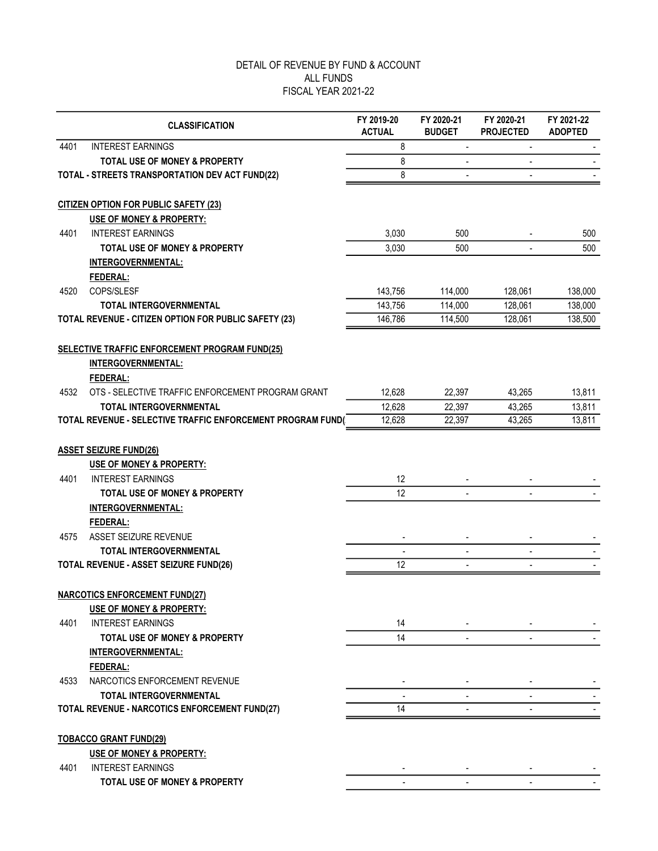|      | <b>CLASSIFICATION</b>                                                                            | FY 2019-20<br><b>ACTUAL</b> | FY 2020-21<br><b>BUDGET</b> | FY 2020-21<br><b>PROJECTED</b> | FY 2021-22<br><b>ADOPTED</b> |
|------|--------------------------------------------------------------------------------------------------|-----------------------------|-----------------------------|--------------------------------|------------------------------|
| 4401 | <b>INTEREST EARNINGS</b>                                                                         | 8                           | $\overline{\phantom{a}}$    | $\overline{a}$                 |                              |
|      | <b>TOTAL USE OF MONEY &amp; PROPERTY</b>                                                         | 8                           |                             |                                |                              |
|      | TOTAL - STREETS TRANSPORTATION DEV ACT FUND(22)                                                  | 8                           |                             |                                |                              |
|      | <b>CITIZEN OPTION FOR PUBLIC SAFETY (23)</b>                                                     |                             |                             |                                |                              |
|      | USE OF MONEY & PROPERTY:                                                                         |                             |                             |                                |                              |
| 4401 | <b>INTEREST EARNINGS</b>                                                                         | 3,030                       | 500                         |                                | 500                          |
|      | <b>TOTAL USE OF MONEY &amp; PROPERTY</b>                                                         | 3,030                       | 500                         |                                | 500                          |
|      | INTERGOVERNMENTAL:                                                                               |                             |                             |                                |                              |
|      | FEDERAL:                                                                                         |                             |                             |                                |                              |
| 4520 | COPS/SLESF                                                                                       | 143,756                     | 114,000                     | 128,061                        | 138,000                      |
|      | <b>TOTAL INTERGOVERNMENTAL</b>                                                                   | 143,756                     | 114,000                     | 128,061                        | 138,000                      |
|      | TOTAL REVENUE - CITIZEN OPTION FOR PUBLIC SAFETY (23)                                            | 146,786                     | 114,500                     | 128,061                        | 138,500                      |
|      | SELECTIVE TRAFFIC ENFORCEMENT PROGRAM FUND(25)<br><b>INTERGOVERNMENTAL:</b><br>FEDERAL:          |                             |                             |                                |                              |
| 4532 | OTS - SELECTIVE TRAFFIC ENFORCEMENT PROGRAM GRANT                                                | 12,628                      | 22,397                      | 43,265                         | 13,811                       |
|      | <b>TOTAL INTERGOVERNMENTAL</b>                                                                   | 12,628                      | 22,397                      | 43,265                         | 13,811                       |
|      | TOTAL REVENUE - SELECTIVE TRAFFIC ENFORCEMENT PROGRAM FUND(                                      | 12,628                      | 22,397                      | 43,265                         | 13,811                       |
| 4401 | <b>ASSET SEIZURE FUND(26)</b><br><b>USE OF MONEY &amp; PROPERTY:</b><br><b>INTEREST EARNINGS</b> | 12                          |                             |                                |                              |
|      | <b>TOTAL USE OF MONEY &amp; PROPERTY</b>                                                         | 12                          |                             |                                |                              |
|      | <b>INTERGOVERNMENTAL:</b>                                                                        |                             |                             |                                |                              |
|      | FEDERAL:                                                                                         |                             |                             |                                |                              |
| 4575 | ASSET SEIZURE REVENUE                                                                            |                             |                             |                                |                              |
|      | <b>TOTAL INTERGOVERNMENTAL</b>                                                                   |                             | $\blacksquare$              | $\overline{\phantom{a}}$       |                              |
|      | TOTAL REVENUE - ASSET SEIZURE FUND(26)                                                           | 12                          | $\blacksquare$              |                                |                              |
|      | <b>NARCOTICS ENFORCEMENT FUND(27)</b><br>USE OF MONEY & PROPERTY:                                |                             |                             |                                |                              |
| 4401 | <b>INTEREST EARNINGS</b>                                                                         | 14                          |                             |                                |                              |
|      | <b>TOTAL USE OF MONEY &amp; PROPERTY</b>                                                         | 14                          |                             |                                |                              |
|      | <b>INTERGOVERNMENTAL:</b>                                                                        |                             |                             |                                |                              |
|      | FEDERAL:                                                                                         |                             |                             |                                |                              |
| 4533 | NARCOTICS ENFORCEMENT REVENUE                                                                    |                             |                             |                                |                              |
|      | <b>TOTAL INTERGOVERNMENTAL</b>                                                                   |                             |                             |                                |                              |
|      | TOTAL REVENUE - NARCOTICS ENFORCEMENT FUND(27)                                                   | 14                          |                             |                                |                              |
|      | <b>TOBACCO GRANT FUND(29)</b>                                                                    |                             |                             |                                |                              |
|      | <b>USE OF MONEY &amp; PROPERTY:</b>                                                              |                             |                             |                                |                              |
| 4401 | <b>INTEREST EARNINGS</b>                                                                         |                             |                             |                                |                              |
|      | TOTAL USE OF MONEY & PROPERTY                                                                    |                             |                             |                                |                              |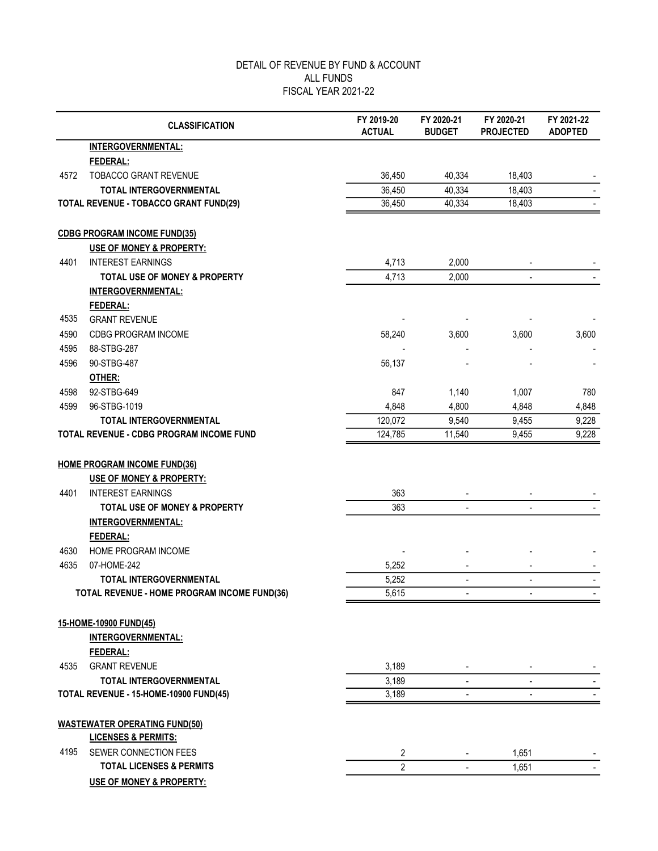|      | <b>CLASSIFICATION</b>                         | FY 2019-20<br><b>ACTUAL</b> | FY 2020-21<br><b>BUDGET</b> | FY 2020-21<br><b>PROJECTED</b> | FY 2021-22<br><b>ADOPTED</b> |
|------|-----------------------------------------------|-----------------------------|-----------------------------|--------------------------------|------------------------------|
|      | INTERGOVERNMENTAL:                            |                             |                             |                                |                              |
|      | FEDERAL:                                      |                             |                             |                                |                              |
| 4572 | <b>TOBACCO GRANT REVENUE</b>                  | 36,450                      | 40,334                      | 18,403                         |                              |
|      | <b>TOTAL INTERGOVERNMENTAL</b>                | 36,450                      | 40,334                      | 18,403                         |                              |
|      | <b>TOTAL REVENUE - TOBACCO GRANT FUND(29)</b> | 36,450                      | 40,334                      | 18,403                         |                              |
|      | <b>CDBG PROGRAM INCOME FUND(35)</b>           |                             |                             |                                |                              |
|      | <b>USE OF MONEY &amp; PROPERTY:</b>           |                             |                             |                                |                              |
| 4401 | <b>INTEREST EARNINGS</b>                      | 4,713                       | 2,000                       |                                |                              |
|      | <b>TOTAL USE OF MONEY &amp; PROPERTY</b>      | 4,713                       | 2,000                       |                                |                              |
|      | <b>INTERGOVERNMENTAL:</b>                     |                             |                             |                                |                              |
|      | FEDERAL:                                      |                             |                             |                                |                              |
| 4535 | <b>GRANT REVENUE</b>                          |                             |                             |                                |                              |
| 4590 | CDBG PROGRAM INCOME                           | 58,240                      | 3,600                       | 3,600                          | 3,600                        |
| 4595 | 88-STBG-287                                   |                             |                             |                                |                              |
| 4596 | 90-STBG-487                                   | 56,137                      |                             |                                |                              |
|      | OTHER:                                        |                             |                             |                                |                              |
| 4598 | 92-STBG-649                                   | 847                         | 1,140                       | 1,007                          | 780                          |
| 4599 | 96-STBG-1019                                  | 4,848                       | 4,800                       | 4,848                          | 4,848                        |
|      | <b>TOTAL INTERGOVERNMENTAL</b>                | 120,072                     | 9,540                       | 9,455                          | 9,228                        |
|      | TOTAL REVENUE - CDBG PROGRAM INCOME FUND      | 124,785                     | 11,540                      | 9,455                          | 9,228                        |
|      | <b>HOME PROGRAM INCOME FUND(36)</b>           |                             |                             |                                |                              |
|      | USE OF MONEY & PROPERTY:                      |                             |                             |                                |                              |
| 4401 | <b>INTEREST EARNINGS</b>                      | 363                         |                             |                                |                              |
|      | <b>TOTAL USE OF MONEY &amp; PROPERTY</b>      | 363                         | $\overline{\phantom{a}}$    | $\blacksquare$                 |                              |
|      | <b>INTERGOVERNMENTAL:</b>                     |                             |                             |                                |                              |
|      | FEDERAL:                                      |                             |                             |                                |                              |
| 4630 | HOME PROGRAM INCOME                           |                             |                             |                                |                              |
| 4635 | 07-HOME-242                                   | 5,252                       |                             |                                |                              |
|      | <b>TOTAL INTERGOVERNMENTAL</b>                | 5,252                       | $\overline{\phantom{a}}$    |                                |                              |
|      | TOTAL REVENUE - HOME PROGRAM INCOME FUND(36)  | 5,615                       |                             |                                |                              |
|      | 15-HOME-10900 FUND(45)                        |                             |                             |                                |                              |
|      | <b>INTERGOVERNMENTAL:</b>                     |                             |                             |                                |                              |
|      | FEDERAL:                                      |                             |                             |                                |                              |
| 4535 | <b>GRANT REVENUE</b>                          | 3,189                       |                             |                                |                              |
|      | TOTAL INTERGOVERNMENTAL                       | 3,189                       | $\blacksquare$              | $\blacksquare$                 |                              |
|      | TOTAL REVENUE - 15-HOME-10900 FUND(45)        | 3,189                       | $\blacksquare$              |                                |                              |
|      | <b>WASTEWATER OPERATING FUND(50)</b>          |                             |                             |                                |                              |
|      | <b>LICENSES &amp; PERMITS:</b>                |                             |                             |                                |                              |
| 4195 | SEWER CONNECTION FEES                         | 2                           |                             | 1,651                          |                              |
|      | <b>TOTAL LICENSES &amp; PERMITS</b>           | $\overline{2}$              |                             | 1,651                          |                              |
|      | USE OF MONEY & PROPERTY:                      |                             |                             |                                |                              |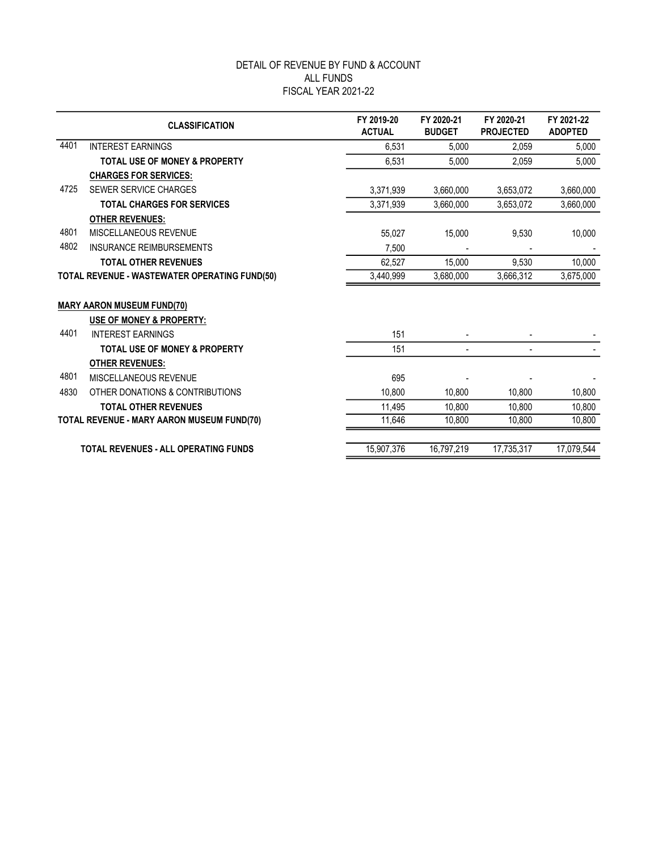|      | <b>CLASSIFICATION</b>                                         | FY 2019-20<br><b>ACTUAL</b> | FY 2020-21<br><b>BUDGET</b> | FY 2020-21<br><b>PROJECTED</b> | FY 2021-22<br><b>ADOPTED</b> |
|------|---------------------------------------------------------------|-----------------------------|-----------------------------|--------------------------------|------------------------------|
| 4401 | <b>INTEREST EARNINGS</b>                                      | 6,531                       | 5,000                       | 2,059                          | 5,000                        |
|      | <b>TOTAL USE OF MONEY &amp; PROPERTY</b>                      | 6,531                       | 5,000                       | 2,059                          | 5,000                        |
|      | <b>CHARGES FOR SERVICES:</b>                                  |                             |                             |                                |                              |
| 4725 | SEWER SERVICE CHARGES                                         | 3,371,939                   | 3,660,000                   | 3,653,072                      | 3,660,000                    |
|      | <b>TOTAL CHARGES FOR SERVICES</b>                             | 3.371.939                   | 3,660,000                   | 3,653,072                      | 3,660,000                    |
|      | <b>OTHER REVENUES:</b>                                        |                             |                             |                                |                              |
| 4801 | MISCELLANEOUS REVENUE                                         | 55,027                      | 15,000                      | 9,530                          | 10,000                       |
| 4802 | <b>INSURANCE REIMBURSEMENTS</b>                               | 7,500                       |                             |                                |                              |
|      | <b>TOTAL OTHER REVENUES</b>                                   | 62,527                      | 15,000                      | 9,530                          | 10,000                       |
|      | TOTAL REVENUE - WASTEWATER OPERATING FUND(50)                 | 3,440,999                   | 3,680,000                   | 3,666,312                      | 3,675,000                    |
|      | <b>MARY AARON MUSEUM FUND(70)</b><br>USE OF MONEY & PROPERTY: |                             |                             |                                |                              |
| 4401 | <b>INTEREST EARNINGS</b>                                      | 151                         |                             |                                |                              |
|      | <b>TOTAL USE OF MONEY &amp; PROPERTY</b>                      | 151                         |                             |                                |                              |
| 4801 | <b>OTHER REVENUES:</b><br>MISCELLANEOUS REVENUE               | 695                         |                             |                                |                              |
| 4830 | OTHER DONATIONS & CONTRIBUTIONS                               | 10.800                      | 10,800                      | 10,800                         | 10,800                       |
|      | <b>TOTAL OTHER REVENUES</b>                                   | 11,495                      | 10,800                      | 10,800                         | 10,800                       |
|      | <b>TOTAL REVENUE - MARY AARON MUSEUM FUND(70)</b>             | 11,646                      | 10,800                      | 10,800                         | 10,800                       |
|      |                                                               |                             |                             |                                |                              |
|      | <b>TOTAL REVENUES - ALL OPERATING FUNDS</b>                   | 15,907,376                  | 16.797.219                  | 17.735.317                     | 17,079,544                   |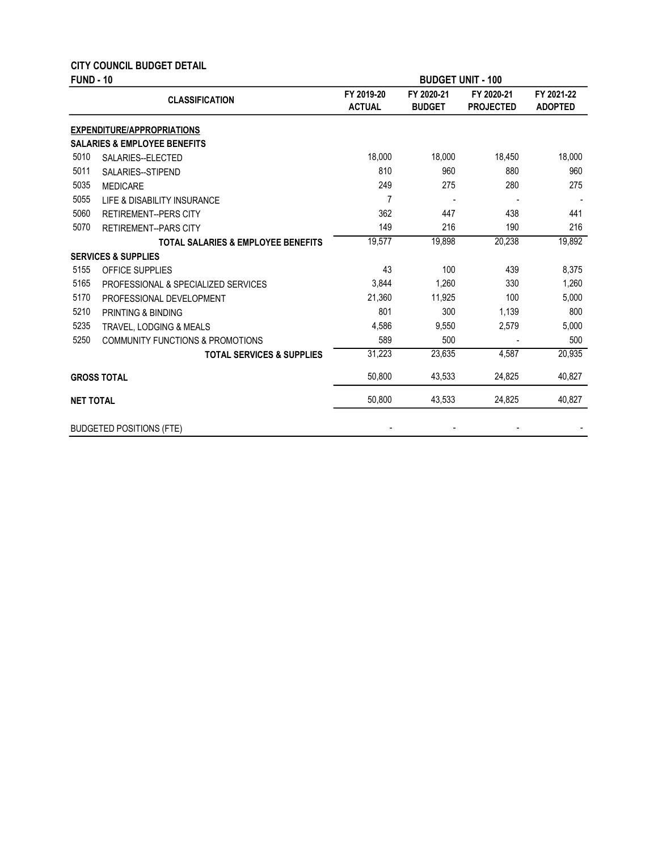|                  | <b>CITY COUNCIL BUDGET DETAIL</b>             |                             |                             |                                |                              |
|------------------|-----------------------------------------------|-----------------------------|-----------------------------|--------------------------------|------------------------------|
| <b>FUND - 10</b> |                                               |                             | <b>BUDGET UNIT - 100</b>    |                                |                              |
|                  | <b>CLASSIFICATION</b>                         | FY 2019-20<br><b>ACTUAL</b> | FY 2020-21<br><b>BUDGET</b> | FY 2020-21<br><b>PROJECTED</b> | FY 2021-22<br><b>ADOPTED</b> |
|                  | <b>EXPENDITURE/APPROPRIATIONS</b>             |                             |                             |                                |                              |
|                  | <b>SALARIES &amp; EMPLOYEE BENEFITS</b>       |                             |                             |                                |                              |
| 5010             | SALARIES--ELECTED                             | 18,000                      | 18,000                      | 18,450                         | 18,000                       |
| 5011             | SALARIES--STIPEND                             | 810                         | 960                         | 880                            | 960                          |
| 5035             | <b>MEDICARE</b>                               | 249                         | 275                         | 280                            | 275                          |
| 5055             | LIFE & DISABILITY INSURANCE                   | $\overline{7}$              |                             |                                |                              |
| 5060             | <b>RETIREMENT--PERS CITY</b>                  | 362                         | 447                         | 438                            | 441                          |
| 5070             | <b>RETIREMENT--PARS CITY</b>                  | 149                         | 216                         | 190                            | 216                          |
|                  | <b>TOTAL SALARIES &amp; EMPLOYEE BENEFITS</b> | 19,577                      | 19,898                      | 20,238                         | 19,892                       |
|                  | <b>SERVICES &amp; SUPPLIES</b>                |                             |                             |                                |                              |
| 5155             | OFFICE SUPPLIES                               | 43                          | 100                         | 439                            | 8,375                        |
| 5165             | PROFESSIONAL & SPECIALIZED SERVICES           | 3,844                       | 1,260                       | 330                            | 1,260                        |
| 5170             | PROFESSIONAL DEVELOPMENT                      | 21,360                      | 11,925                      | 100                            | 5,000                        |
| 5210             | PRINTING & BINDING                            | 801                         | 300                         | 1,139                          | 800                          |
| 5235             | TRAVEL, LODGING & MEALS                       | 4,586                       | 9,550                       | 2,579                          | 5,000                        |
| 5250             | <b>COMMUNITY FUNCTIONS &amp; PROMOTIONS</b>   | 589                         | 500                         |                                | 500                          |
|                  | <b>TOTAL SERVICES &amp; SUPPLIES</b>          | 31,223                      | 23,635                      | 4.587                          | 20,935                       |
|                  | <b>GROSS TOTAL</b>                            | 50,800                      | 43,533                      | 24,825                         | 40,827                       |
| <b>NET TOTAL</b> |                                               | 50,800                      | 43,533                      | 24,825                         | 40,827                       |
|                  | <b>BUDGETED POSITIONS (FTE)</b>               |                             |                             |                                |                              |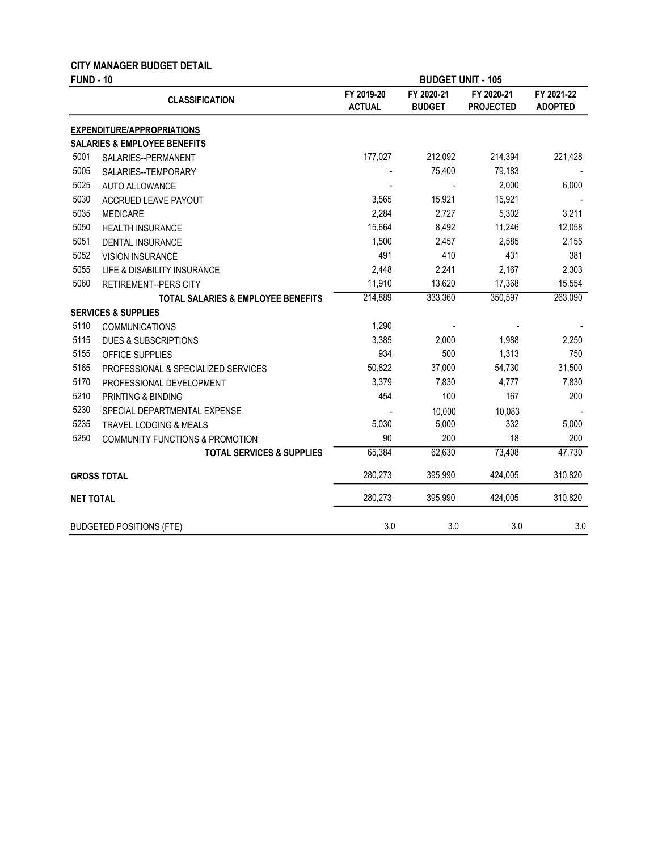|                  | <b>CITY MANAGER BUDGET DETAIL</b>             |                             |                             |                                |                              |
|------------------|-----------------------------------------------|-----------------------------|-----------------------------|--------------------------------|------------------------------|
| <b>FUND - 10</b> |                                               |                             |                             | <b>BUDGET UNIT - 105</b>       |                              |
|                  | <b>CLASSIFICATION</b>                         | FY 2019-20<br><b>ACTUAL</b> | FY 2020-21<br><b>BUDGET</b> | FY 2020-21<br><b>PROJECTED</b> | FY 2021-22<br><b>ADOPTED</b> |
|                  | <b>EXPENDITURE/APPROPRIATIONS</b>             |                             |                             |                                |                              |
|                  | <b>SALARIES &amp; EMPLOYEE BENEFITS</b>       |                             |                             |                                |                              |
| 5001             | SALARIES--PERMANENT                           | 177,027                     | 212,092                     | 214,394                        | 221,428                      |
| 5005             | SALARIES--TEMPORARY                           |                             | 75,400                      | 79,183                         |                              |
| 5025             | <b>AUTO ALLOWANCE</b>                         |                             |                             | 2,000                          | 6,000                        |
| 5030             | ACCRUED LEAVE PAYOUT                          | 3,565                       | 15,921                      | 15,921                         |                              |
| 5035             | <b>MEDICARE</b>                               | 2,284                       | 2,727                       | 5,302                          | 3,211                        |
| 5050             | <b>HEALTH INSURANCE</b>                       | 15,664                      | 8,492                       | 11,246                         | 12,058                       |
| 5051             | DENTAL INSURANCE                              | 1,500                       | 2,457                       | 2,585                          | 2,155                        |
| 5052             | <b>VISION INSURANCE</b>                       | 491                         | 410                         | 431                            | 381                          |
| 5055             | LIFE & DISABILITY INSURANCE                   | 2,448                       | 2,241                       | 2,167                          | 2,303                        |
| 5060             | <b>RETIREMENT--PERS CITY</b>                  | 11,910                      | 13,620                      | 17,368                         | 15,554                       |
|                  | <b>TOTAL SALARIES &amp; EMPLOYEE BENEFITS</b> | 214,889                     | 333,360                     | 350,597                        | 263,090                      |
|                  | <b>SERVICES &amp; SUPPLIES</b>                |                             |                             |                                |                              |
| 5110             | <b>COMMUNICATIONS</b>                         | 1,290                       |                             |                                |                              |
| 5115             | DUES & SUBSCRIPTIONS                          | 3,385                       | 2,000                       | 1,988                          | 2,250                        |
| 5155             | OFFICE SUPPLIES                               | 934                         | 500                         | 1,313                          | 750                          |
| 5165             | PROFESSIONAL & SPECIALIZED SERVICES           | 50,822                      | 37,000                      | 54,730                         | 31,500                       |
| 5170             | PROFESSIONAL DEVELOPMENT                      | 3,379                       | 7,830                       | 4,777                          | 7,830                        |
| 5210             | PRINTING & BINDING                            | 454                         | 100                         | 167                            | 200                          |
| 5230             | SPECIAL DEPARTMENTAL EXPENSE                  |                             | 10,000                      | 10,083                         |                              |
| 5235             | <b>TRAVEL LODGING &amp; MEALS</b>             | 5,030                       | 5,000                       | 332                            | 5,000                        |
| 5250             | <b>COMMUNITY FUNCTIONS &amp; PROMOTION</b>    | 90                          | 200                         | 18                             | 200                          |
|                  | <b>TOTAL SERVICES &amp; SUPPLIES</b>          | 65,384                      | 62,630                      | 73,408                         | 47,730                       |
|                  | <b>GROSS TOTAL</b>                            | 280,273                     | 395,990                     | 424,005                        | 310,820                      |
| <b>NET TOTAL</b> |                                               | 280,273                     | 395,990                     | 424,005                        | 310,820                      |
|                  | <b>BUDGETED POSITIONS (FTE)</b>               | 3.0                         | 3.0                         | 3.0                            | 3.0                          |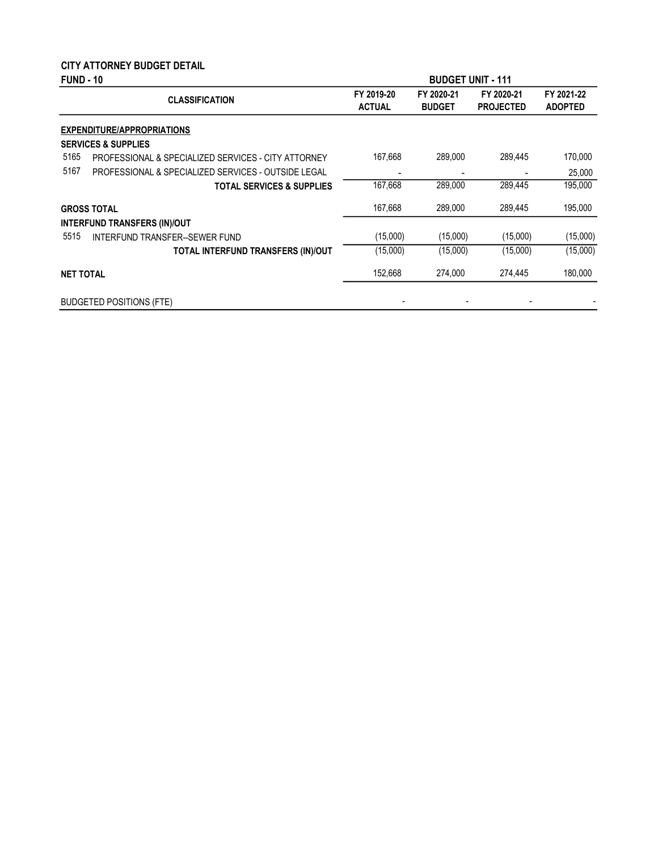# CITY ATTORNEY BUDGET DETAIL

| <b>FUND - 10</b><br><b>BUDGET UNIT - 111</b> |                                                     |                             |                             |                                |                              |
|----------------------------------------------|-----------------------------------------------------|-----------------------------|-----------------------------|--------------------------------|------------------------------|
|                                              | <b>CLASSIFICATION</b>                               | FY 2019-20<br><b>ACTUAL</b> | FY 2020-21<br><b>BUDGET</b> | FY 2020-21<br><b>PROJECTED</b> | FY 2021-22<br><b>ADOPTED</b> |
|                                              | <b>EXPENDITURE/APPROPRIATIONS</b>                   |                             |                             |                                |                              |
|                                              | <b>SERVICES &amp; SUPPLIES</b>                      |                             |                             |                                |                              |
| 5165                                         | PROFESSIONAL & SPECIALIZED SERVICES - CITY ATTORNEY | 167,668                     | 289,000                     | 289,445                        | 170,000                      |
| 5167                                         | PROFESSIONAL & SPECIALIZED SERVICES - OUTSIDE LEGAL |                             |                             |                                | 25,000                       |
|                                              | <b>TOTAL SERVICES &amp; SUPPLIES</b>                | 167,668                     | 289,000                     | 289,445                        | 195,000                      |
|                                              | <b>GROSS TOTAL</b>                                  | 167,668                     | 289.000                     | 289.445                        | 195,000                      |
|                                              | <b>INTERFUND TRANSFERS (IN)/OUT</b>                 |                             |                             |                                |                              |
| 5515                                         | INTERFUND TRANSFER--SEWER FUND                      | (15,000)                    | (15,000)                    | (15,000)                       | (15,000)                     |
|                                              | TOTAL INTERFUND TRANSFERS (IN)/OUT                  | (15,000)                    | (15,000)                    | (15,000)                       | (15,000)                     |
| <b>NET TOTAL</b>                             |                                                     | 152,668                     | 274,000                     | 274,445                        | 180,000                      |
|                                              | <b>BUDGETED POSITIONS (FTE)</b>                     |                             |                             |                                |                              |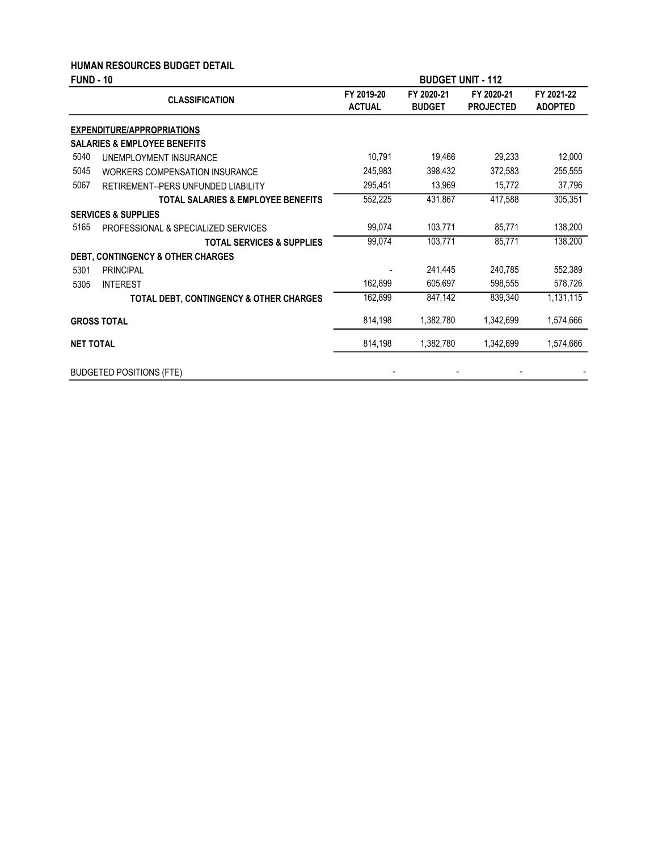#### HUMAN RESOURCES BUDGET DETAIL

| <b>FUND - 10</b> |                                                    | <b>BUDGET UNIT - 112</b>    |                             |                                |                              |
|------------------|----------------------------------------------------|-----------------------------|-----------------------------|--------------------------------|------------------------------|
|                  | <b>CLASSIFICATION</b>                              | FY 2019-20<br><b>ACTUAL</b> | FY 2020-21<br><b>BUDGET</b> | FY 2020-21<br><b>PROJECTED</b> | FY 2021-22<br><b>ADOPTED</b> |
|                  | <b>EXPENDITURE/APPROPRIATIONS</b>                  |                             |                             |                                |                              |
|                  | <b>SALARIES &amp; EMPLOYEE BENEFITS</b>            |                             |                             |                                |                              |
| 5040             | UNEMPLOYMENT INSURANCE                             | 10,791                      | 19,466                      | 29,233                         | 12,000                       |
| 5045             | <b>WORKERS COMPENSATION INSURANCE</b>              | 245,983                     | 398,432                     | 372,583                        | 255,555                      |
| 5067             | RETIREMENT--PERS UNFUNDED LIABILITY                | 295,451                     | 13,969                      | 15,772                         | 37,796                       |
|                  | <b>TOTAL SALARIES &amp; EMPLOYEE BENEFITS</b>      | 552,225                     | 431,867                     | 417,588                        | 305,351                      |
|                  | <b>SERVICES &amp; SUPPLIES</b>                     |                             |                             |                                |                              |
| 5165             | PROFESSIONAL & SPECIALIZED SERVICES                | 99,074                      | 103,771                     | 85,771                         | 138,200                      |
|                  | <b>TOTAL SERVICES &amp; SUPPLIES</b>               | 99,074                      | 103,771                     | 85,771                         | 138,200                      |
|                  | <b>DEBT, CONTINGENCY &amp; OTHER CHARGES</b>       |                             |                             |                                |                              |
| 5301             | <b>PRINCIPAL</b>                                   |                             | 241,445                     | 240,785                        | 552,389                      |
| 5305             | <b>INTEREST</b>                                    | 162,899                     | 605,697                     | 598,555                        | 578,726                      |
|                  | <b>TOTAL DEBT, CONTINGENCY &amp; OTHER CHARGES</b> | 162,899                     | 847,142                     | 839,340                        | 1,131,115                    |
|                  | <b>GROSS TOTAL</b>                                 | 814,198                     | 1,382,780                   | 1,342,699                      | 1,574,666                    |
| <b>NET TOTAL</b> |                                                    | 814,198                     | 1,382,780                   | 1,342,699                      | 1,574,666                    |
|                  | <b>BUDGETED POSITIONS (FTE)</b>                    |                             |                             |                                |                              |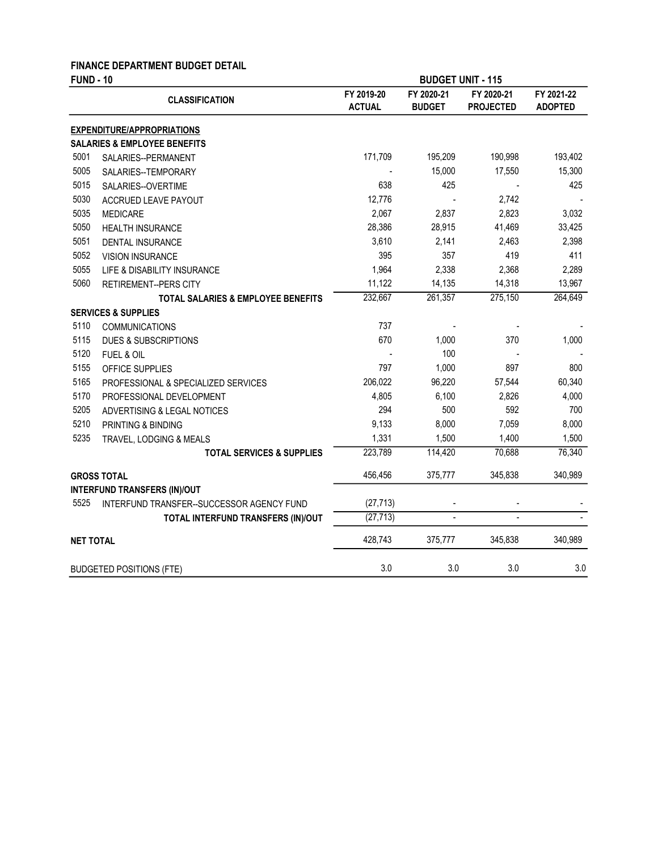# FINANCE DEPARTMENT BUDGET DETAIL

| <b>FUND - 10</b> |                                           |                             | <b>BUDGET UNIT - 115</b>    |                                |                              |
|------------------|-------------------------------------------|-----------------------------|-----------------------------|--------------------------------|------------------------------|
|                  | <b>CLASSIFICATION</b>                     | FY 2019-20<br><b>ACTUAL</b> | FY 2020-21<br><b>BUDGET</b> | FY 2020-21<br><b>PROJECTED</b> | FY 2021-22<br><b>ADOPTED</b> |
|                  | <b>EXPENDITURE/APPROPRIATIONS</b>         |                             |                             |                                |                              |
|                  | <b>SALARIES &amp; EMPLOYEE BENEFITS</b>   |                             |                             |                                |                              |
| 5001             | SALARIES--PERMANENT                       | 171,709                     | 195,209                     | 190,998                        | 193,402                      |
| 5005             | SALARIES--TEMPORARY                       |                             | 15,000                      | 17,550                         | 15,300                       |
| 5015             | SALARIES--OVERTIME                        | 638                         | 425                         |                                | 425                          |
| 5030             | ACCRUED LEAVE PAYOUT                      | 12,776                      |                             | 2,742                          |                              |
| 5035             | <b>MEDICARE</b>                           | 2,067                       | 2,837                       | 2,823                          | 3,032                        |
| 5050             | <b>HEALTH INSURANCE</b>                   | 28,386                      | 28,915                      | 41,469                         | 33,425                       |
| 5051             | DENTAL INSURANCE                          | 3,610                       | 2,141                       | 2,463                          | 2,398                        |
| 5052             | <b>VISION INSURANCE</b>                   | 395                         | 357                         | 419                            | 411                          |
| 5055             | LIFE & DISABILITY INSURANCE               | 1,964                       | 2,338                       | 2,368                          | 2,289                        |
| 5060             | <b>RETIREMENT--PERS CITY</b>              | 11,122                      | 14,135                      | 14,318                         | 13,967                       |
|                  | TOTAL SALARIES & EMPLOYEE BENEFITS        | 232,667                     | 261,357                     | 275,150                        | 264,649                      |
|                  | <b>SERVICES &amp; SUPPLIES</b>            |                             |                             |                                |                              |
| 5110             | <b>COMMUNICATIONS</b>                     | 737                         |                             |                                |                              |
| 5115             | <b>DUES &amp; SUBSCRIPTIONS</b>           | 670                         | 1,000                       | 370                            | 1,000                        |
| 5120             | FUEL & OIL                                |                             | 100                         |                                |                              |
| 5155             | OFFICE SUPPLIES                           | 797                         | 1,000                       | 897                            | 800                          |
| 5165             | PROFESSIONAL & SPECIALIZED SERVICES       | 206,022                     | 96,220                      | 57,544                         | 60,340                       |
| 5170             | PROFESSIONAL DEVELOPMENT                  | 4,805                       | 6,100                       | 2,826                          | 4,000                        |
| 5205             | ADVERTISING & LEGAL NOTICES               | 294                         | 500                         | 592                            | 700                          |
| 5210             | PRINTING & BINDING                        | 9,133                       | 8,000                       | 7,059                          | 8,000                        |
| 5235             | TRAVEL, LODGING & MEALS                   | 1,331                       | 1,500                       | 1,400                          | 1,500                        |
|                  | <b>TOTAL SERVICES &amp; SUPPLIES</b>      | 223,789                     | 114,420                     | 70,688                         | 76,340                       |
|                  | <b>GROSS TOTAL</b>                        | 456,456                     | 375,777                     | 345,838                        | 340,989                      |
|                  | <b>INTERFUND TRANSFERS (IN)/OUT</b>       |                             |                             |                                |                              |
| 5525             | INTERFUND TRANSFER--SUCCESSOR AGENCY FUND | (27, 713)                   |                             |                                |                              |
|                  | TOTAL INTERFUND TRANSFERS (IN)/OUT        | (27, 713)                   | $\mathbb{L}$                | $\overline{a}$                 |                              |
| <b>NET TOTAL</b> |                                           | 428,743                     | 375,777                     | 345.838                        | 340,989                      |
|                  | <b>BUDGETED POSITIONS (FTE)</b>           | 3.0                         | 3.0                         | 3.0                            | 3.0                          |
|                  |                                           |                             |                             |                                |                              |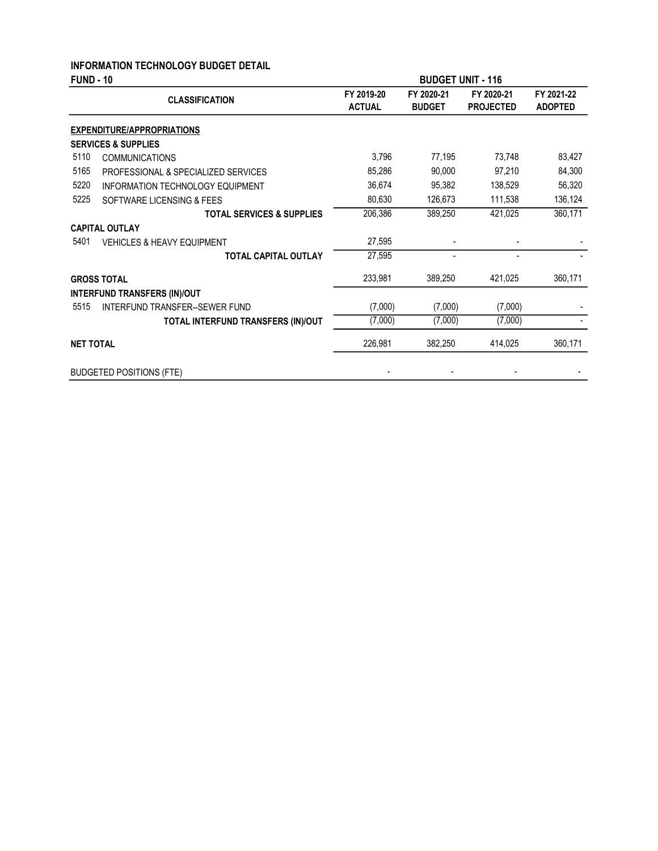### INFORMATION TECHNOLOGY BUDGET DETAIL

| <b>FUND - 10</b> |                                         |                             | <b>BUDGET UNIT - 116</b>    |                                |                              |
|------------------|-----------------------------------------|-----------------------------|-----------------------------|--------------------------------|------------------------------|
|                  | <b>CLASSIFICATION</b>                   | FY 2019-20<br><b>ACTUAL</b> | FY 2020-21<br><b>BUDGET</b> | FY 2020-21<br><b>PROJECTED</b> | FY 2021-22<br><b>ADOPTED</b> |
|                  | <b>EXPENDITURE/APPROPRIATIONS</b>       |                             |                             |                                |                              |
|                  | <b>SERVICES &amp; SUPPLIES</b>          |                             |                             |                                |                              |
| 5110             | <b>COMMUNICATIONS</b>                   | 3,796                       | 77,195                      | 73,748                         | 83,427                       |
| 5165             | PROFESSIONAL & SPECIALIZED SERVICES     | 85,286                      | 90,000                      | 97,210                         | 84,300                       |
| 5220             | <b>INFORMATION TECHNOLOGY EQUIPMENT</b> | 36,674                      | 95,382                      | 138,529                        | 56,320                       |
| 5225             | SOFTWARE LICENSING & FEES               | 80,630                      | 126,673                     | 111,538                        | 136,124                      |
|                  | <b>TOTAL SERVICES &amp; SUPPLIES</b>    | 206,386                     | 389,250                     | 421,025                        | 360,171                      |
|                  | <b>CAPITAL OUTLAY</b>                   |                             |                             |                                |                              |
| 5401             | <b>VEHICLES &amp; HEAVY EQUIPMENT</b>   | 27,595                      |                             |                                |                              |
|                  | <b>TOTAL CAPITAL OUTLAY</b>             | 27,595                      |                             |                                |                              |
|                  | <b>GROSS TOTAL</b>                      | 233,981                     | 389,250                     | 421,025                        | 360,171                      |
|                  | <b>INTERFUND TRANSFERS (IN)/OUT</b>     |                             |                             |                                |                              |
| 5515             | <b>INTERFUND TRANSFER--SEWER FUND</b>   | (7,000)                     | (7,000)                     | (7,000)                        |                              |
|                  | TOTAL INTERFUND TRANSFERS (IN)/OUT      | (7,000)                     | (7,000)                     | (7,000)                        |                              |
| <b>NET TOTAL</b> |                                         | 226,981                     | 382,250                     | 414,025                        | 360,171                      |
|                  | <b>BUDGETED POSITIONS (FTE)</b>         |                             |                             |                                |                              |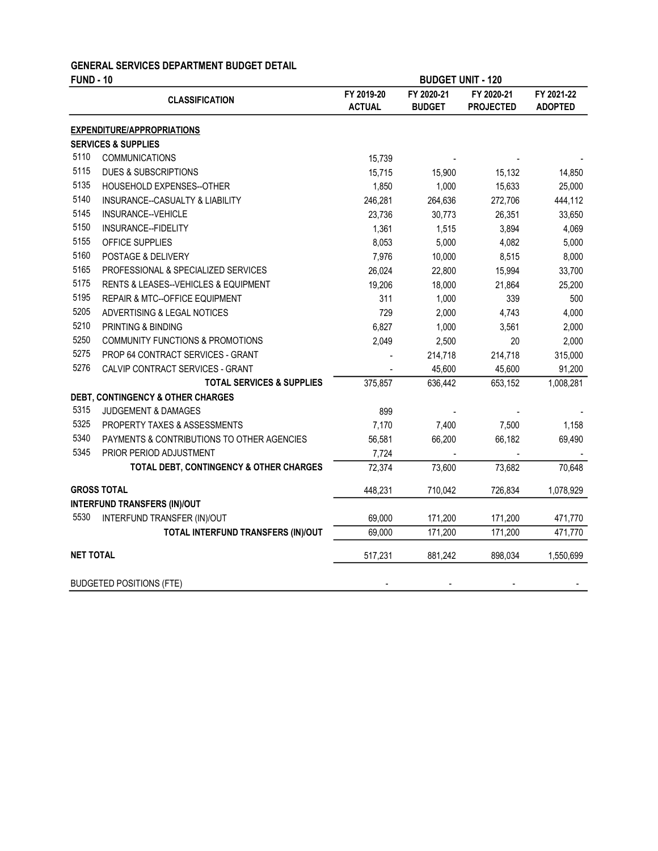#### GENERAL SERVICES DEPARTMENT BUDGET DETAIL

| <b>FUND - 10</b> |                                              |                             | <b>BUDGET UNIT - 120</b>    |                                |                              |
|------------------|----------------------------------------------|-----------------------------|-----------------------------|--------------------------------|------------------------------|
|                  | <b>CLASSIFICATION</b>                        | FY 2019-20<br><b>ACTUAL</b> | FY 2020-21<br><b>BUDGET</b> | FY 2020-21<br><b>PROJECTED</b> | FY 2021-22<br><b>ADOPTED</b> |
|                  | <b>EXPENDITURE/APPROPRIATIONS</b>            |                             |                             |                                |                              |
|                  | <b>SERVICES &amp; SUPPLIES</b>               |                             |                             |                                |                              |
| 5110             | <b>COMMUNICATIONS</b>                        | 15,739                      |                             |                                |                              |
| 5115             | <b>DUES &amp; SUBSCRIPTIONS</b>              | 15,715                      | 15,900                      | 15,132                         | 14,850                       |
| 5135             | HOUSEHOLD EXPENSES--OTHER                    | 1,850                       | 1,000                       | 15,633                         | 25,000                       |
| 5140             | INSURANCE--CASUALTY & LIABILITY              | 246,281                     | 264,636                     | 272,706                        | 444,112                      |
| 5145             | INSURANCE--VEHICLE                           | 23,736                      | 30,773                      | 26,351                         | 33,650                       |
| 5150             | INSURANCE--FIDELITY                          | 1,361                       | 1,515                       | 3,894                          | 4,069                        |
| 5155             | OFFICE SUPPLIES                              | 8,053                       | 5,000                       | 4,082                          | 5,000                        |
| 5160             | POSTAGE & DELIVERY                           | 7,976                       | 10,000                      | 8,515                          | 8,000                        |
| 5165             | PROFESSIONAL & SPECIALIZED SERVICES          | 26,024                      | 22,800                      | 15,994                         | 33,700                       |
| 5175             | RENTS & LEASES--VEHICLES & EQUIPMENT         | 19,206                      | 18,000                      | 21,864                         | 25,200                       |
| 5195             | REPAIR & MTC--OFFICE EQUIPMENT               | 311                         | 1,000                       | 339                            | 500                          |
| 5205             | ADVERTISING & LEGAL NOTICES                  | 729                         | 2,000                       | 4,743                          | 4,000                        |
| 5210             | PRINTING & BINDING                           | 6,827                       | 1,000                       | 3,561                          | 2,000                        |
| 5250             | <b>COMMUNITY FUNCTIONS &amp; PROMOTIONS</b>  | 2,049                       | 2,500                       | 20                             | 2,000                        |
| 5275             | PROP 64 CONTRACT SERVICES - GRANT            |                             | 214,718                     | 214,718                        | 315,000                      |
| 5276             | CALVIP CONTRACT SERVICES - GRANT             |                             | 45,600                      | 45,600                         | 91,200                       |
|                  | <b>TOTAL SERVICES &amp; SUPPLIES</b>         | 375,857                     | 636,442                     | 653,152                        | 1,008,281                    |
|                  | <b>DEBT, CONTINGENCY &amp; OTHER CHARGES</b> |                             |                             |                                |                              |
| 5315             | <b>JUDGEMENT &amp; DAMAGES</b>               | 899                         |                             |                                |                              |
| 5325             | PROPERTY TAXES & ASSESSMENTS                 | 7,170                       | 7,400                       | 7,500                          | 1,158                        |
| 5340             | PAYMENTS & CONTRIBUTIONS TO OTHER AGENCIES   | 56,581                      | 66,200                      | 66,182                         | 69,490                       |
| 5345             | PRIOR PERIOD ADJUSTMENT                      | 7,724                       |                             |                                |                              |
|                  | TOTAL DEBT, CONTINGENCY & OTHER CHARGES      | 72,374                      | 73,600                      | 73,682                         | 70,648                       |
|                  | <b>GROSS TOTAL</b>                           | 448,231                     | 710,042                     | 726,834                        | 1,078,929                    |
|                  | <b>INTERFUND TRANSFERS (IN)/OUT</b>          |                             |                             |                                |                              |
| 5530             | INTERFUND TRANSFER (IN)/OUT                  | 69,000                      | 171,200                     | 171,200                        | 471,770                      |
|                  | TOTAL INTERFUND TRANSFERS (IN)/OUT           | 69,000                      | 171,200                     | 171,200                        | 471,770                      |
| <b>NET TOTAL</b> |                                              | 517,231                     | 881,242                     | 898,034                        | 1,550,699                    |
|                  | <b>BUDGETED POSITIONS (FTE)</b>              |                             |                             |                                |                              |
|                  |                                              |                             |                             |                                |                              |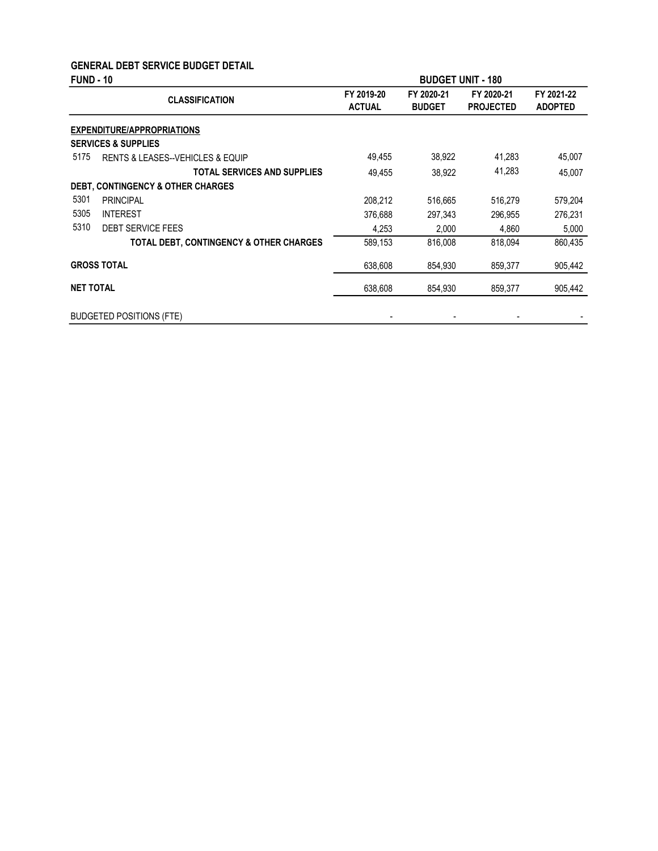### GENERAL DEBT SERVICE BUDGET DETAIL

| <b>FUND - 10</b> |                                                 | <b>BUDGET UNIT - 180</b>    |                             |                                |                              |
|------------------|-------------------------------------------------|-----------------------------|-----------------------------|--------------------------------|------------------------------|
|                  | <b>CLASSIFICATION</b>                           | FY 2019-20<br><b>ACTUAL</b> | FY 2020-21<br><b>BUDGET</b> | FY 2020-21<br><b>PROJECTED</b> | FY 2021-22<br><b>ADOPTED</b> |
|                  | EXPENDITURE/APPROPRIATIONS                      |                             |                             |                                |                              |
|                  | <b>SERVICES &amp; SUPPLIES</b>                  |                             |                             |                                |                              |
| 5175             | <b>RENTS &amp; LEASES--VEHICLES &amp; EQUIP</b> | 49,455                      | 38,922                      | 41,283                         | 45,007                       |
|                  | <b>TOTAL SERVICES AND SUPPLIES</b>              | 49,455                      | 38,922                      | 41,283                         | 45,007                       |
|                  | <b>DEBT, CONTINGENCY &amp; OTHER CHARGES</b>    |                             |                             |                                |                              |
| 5301             | <b>PRINCIPAL</b>                                | 208,212                     | 516,665                     | 516,279                        | 579,204                      |
| 5305             | <b>INTEREST</b>                                 | 376,688                     | 297,343                     | 296,955                        | 276,231                      |
| 5310             | <b>DEBT SERVICE FEES</b>                        | 4,253                       | 2,000                       | 4,860                          | 5,000                        |
|                  | TOTAL DEBT, CONTINGENCY & OTHER CHARGES         | 589,153                     | 816,008                     | 818.094                        | 860,435                      |
|                  | <b>GROSS TOTAL</b>                              | 638,608                     | 854,930                     | 859,377                        | 905,442                      |
| <b>NET TOTAL</b> |                                                 | 638,608                     | 854,930                     | 859,377                        | 905,442                      |
|                  | <b>BUDGETED POSITIONS (FTE)</b>                 |                             |                             |                                |                              |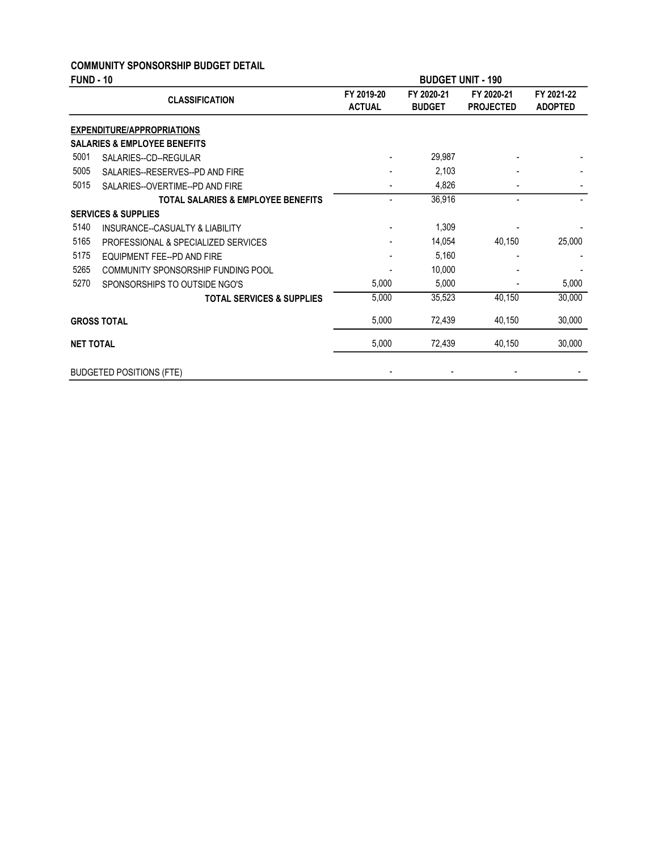#### COMMUNITY SPONSORSHIP BUDGET DETAIL

| <b>FUND - 10</b> |                                               |                             | <b>BUDGET UNIT - 190</b>    |                                |                              |  |
|------------------|-----------------------------------------------|-----------------------------|-----------------------------|--------------------------------|------------------------------|--|
|                  | <b>CLASSIFICATION</b>                         | FY 2019-20<br><b>ACTUAL</b> | FY 2020-21<br><b>BUDGET</b> | FY 2020-21<br><b>PROJECTED</b> | FY 2021-22<br><b>ADOPTED</b> |  |
|                  | <b>EXPENDITURE/APPROPRIATIONS</b>             |                             |                             |                                |                              |  |
|                  | <b>SALARIES &amp; EMPLOYEE BENEFITS</b>       |                             |                             |                                |                              |  |
| 5001             | SALARIES--CD--REGULAR                         |                             | 29,987                      |                                |                              |  |
| 5005             | SALARIES--RESERVES--PD AND FIRE               |                             | 2,103                       |                                |                              |  |
| 5015             | SALARIES--OVERTIME--PD AND FIRE               |                             | 4,826                       |                                |                              |  |
|                  | <b>TOTAL SALARIES &amp; EMPLOYEE BENEFITS</b> | $\overline{a}$              | 36,916                      |                                |                              |  |
|                  | <b>SERVICES &amp; SUPPLIES</b>                |                             |                             |                                |                              |  |
| 5140             | INSURANCE--CASUALTY & LIABILITY               |                             | 1,309                       |                                |                              |  |
| 5165             | PROFESSIONAL & SPECIALIZED SERVICES           |                             | 14,054                      | 40,150                         | 25,000                       |  |
| 5175             | EQUIPMENT FEE--PD AND FIRE                    |                             | 5,160                       |                                |                              |  |
| 5265             | COMMUNITY SPONSORSHIP FUNDING POOL            |                             | 10,000                      |                                |                              |  |
| 5270             | SPONSORSHIPS TO OUTSIDE NGO'S                 | 5,000                       | 5,000                       |                                | 5,000                        |  |
|                  | <b>TOTAL SERVICES &amp; SUPPLIES</b>          | 5,000                       | 35,523                      | 40,150                         | 30,000                       |  |
|                  | <b>GROSS TOTAL</b>                            | 5,000                       | 72,439                      | 40,150                         | 30,000                       |  |
| <b>NET TOTAL</b> |                                               | 5,000                       | 72,439                      | 40,150                         | 30,000                       |  |
|                  | <b>BUDGETED POSITIONS (FTE)</b>               |                             |                             |                                |                              |  |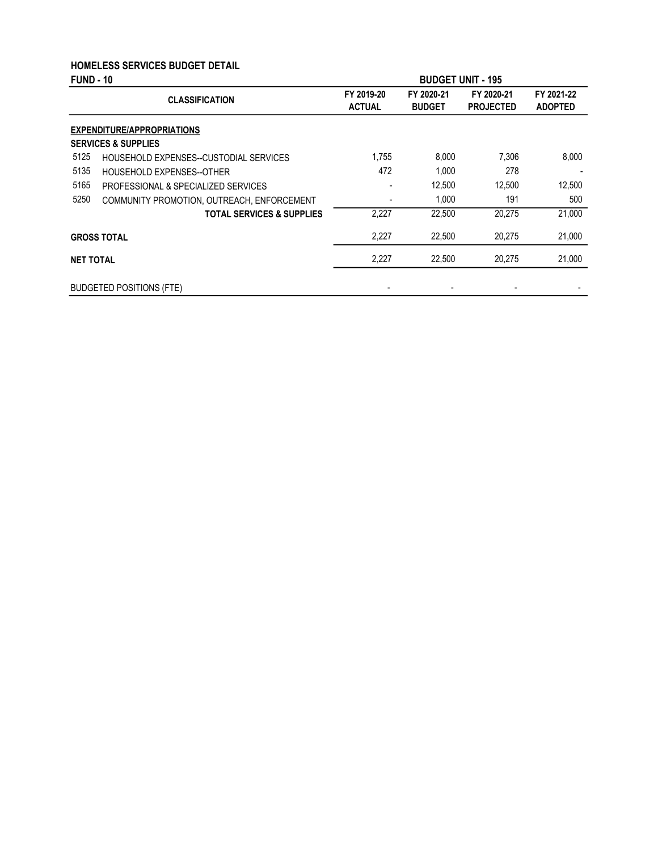### HOMELESS SERVICES BUDGET DETAIL

| <b>FUND - 10</b> |                                            | <b>BUDGET UNIT - 195</b>    |                             |                                |                              |  |
|------------------|--------------------------------------------|-----------------------------|-----------------------------|--------------------------------|------------------------------|--|
|                  | <b>CLASSIFICATION</b>                      | FY 2019-20<br><b>ACTUAL</b> | FY 2020-21<br><b>BUDGET</b> | FY 2020-21<br><b>PROJECTED</b> | FY 2021-22<br><b>ADOPTED</b> |  |
|                  | <b>EXPENDITURE/APPROPRIATIONS</b>          |                             |                             |                                |                              |  |
|                  | <b>SERVICES &amp; SUPPLIES</b>             |                             |                             |                                |                              |  |
| 5125             | HOUSEHOLD EXPENSES--CUSTODIAL SERVICES     | 1,755                       | 8,000                       | 7,306                          | 8,000                        |  |
| 5135             | <b>HOUSEHOLD EXPENSES--OTHER</b>           | 472                         | 1,000                       | 278                            |                              |  |
| 5165             | PROFESSIONAL & SPECIALIZED SERVICES        |                             | 12,500                      | 12,500                         | 12,500                       |  |
| 5250             | COMMUNITY PROMOTION, OUTREACH, ENFORCEMENT | ٠                           | 1.000                       | 191                            | 500                          |  |
|                  | <b>TOTAL SERVICES &amp; SUPPLIES</b>       | 2,227                       | 22,500                      | 20,275                         | 21,000                       |  |
|                  | <b>GROSS TOTAL</b>                         | 2,227                       | 22,500                      | 20,275                         | 21,000                       |  |
| <b>NET TOTAL</b> |                                            | 2,227                       | 22,500                      | 20,275                         | 21,000                       |  |
|                  | <b>BUDGETED POSITIONS (FTE)</b>            |                             |                             |                                |                              |  |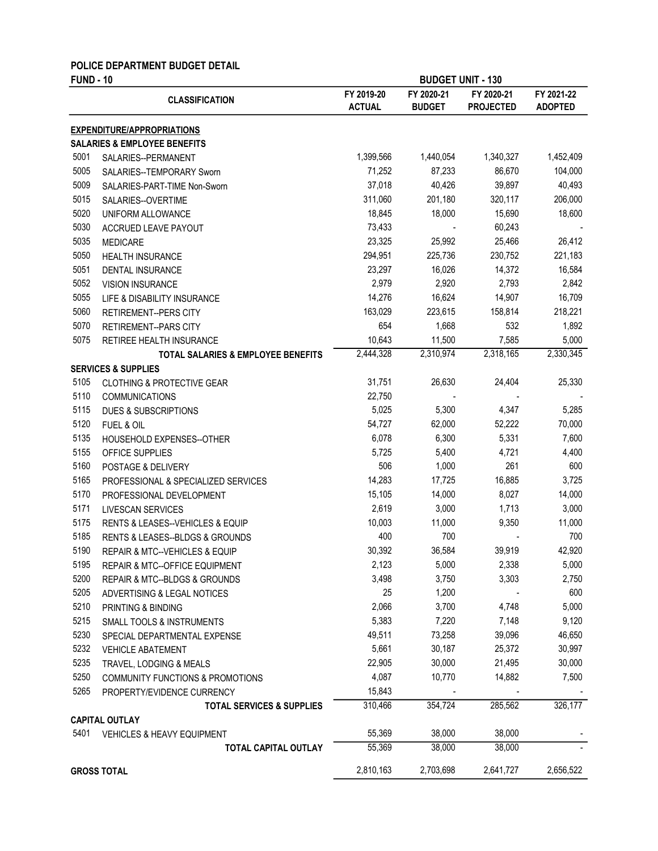### POLICE DEPARTMENT BUDGET DETAIL

| <b>FUND - 10</b> |                                               | <b>BUDGET UNIT - 130</b>    |                             |                                |                              |
|------------------|-----------------------------------------------|-----------------------------|-----------------------------|--------------------------------|------------------------------|
|                  | <b>CLASSIFICATION</b>                         | FY 2019-20<br><b>ACTUAL</b> | FY 2020-21<br><b>BUDGET</b> | FY 2020-21<br><b>PROJECTED</b> | FY 2021-22<br><b>ADOPTED</b> |
|                  | <b>EXPENDITURE/APPROPRIATIONS</b>             |                             |                             |                                |                              |
|                  | <b>SALARIES &amp; EMPLOYEE BENEFITS</b>       |                             |                             |                                |                              |
| 5001             | SALARIES--PERMANENT                           | 1,399,566                   | 1,440,054                   | 1,340,327                      | 1,452,409                    |
| 5005             | SALARIES--TEMPORARY Sworn                     | 71,252                      | 87,233                      | 86,670                         | 104,000                      |
| 5009             | SALARIES-PART-TIME Non-Sworn                  | 37,018                      | 40,426                      | 39,897                         | 40,493                       |
| 5015             | SALARIES--OVERTIME                            | 311,060                     | 201,180                     | 320,117                        | 206,000                      |
| 5020             | UNIFORM ALLOWANCE                             | 18,845                      | 18,000                      | 15,690                         | 18,600                       |
| 5030             | ACCRUED LEAVE PAYOUT                          | 73,433                      |                             | 60,243                         |                              |
| 5035             | <b>MEDICARE</b>                               | 23,325                      | 25,992                      | 25,466                         | 26,412                       |
| 5050             | HEALTH INSURANCE                              | 294,951                     | 225,736                     | 230,752                        | 221,183                      |
| 5051             | DENTAL INSURANCE                              | 23,297                      | 16,026                      | 14,372                         | 16,584                       |
| 5052             | <b>VISION INSURANCE</b>                       | 2,979                       | 2,920                       | 2,793                          | 2,842                        |
| 5055             | LIFE & DISABILITY INSURANCE                   | 14,276                      | 16,624                      | 14,907                         | 16,709                       |
| 5060             | <b>RETIREMENT--PERS CITY</b>                  | 163,029                     | 223,615                     | 158,814                        | 218,221                      |
| 5070             | RETIREMENT--PARS CITY                         | 654                         | 1,668                       | 532                            | 1,892                        |
| 5075             | <b>RETIREE HEALTH INSURANCE</b>               | 10,643                      | 11,500                      | 7,585                          | 5,000                        |
|                  | <b>TOTAL SALARIES &amp; EMPLOYEE BENEFITS</b> | 2,444,328                   | 2,310,974                   | 2,318,165                      | 2,330,345                    |
|                  | <b>SERVICES &amp; SUPPLIES</b>                |                             |                             |                                |                              |
| 5105             | <b>CLOTHING &amp; PROTECTIVE GEAR</b>         | 31,751                      | 26,630                      | 24,404                         | 25,330                       |
| 5110             | <b>COMMUNICATIONS</b>                         | 22,750                      |                             |                                |                              |
| 5115             | <b>DUES &amp; SUBSCRIPTIONS</b>               | 5,025                       | 5,300                       | 4,347                          | 5,285                        |
| 5120             | FUEL & OIL                                    | 54,727                      | 62,000                      | 52,222                         | 70,000                       |
| 5135             | HOUSEHOLD EXPENSES--OTHER                     | 6,078                       | 6,300                       | 5,331                          | 7,600                        |
| 5155             | OFFICE SUPPLIES                               | 5,725                       | 5,400                       | 4,721                          | 4,400                        |
| 5160             | POSTAGE & DELIVERY                            | 506                         | 1,000                       | 261                            | 600                          |
| 5165             | PROFESSIONAL & SPECIALIZED SERVICES           | 14,283                      | 17,725                      | 16,885                         | 3,725                        |
| 5170             | PROFESSIONAL DEVELOPMENT                      | 15,105                      | 14,000                      | 8,027                          | 14,000                       |
| 5171             | LIVESCAN SERVICES                             | 2,619                       | 3,000                       | 1,713                          | 3,000                        |
| 5175             | RENTS & LEASES--VEHICLES & EQUIP              | 10,003                      | 11,000                      | 9,350                          | 11,000                       |
| 5185             | RENTS & LEASES--BLDGS & GROUNDS               | 400                         | 700                         |                                | 700                          |
| 5190             | REPAIR & MTC--VEHICLES & EQUIP                | 30,392                      | 36,584                      | 39,919                         | 42,920                       |
| 5195             | <b>REPAIR &amp; MTC--OFFICE EQUIPMENT</b>     | 2,123                       | 5,000                       | 2,338                          | 5,000                        |
| 5200             | REPAIR & MTC--BLDGS & GROUNDS                 | 3,498                       | 3,750                       | 3,303                          | 2,750                        |
| 5205             | ADVERTISING & LEGAL NOTICES                   | 25                          | 1,200                       |                                | 600                          |
| 5210             | PRINTING & BINDING                            | 2,066                       | 3,700                       | 4,748                          | 5,000                        |
| 5215             | <b>SMALL TOOLS &amp; INSTRUMENTS</b>          | 5,383                       | 7,220                       | 7,148                          | 9,120                        |
| 5230             | SPECIAL DEPARTMENTAL EXPENSE                  | 49,511                      | 73,258                      | 39,096                         | 46,650                       |
| 5232             | <b>VEHICLE ABATEMENT</b>                      | 5,661                       | 30,187                      | 25,372                         | 30,997                       |
| 5235             | TRAVEL, LODGING & MEALS                       | 22,905                      | 30,000                      | 21,495                         | 30,000                       |
| 5250             | <b>COMMUNITY FUNCTIONS &amp; PROMOTIONS</b>   | 4,087                       | 10,770                      | 14,882                         | 7,500                        |
| 5265             | PROPERTY/EVIDENCE CURRENCY                    | 15,843                      |                             |                                |                              |
|                  | <b>TOTAL SERVICES &amp; SUPPLIES</b>          | 310,466                     | 354,724                     | 285,562                        | 326,177                      |
|                  | <b>CAPITAL OUTLAY</b>                         |                             |                             |                                |                              |
| 5401             | <b>VEHICLES &amp; HEAVY EQUIPMENT</b>         | 55,369                      | 38,000                      | 38,000                         |                              |
|                  | <b>TOTAL CAPITAL OUTLAY</b>                   | 55,369                      | 38,000                      | 38,000                         |                              |
|                  | <b>GROSS TOTAL</b>                            | 2,810,163                   | 2,703,698                   | 2,641,727                      | 2,656,522                    |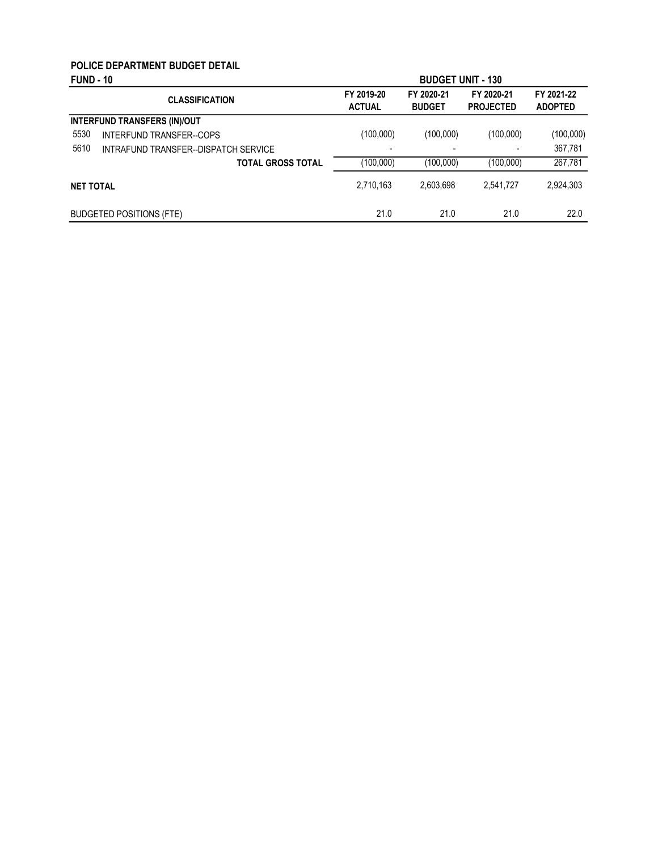#### POLICE DEPARTMENT BUDGET DETAIL FUND - 10

| <b>FUND - 10</b> |                                      | <b>BUDGET UNIT - 130</b>    |                             |                                |                              |
|------------------|--------------------------------------|-----------------------------|-----------------------------|--------------------------------|------------------------------|
|                  | <b>CLASSIFICATION</b>                | FY 2019-20<br><b>ACTUAL</b> | FY 2020-21<br><b>BUDGET</b> | FY 2020-21<br><b>PROJECTED</b> | FY 2021-22<br><b>ADOPTED</b> |
|                  | <b>INTERFUND TRANSFERS (IN)/OUT</b>  |                             |                             |                                |                              |
| 5530             | <b>INTERFUND TRANSFER--COPS</b>      | (100,000)                   | (100,000)                   | (100,000)                      | (100,000)                    |
| 5610             | INTRAFUND TRANSFER--DISPATCH SERVICE | $\overline{\phantom{0}}$    | $\overline{\phantom{0}}$    |                                | 367,781                      |
|                  | <b>TOTAL GROSS TOTAL</b>             | (100,000)                   | (100,000)                   | (100,000)                      | 267,781                      |
| <b>NET TOTAL</b> |                                      | 2,710,163                   | 2.603.698                   | 2,541,727                      | 2,924,303                    |
|                  | <b>BUDGETED POSITIONS (FTE)</b>      | 21.0                        | 21.0                        | 21.0                           | 22.0                         |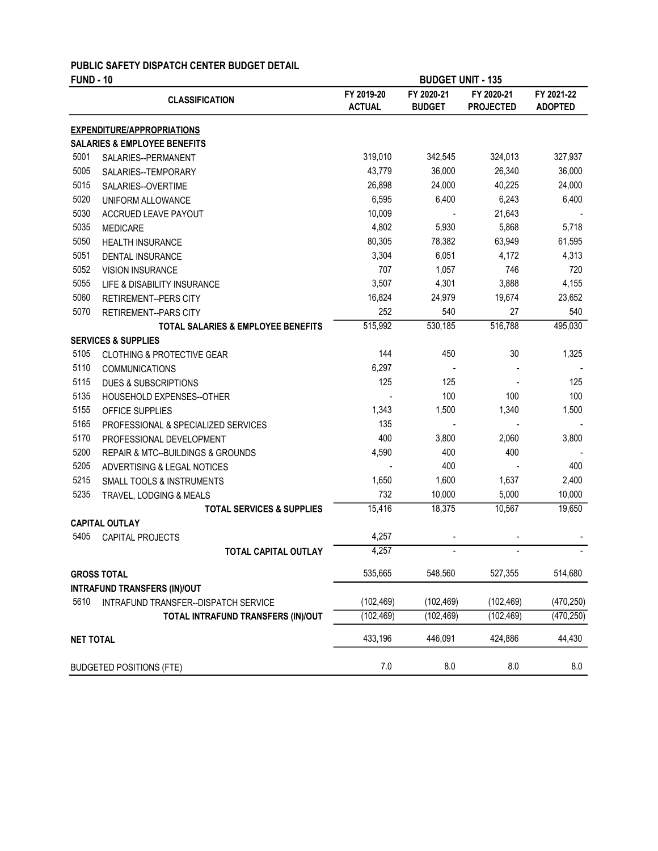### PUBLIC SAFETY DISPATCH CENTER BUDGET DETAIL

| <b>FUND - 10</b> |                                               |                             | <b>BUDGET UNIT - 135</b>    |                                |                              |  |  |
|------------------|-----------------------------------------------|-----------------------------|-----------------------------|--------------------------------|------------------------------|--|--|
|                  | <b>CLASSIFICATION</b>                         | FY 2019-20<br><b>ACTUAL</b> | FY 2020-21<br><b>BUDGET</b> | FY 2020-21<br><b>PROJECTED</b> | FY 2021-22<br><b>ADOPTED</b> |  |  |
|                  | <b>EXPENDITURE/APPROPRIATIONS</b>             |                             |                             |                                |                              |  |  |
|                  | <b>SALARIES &amp; EMPLOYEE BENEFITS</b>       |                             |                             |                                |                              |  |  |
| 5001             | SALARIES--PERMANENT                           | 319,010                     | 342,545                     | 324,013                        | 327,937                      |  |  |
| 5005             | SALARIES--TEMPORARY                           | 43,779                      | 36,000                      | 26,340                         | 36,000                       |  |  |
| 5015             | SALARIES--OVERTIME                            | 26,898                      | 24,000                      | 40,225                         | 24,000                       |  |  |
| 5020             | UNIFORM ALLOWANCE                             | 6,595                       | 6,400                       | 6,243                          | 6,400                        |  |  |
| 5030             | ACCRUED LEAVE PAYOUT                          | 10,009                      |                             | 21,643                         |                              |  |  |
| 5035             | <b>MEDICARE</b>                               | 4,802                       | 5,930                       | 5,868                          | 5,718                        |  |  |
| 5050             | <b>HEALTH INSURANCE</b>                       | 80,305                      | 78,382                      | 63,949                         | 61,595                       |  |  |
| 5051             | <b>DENTAL INSURANCE</b>                       | 3,304                       | 6,051                       | 4,172                          | 4,313                        |  |  |
| 5052             | <b>VISION INSURANCE</b>                       | 707                         | 1,057                       | 746                            | 720                          |  |  |
| 5055             | LIFE & DISABILITY INSURANCE                   | 3,507                       | 4,301                       | 3,888                          | 4,155                        |  |  |
| 5060             | RETIREMENT--PERS CITY                         | 16,824                      | 24,979                      | 19,674                         | 23,652                       |  |  |
| 5070             | <b>RETIREMENT--PARS CITY</b>                  | 252                         | 540                         | 27                             | 540                          |  |  |
|                  | <b>TOTAL SALARIES &amp; EMPLOYEE BENEFITS</b> | 515,992                     | 530,185                     | 516,788                        | 495,030                      |  |  |
|                  | <b>SERVICES &amp; SUPPLIES</b>                |                             |                             |                                |                              |  |  |
| 5105             | <b>CLOTHING &amp; PROTECTIVE GEAR</b>         | 144                         | 450                         | 30                             | 1,325                        |  |  |
| 5110             | <b>COMMUNICATIONS</b>                         | 6,297                       |                             |                                |                              |  |  |
| 5115             | <b>DUES &amp; SUBSCRIPTIONS</b>               | 125                         | 125                         |                                | 125                          |  |  |
| 5135             | HOUSEHOLD EXPENSES--OTHER                     |                             | 100                         | 100                            | 100                          |  |  |
| 5155             | OFFICE SUPPLIES                               | 1,343                       | 1,500                       | 1,340                          | 1,500                        |  |  |
| 5165             | PROFESSIONAL & SPECIALIZED SERVICES           | 135                         |                             |                                |                              |  |  |
| 5170             | PROFESSIONAL DEVELOPMENT                      | 400                         | 3,800                       | 2,060                          | 3,800                        |  |  |
| 5200             | REPAIR & MTC--BUILDINGS & GROUNDS             | 4,590                       | 400                         | 400                            |                              |  |  |
| 5205             | ADVERTISING & LEGAL NOTICES                   |                             | 400                         |                                | 400                          |  |  |
| 5215             | SMALL TOOLS & INSTRUMENTS                     | 1,650                       | 1,600                       | 1,637                          | 2,400                        |  |  |
| 5235             | TRAVEL, LODGING & MEALS                       | 732                         | 10,000                      | 5,000                          | 10,000                       |  |  |
|                  | <b>TOTAL SERVICES &amp; SUPPLIES</b>          | 15,416                      | 18,375                      | 10,567                         | 19,650                       |  |  |
|                  | <b>CAPITAL OUTLAY</b>                         |                             |                             |                                |                              |  |  |
| 5405             | CAPITAL PROJECTS                              | 4,257                       |                             |                                |                              |  |  |
|                  | <b>TOTAL CAPITAL OUTLAY</b>                   | 4,257                       | $\overline{a}$              | $\overline{a}$                 |                              |  |  |
|                  | <b>GROSS TOTAL</b>                            | 535,665                     | 548,560                     | 527.355                        | 514,680                      |  |  |
|                  | <b>INTRAFUND TRANSFERS (IN)/OUT</b>           |                             |                             |                                |                              |  |  |
| 5610             | INTRAFUND TRANSFER--DISPATCH SERVICE          | (102, 469)                  | (102, 469)                  | (102, 469)                     | (470, 250)                   |  |  |
|                  | TOTAL INTRAFUND TRANSFERS (IN)/OUT            | (102, 469)                  | (102, 469)                  | (102, 469)                     | (470, 250)                   |  |  |
| <b>NET TOTAL</b> |                                               | 433,196                     | 446,091                     | 424,886                        | 44,430                       |  |  |
|                  | <b>BUDGETED POSITIONS (FTE)</b>               | 7.0                         | 8.0                         | 8.0                            | 8.0                          |  |  |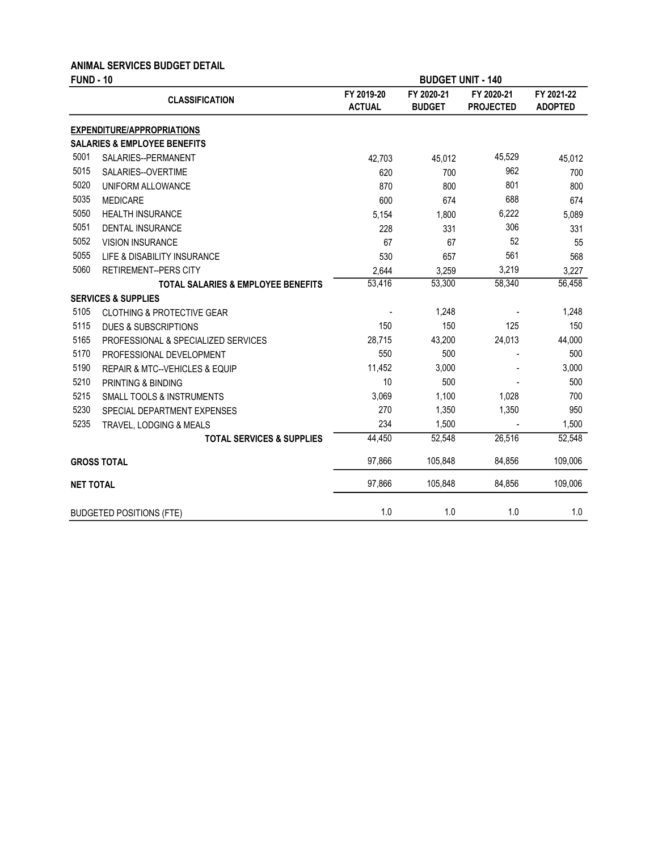#### ANIMAL SERVICES BUDGET DETAIL

| <b>FUND - 10</b> |                                               | <b>BUDGET UNIT - 140</b>    |                             |                                |                              |  |
|------------------|-----------------------------------------------|-----------------------------|-----------------------------|--------------------------------|------------------------------|--|
|                  | <b>CLASSIFICATION</b>                         | FY 2019-20<br><b>ACTUAL</b> | FY 2020-21<br><b>BUDGET</b> | FY 2020-21<br><b>PROJECTED</b> | FY 2021-22<br><b>ADOPTED</b> |  |
|                  | <b>EXPENDITURE/APPROPRIATIONS</b>             |                             |                             |                                |                              |  |
|                  | <b>SALARIES &amp; EMPLOYEE BENEFITS</b>       |                             |                             |                                |                              |  |
| 5001             | SALARIES--PERMANENT                           | 42,703                      | 45,012                      | 45,529                         | 45,012                       |  |
| 5015             | SALARIES--OVERTIME                            | 620                         | 700                         | 962                            | 700                          |  |
| 5020             | UNIFORM ALLOWANCE                             | 870                         | 800                         | 801                            | 800                          |  |
| 5035             | <b>MEDICARE</b>                               | 600                         | 674                         | 688                            | 674                          |  |
| 5050             | <b>HEALTH INSURANCE</b>                       | 5,154                       | 1,800                       | 6,222                          | 5,089                        |  |
| 5051             | <b>DENTAL INSURANCE</b>                       | 228                         | 331                         | 306                            | 331                          |  |
| 5052             | <b>VISION INSURANCE</b>                       | 67                          | 67                          | 52                             | 55                           |  |
| 5055             | LIFE & DISABILITY INSURANCE                   | 530                         | 657                         | 561                            | 568                          |  |
| 5060             | <b>RETIREMENT--PERS CITY</b>                  | 2,644                       | 3,259                       | 3,219                          | 3,227                        |  |
|                  | TOTAL SALARIES & EMPLOYEE BENEFITS            | 53,416                      | 53,300                      | 58,340                         | 56,458                       |  |
|                  | <b>SERVICES &amp; SUPPLIES</b>                |                             |                             |                                |                              |  |
| 5105             | <b>CLOTHING &amp; PROTECTIVE GEAR</b>         |                             | 1,248                       |                                | 1,248                        |  |
| 5115             | <b>DUES &amp; SUBSCRIPTIONS</b>               | 150                         | 150                         | 125                            | 150                          |  |
| 5165             | PROFESSIONAL & SPECIALIZED SERVICES           | 28,715                      | 43,200                      | 24,013                         | 44,000                       |  |
| 5170             | PROFESSIONAL DEVELOPMENT                      | 550                         | 500                         |                                | 500                          |  |
| 5190             | <b>REPAIR &amp; MTC--VEHICLES &amp; EQUIP</b> | 11,452                      | 3,000                       |                                | 3,000                        |  |
| 5210             | PRINTING & BINDING                            | 10                          | 500                         |                                | 500                          |  |
| 5215             | SMALL TOOLS & INSTRUMENTS                     | 3,069                       | 1,100                       | 1,028                          | 700                          |  |
| 5230             | SPECIAL DEPARTMENT EXPENSES                   | 270                         | 1,350                       | 1,350                          | 950                          |  |
| 5235             | TRAVEL, LODGING & MEALS                       | 234                         | 1,500                       |                                | 1,500                        |  |
|                  | <b>TOTAL SERVICES &amp; SUPPLIES</b>          | 44,450                      | 52.548                      | 26,516                         | 52,548                       |  |
|                  | <b>GROSS TOTAL</b>                            | 97,866                      | 105,848                     | 84,856                         | 109,006                      |  |
| <b>NET TOTAL</b> |                                               | 97,866                      | 105,848                     | 84,856                         | 109,006                      |  |
|                  | <b>BUDGETED POSITIONS (FTE)</b>               | 1.0                         | 1.0                         | 1.0                            | 1.0                          |  |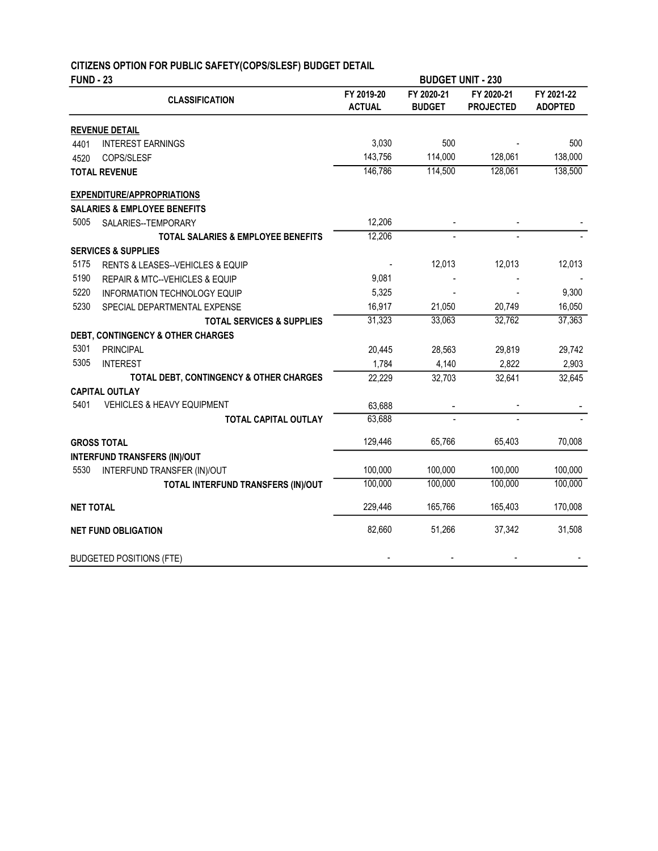# CITIZENS OPTION FOR PUBLIC SAFETY(COPS/SLESF) BUDGET DETAIL

| <b>FUND - 23</b> |                                               |                             | <b>BUDGET UNIT - 230</b>    |                                |                              |
|------------------|-----------------------------------------------|-----------------------------|-----------------------------|--------------------------------|------------------------------|
|                  | <b>CLASSIFICATION</b>                         | FY 2019-20<br><b>ACTUAL</b> | FY 2020-21<br><b>BUDGET</b> | FY 2020-21<br><b>PROJECTED</b> | FY 2021-22<br><b>ADOPTED</b> |
|                  | <b>REVENUE DETAIL</b>                         |                             |                             |                                |                              |
| 4401             | <b>INTEREST EARNINGS</b>                      | 3,030                       | 500                         |                                | 500                          |
| 4520             | COPS/SLESF                                    | 143,756                     | 114,000                     | 128,061                        | 138,000                      |
|                  | <b>TOTAL REVENUE</b>                          | 146,786                     | 114,500                     | 128,061                        | 138,500                      |
|                  | <b>EXPENDITURE/APPROPRIATIONS</b>             |                             |                             |                                |                              |
|                  | <b>SALARIES &amp; EMPLOYEE BENEFITS</b>       |                             |                             |                                |                              |
| 5005             | SALARIES--TEMPORARY                           | 12,206                      |                             |                                |                              |
|                  | <b>TOTAL SALARIES &amp; EMPLOYEE BENEFITS</b> | 12,206                      |                             |                                |                              |
|                  | <b>SERVICES &amp; SUPPLIES</b>                |                             |                             |                                |                              |
| 5175             | RENTS & LEASES--VEHICLES & EQUIP              |                             | 12,013                      | 12,013                         | 12,013                       |
| 5190             | REPAIR & MTC--VEHICLES & EQUIP                | 9,081                       |                             |                                |                              |
| 5220             | <b>INFORMATION TECHNOLOGY EQUIP</b>           | 5,325                       |                             |                                | 9,300                        |
| 5230             | SPECIAL DEPARTMENTAL EXPENSE                  | 16,917                      | 21,050                      | 20,749                         | 16,050                       |
|                  | <b>TOTAL SERVICES &amp; SUPPLIES</b>          | 31,323                      | 33,063                      | 32,762                         | 37,363                       |
|                  | DEBT, CONTINGENCY & OTHER CHARGES             |                             |                             |                                |                              |
| 5301             | <b>PRINCIPAL</b>                              | 20,445                      | 28,563                      | 29,819                         | 29,742                       |
| 5305             | <b>INTEREST</b>                               | 1,784                       | 4,140                       | 2,822                          | 2,903                        |
|                  | TOTAL DEBT, CONTINGENCY & OTHER CHARGES       | 22,229                      | 32,703                      | 32,641                         | 32,645                       |
|                  | <b>CAPITAL OUTLAY</b>                         |                             |                             |                                |                              |
| 5401             | <b>VEHICLES &amp; HEAVY EQUIPMENT</b>         | 63,688                      |                             |                                |                              |
|                  | <b>TOTAL CAPITAL OUTLAY</b>                   | 63,688                      |                             |                                |                              |
|                  | <b>GROSS TOTAL</b>                            | 129,446                     | 65,766                      | 65,403                         | 70,008                       |
|                  | <b>INTERFUND TRANSFERS (IN)/OUT</b>           |                             |                             |                                |                              |
| 5530             | INTERFUND TRANSFER (IN)/OUT                   | 100,000                     | 100,000                     | 100,000                        | 100,000                      |
|                  | TOTAL INTERFUND TRANSFERS (IN)/OUT            | 100,000                     | 100,000                     | 100,000                        | 100,000                      |
| <b>NET TOTAL</b> |                                               | 229,446                     | 165,766                     | 165,403                        | 170,008                      |
|                  | <b>NET FUND OBLIGATION</b>                    | 82,660                      | 51,266                      | 37,342                         | 31,508                       |
|                  | <b>BUDGETED POSITIONS (FTE)</b>               |                             |                             |                                |                              |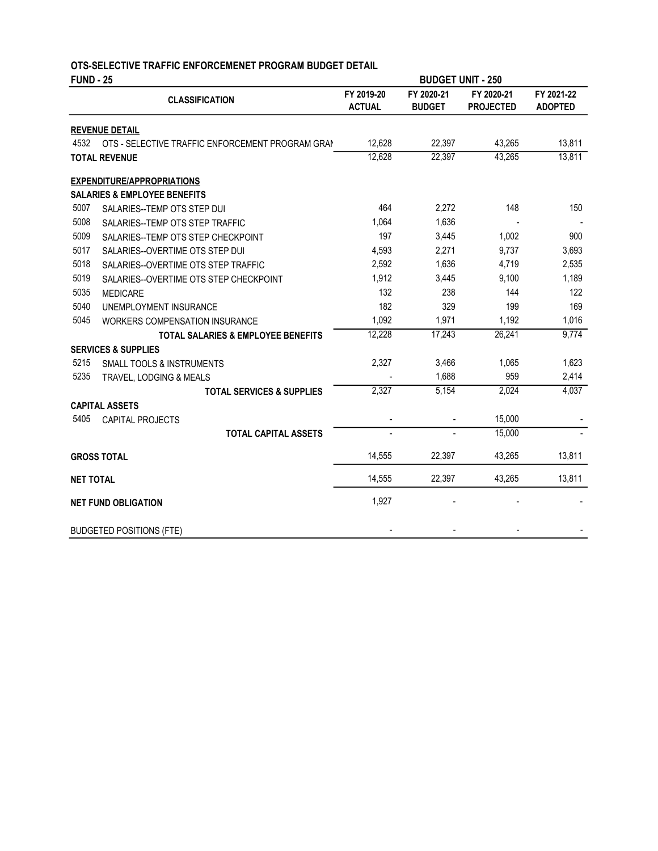| <b>FUND - 25</b> |                                                  |                             | <b>BUDGET UNIT - 250</b>    |                                |                              |  |
|------------------|--------------------------------------------------|-----------------------------|-----------------------------|--------------------------------|------------------------------|--|
|                  | <b>CLASSIFICATION</b>                            | FY 2019-20<br><b>ACTUAL</b> | FY 2020-21<br><b>BUDGET</b> | FY 2020-21<br><b>PROJECTED</b> | FY 2021-22<br><b>ADOPTED</b> |  |
|                  | <b>REVENUE DETAIL</b>                            |                             |                             |                                |                              |  |
| 4532             | OTS - SELECTIVE TRAFFIC ENFORCEMENT PROGRAM GRAN | 12,628                      | 22,397                      | 43,265                         | 13,811                       |  |
|                  | <b>TOTAL REVENUE</b>                             | 12,628                      | 22,397                      | 43,265                         | 13,811                       |  |
|                  | <b>EXPENDITURE/APPROPRIATIONS</b>                |                             |                             |                                |                              |  |
|                  | <b>SALARIES &amp; EMPLOYEE BENEFITS</b>          |                             |                             |                                |                              |  |
| 5007             | SALARIES--TEMP OTS STEP DUI                      | 464                         | 2,272                       | 148                            | 150                          |  |
| 5008             | SALARIES--TEMP OTS STEP TRAFFIC                  | 1.064                       | 1,636                       |                                |                              |  |
| 5009             | SALARIES--TEMP OTS STEP CHECKPOINT               | 197                         | 3,445                       | 1,002                          | 900                          |  |
| 5017             | SALARIES--OVERTIME OTS STEP DUI                  | 4,593                       | 2,271                       | 9,737                          | 3,693                        |  |
| 5018             | SALARIES--OVERTIME OTS STEP TRAFFIC              | 2,592                       | 1,636                       | 4,719                          | 2,535                        |  |
| 5019             | SALARIES--OVERTIME OTS STEP CHECKPOINT           | 1,912                       | 3,445                       | 9,100                          | 1,189                        |  |
| 5035             | <b>MEDICARE</b>                                  | 132                         | 238                         | 144                            | 122                          |  |
| 5040             | UNEMPLOYMENT INSURANCE                           | 182                         | 329                         | 199                            | 169                          |  |
| 5045             | <b>WORKERS COMPENSATION INSURANCE</b>            | 1,092                       | 1,971                       | 1,192                          | 1,016                        |  |
|                  | <b>TOTAL SALARIES &amp; EMPLOYEE BENEFITS</b>    | 12,228                      | 17,243                      | 26,241                         | 9,774                        |  |
|                  | <b>SERVICES &amp; SUPPLIES</b>                   |                             |                             |                                |                              |  |
| 5215             | <b>SMALL TOOLS &amp; INSTRUMENTS</b>             | 2,327                       | 3,466                       | 1,065                          | 1,623                        |  |
| 5235             | TRAVEL, LODGING & MEALS                          |                             | 1,688                       | 959                            | 2,414                        |  |
|                  | <b>TOTAL SERVICES &amp; SUPPLIES</b>             | 2,327                       | 5,154                       | 2,024                          | 4,037                        |  |
|                  | <b>CAPITAL ASSETS</b>                            |                             |                             |                                |                              |  |
| 5405             | CAPITAL PROJECTS                                 |                             |                             | 15,000                         |                              |  |
|                  | <b>TOTAL CAPITAL ASSETS</b>                      |                             |                             | 15,000                         |                              |  |
|                  | <b>GROSS TOTAL</b>                               | 14,555                      | 22,397                      | 43,265                         | 13,811                       |  |
| <b>NET TOTAL</b> |                                                  | 14,555                      | 22,397                      | 43,265                         | 13,811                       |  |
|                  | <b>NET FUND OBLIGATION</b>                       | 1,927                       |                             |                                |                              |  |
|                  | <b>BUDGETED POSITIONS (FTE)</b>                  |                             |                             |                                |                              |  |

#### OTS-SELECTIVE TRAFFIC ENFORCEMENET PROGRAM BUDGET DETAIL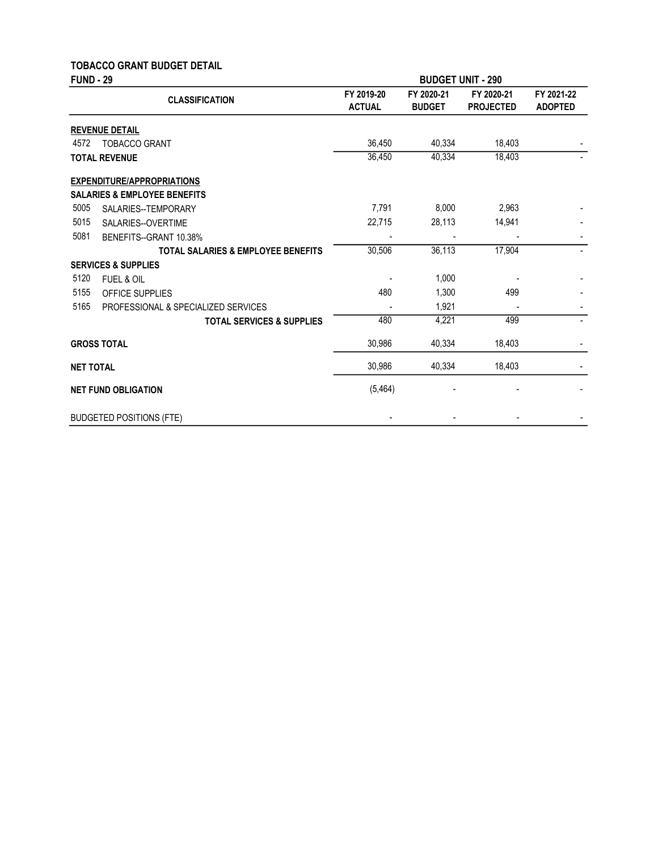# TOBACCO GRANT BUDGET DETAIL

| <b>FUND - 29</b> |                                               |                             | <b>BUDGET UNIT - 290</b>    |                                |                              |
|------------------|-----------------------------------------------|-----------------------------|-----------------------------|--------------------------------|------------------------------|
|                  | <b>CLASSIFICATION</b>                         | FY 2019-20<br><b>ACTUAL</b> | FY 2020-21<br><b>BUDGET</b> | FY 2020-21<br><b>PROJECTED</b> | FY 2021-22<br><b>ADOPTED</b> |
|                  | <b>REVENUE DETAIL</b>                         |                             |                             |                                |                              |
| 4572             | <b>TOBACCO GRANT</b>                          | 36,450                      | 40,334                      | 18,403                         |                              |
|                  | <b>TOTAL REVENUE</b>                          | 36,450                      | 40,334                      | 18,403                         |                              |
|                  | <b>EXPENDITURE/APPROPRIATIONS</b>             |                             |                             |                                |                              |
|                  | <b>SALARIES &amp; EMPLOYEE BENEFITS</b>       |                             |                             |                                |                              |
| 5005             | SALARIES--TEMPORARY                           | 7,791                       | 8,000                       | 2,963                          |                              |
| 5015             | SALARIES--OVERTIME                            | 22,715                      | 28,113                      | 14,941                         |                              |
| 5081             | BENEFITS--GRANT 10.38%                        |                             |                             |                                |                              |
|                  | <b>TOTAL SALARIES &amp; EMPLOYEE BENEFITS</b> | 30,506                      | 36,113                      | 17,904                         | $\overline{\phantom{0}}$     |
|                  | <b>SERVICES &amp; SUPPLIES</b>                |                             |                             |                                |                              |
| 5120             | <b>FUEL &amp; OIL</b>                         |                             | 1,000                       |                                |                              |
| 5155             | OFFICE SUPPLIES                               | 480                         | 1,300                       | 499                            |                              |
| 5165             | PROFESSIONAL & SPECIALIZED SERVICES           |                             | 1,921                       |                                |                              |
|                  | <b>TOTAL SERVICES &amp; SUPPLIES</b>          | 480                         | 4,221                       | 499                            |                              |
|                  | <b>GROSS TOTAL</b>                            | 30,986                      | 40,334                      | 18,403                         |                              |
| <b>NET TOTAL</b> |                                               | 30,986                      | 40,334                      | 18,403                         |                              |
|                  | <b>NET FUND OBLIGATION</b>                    | (5, 464)                    |                             |                                |                              |
|                  | <b>BUDGETED POSITIONS (FTE)</b>               |                             |                             |                                |                              |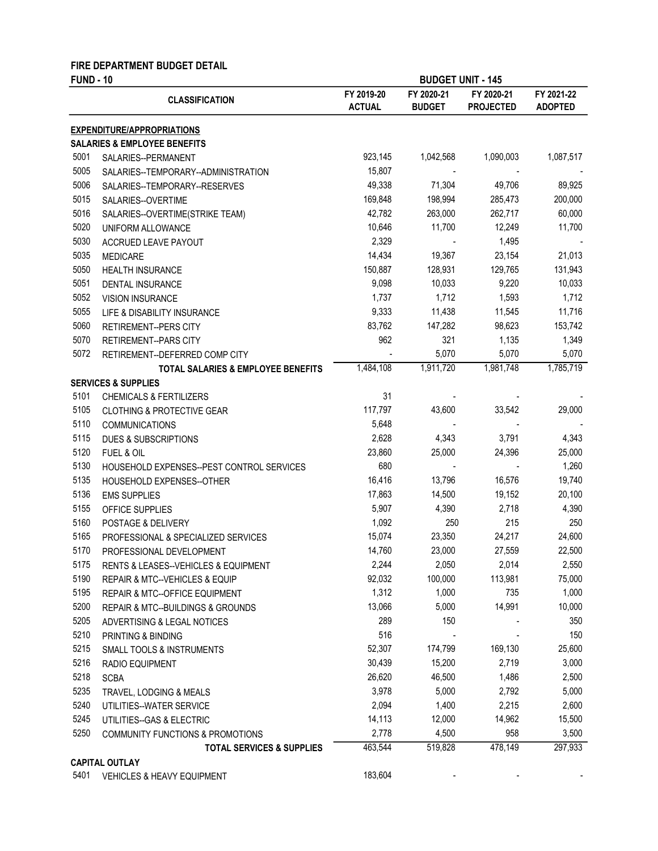#### FIRE DEPARTMENT BUDGET DETAIL

| <b>FUND - 10</b> |                                                     | <b>BUDGET UNIT - 145</b>    |                             |                                |                              |
|------------------|-----------------------------------------------------|-----------------------------|-----------------------------|--------------------------------|------------------------------|
|                  | <b>CLASSIFICATION</b>                               | FY 2019-20<br><b>ACTUAL</b> | FY 2020-21<br><b>BUDGET</b> | FY 2020-21<br><b>PROJECTED</b> | FY 2021-22<br><b>ADOPTED</b> |
|                  | <b>EXPENDITURE/APPROPRIATIONS</b>                   |                             |                             |                                |                              |
|                  | <b>SALARIES &amp; EMPLOYEE BENEFITS</b>             |                             |                             |                                |                              |
| 5001             | SALARIES--PERMANENT                                 | 923,145                     | 1,042,568                   | 1,090,003                      | 1,087,517                    |
| 5005             | SALARIES--TEMPORARY--ADMINISTRATION                 | 15,807                      |                             |                                |                              |
| 5006             | SALARIES--TEMPORARY--RESERVES                       | 49,338                      | 71,304                      | 49,706                         | 89,925                       |
| 5015             | SALARIES--OVERTIME                                  | 169,848                     | 198,994                     | 285,473                        | 200,000                      |
| 5016             | SALARIES--OVERTIME(STRIKE TEAM)                     | 42,782                      | 263,000                     | 262,717                        | 60,000                       |
| 5020             | UNIFORM ALLOWANCE                                   | 10,646                      | 11,700                      | 12,249                         | 11,700                       |
| 5030             | ACCRUED LEAVE PAYOUT                                | 2,329                       |                             | 1,495                          |                              |
| 5035             | <b>MEDICARE</b>                                     | 14,434                      | 19,367                      | 23,154                         | 21,013                       |
| 5050             | <b>HEALTH INSURANCE</b>                             | 150,887                     | 128,931                     | 129,765                        | 131,943                      |
| 5051             | DENTAL INSURANCE                                    | 9,098                       | 10,033                      | 9,220                          | 10,033                       |
| 5052             | <b>VISION INSURANCE</b>                             | 1,737                       | 1,712                       | 1,593                          | 1,712                        |
| 5055             | LIFE & DISABILITY INSURANCE                         | 9,333                       | 11,438                      | 11,545                         | 11,716                       |
| 5060             | <b>RETIREMENT--PERS CITY</b>                        | 83,762                      | 147,282                     | 98,623                         | 153,742                      |
| 5070             | <b>RETIREMENT--PARS CITY</b>                        | 962                         | 321                         | 1,135                          | 1,349                        |
| 5072             | RETIREMENT--DEFERRED COMP CITY                      |                             | 5,070                       | 5,070                          | 5,070                        |
|                  | TOTAL SALARIES & EMPLOYEE BENEFITS                  | 1,484,108                   | 1,911,720                   | 1,981,748                      | 1,785,719                    |
|                  | <b>SERVICES &amp; SUPPLIES</b>                      |                             |                             |                                |                              |
| 5101             | <b>CHEMICALS &amp; FERTILIZERS</b>                  | 31                          |                             |                                |                              |
| 5105             | <b>CLOTHING &amp; PROTECTIVE GEAR</b>               | 117,797                     | 43,600                      | 33,542                         | 29,000                       |
| 5110             | <b>COMMUNICATIONS</b>                               | 5,648                       |                             |                                |                              |
| 5115             | <b>DUES &amp; SUBSCRIPTIONS</b>                     | 2,628                       | 4,343                       | 3,791                          | 4,343                        |
| 5120             | FUEL & OIL                                          | 23,860                      | 25,000                      | 24,396                         | 25,000                       |
| 5130             | HOUSEHOLD EXPENSES--PEST CONTROL SERVICES           | 680                         |                             |                                | 1,260                        |
| 5135             | HOUSEHOLD EXPENSES--OTHER                           | 16,416                      | 13,796                      | 16,576                         | 19,740                       |
| 5136             | <b>EMS SUPPLIES</b>                                 | 17,863                      | 14,500                      | 19,152                         | 20,100                       |
| 5155             | OFFICE SUPPLIES                                     | 5,907                       | 4,390                       | 2,718                          | 4,390                        |
| 5160             | POSTAGE & DELIVERY                                  | 1,092                       | 250                         | 215                            | 250                          |
| 5165             | PROFESSIONAL & SPECIALIZED SERVICES                 | 15,074                      | 23,350                      | 24,217                         | 24,600                       |
| 5170             | PROFESSIONAL DEVELOPMENT                            | 14,760                      | 23,000                      | 27,559                         | 22,500                       |
| 5175             | <b>RENTS &amp; LEASES--VEHICLES &amp; EQUIPMENT</b> | 2,244                       | 2,050                       | 2,014                          | 2,550                        |
| 5190             | REPAIR & MTC--VEHICLES & EQUIP                      | 92,032                      | 100,000                     | 113,981                        | 75,000                       |
| 5195             | REPAIR & MTC--OFFICE EQUIPMENT                      | 1,312                       | 1,000                       | 735                            | 1,000                        |
| 5200             | REPAIR & MTC--BUILDINGS & GROUNDS                   | 13,066                      | 5,000                       | 14,991                         | 10,000                       |
| 5205             | ADVERTISING & LEGAL NOTICES                         | 289                         | 150                         |                                | 350                          |
| 5210             | PRINTING & BINDING                                  | 516                         |                             |                                | 150                          |
| 5215             | SMALL TOOLS & INSTRUMENTS                           | 52,307                      | 174,799                     | 169,130                        | 25,600                       |
| 5216             | RADIO EQUIPMENT                                     | 30,439                      | 15,200                      | 2,719                          | 3,000                        |
| 5218             | <b>SCBA</b>                                         | 26,620                      | 46,500                      | 1,486                          | 2,500                        |
| 5235             | TRAVEL, LODGING & MEALS                             | 3,978                       | 5,000                       | 2,792                          | 5,000                        |
| 5240             | UTILITIES--WATER SERVICE                            | 2,094                       | 1,400                       | 2,215                          | 2,600                        |
| 5245             | UTILITIES--GAS & ELECTRIC                           | 14,113                      | 12,000                      | 14,962                         | 15,500                       |
| 5250             | <b>COMMUNITY FUNCTIONS &amp; PROMOTIONS</b>         | 2,778                       | 4,500                       | 958                            | 3,500                        |
|                  | <b>TOTAL SERVICES &amp; SUPPLIES</b>                | 463,544                     | 519,828                     | 478,149                        | 297,933                      |
|                  | <b>CAPITAL OUTLAY</b>                               |                             |                             |                                |                              |
| 5401             | <b>VEHICLES &amp; HEAVY EQUIPMENT</b>               | 183,604                     |                             |                                |                              |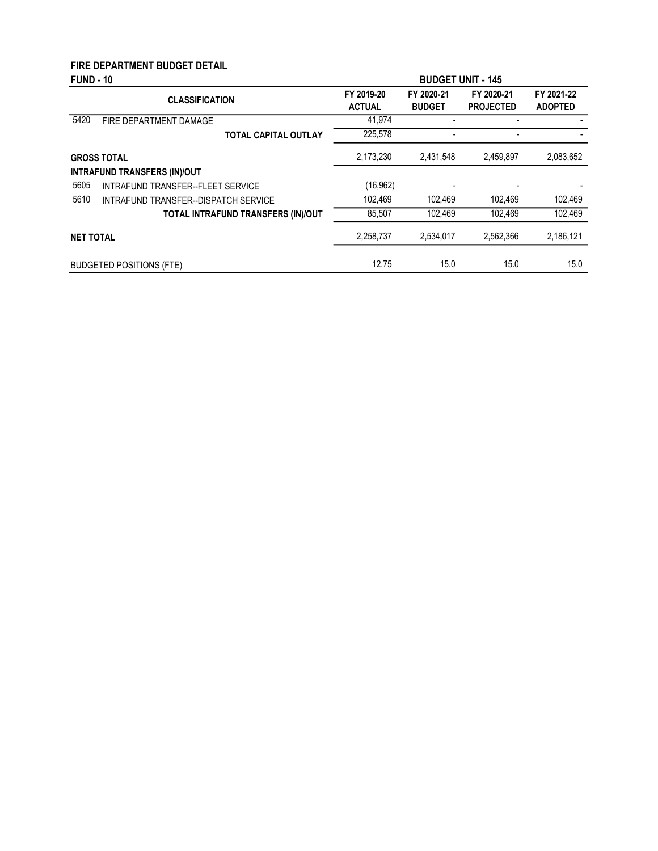# FIRE DEPARTMENT BUDGET DETAIL

| <b>FUND - 10</b> |                                      | <b>BUDGET UNIT - 145</b>    |                             |                                |                              |
|------------------|--------------------------------------|-----------------------------|-----------------------------|--------------------------------|------------------------------|
|                  | <b>CLASSIFICATION</b>                | FY 2019-20<br><b>ACTUAL</b> | FY 2020-21<br><b>BUDGET</b> | FY 2020-21<br><b>PROJECTED</b> | FY 2021-22<br><b>ADOPTED</b> |
| 5420             | FIRE DEPARTMENT DAMAGE               | 41.974                      |                             |                                |                              |
|                  | <b>TOTAL CAPITAL OUTLAY</b>          | 225,578                     |                             |                                |                              |
|                  | <b>GROSS TOTAL</b>                   | 2,173,230                   | 2,431,548                   | 2,459,897                      | 2,083,652                    |
|                  | <b>INTRAFUND TRANSFERS (IN)/OUT</b>  |                             |                             |                                |                              |
| 5605             | INTRAFUND TRANSFER--FLEET SERVICE    | (16, 962)                   |                             |                                |                              |
| 5610             | INTRAFUND TRANSFER--DISPATCH SERVICE | 102.469                     | 102.469                     | 102.469                        | 102,469                      |
|                  | TOTAL INTRAFUND TRANSFERS (IN)/OUT   | 85,507                      | 102.469                     | 102.469                        | 102.469                      |
| <b>NET TOTAL</b> |                                      | 2.258.737                   | 2.534.017                   | 2.562.366                      | 2,186,121                    |
|                  | <b>BUDGETED POSITIONS (FTE)</b>      | 12.75                       | 15.0                        | 15.0                           | 15.0                         |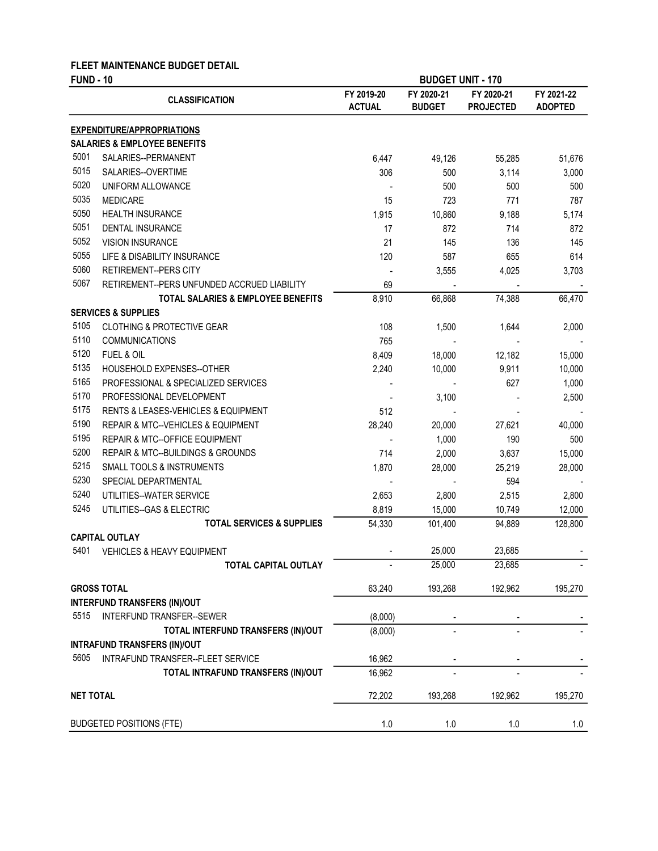### FLEET MAINTENANCE BUDGET DETAIL

| <b>FUND - 10</b> |                                               | <b>BUDGET UNIT - 170</b>    |                             |                                |                              |
|------------------|-----------------------------------------------|-----------------------------|-----------------------------|--------------------------------|------------------------------|
|                  | <b>CLASSIFICATION</b>                         | FY 2019-20<br><b>ACTUAL</b> | FY 2020-21<br><b>BUDGET</b> | FY 2020-21<br><b>PROJECTED</b> | FY 2021-22<br><b>ADOPTED</b> |
|                  | <b>EXPENDITURE/APPROPRIATIONS</b>             |                             |                             |                                |                              |
|                  | <b>SALARIES &amp; EMPLOYEE BENEFITS</b>       |                             |                             |                                |                              |
| 5001             | SALARIES--PERMANENT                           | 6,447                       | 49,126                      | 55,285                         | 51,676                       |
| 5015             | SALARIES--OVERTIME                            | 306                         | 500                         | 3,114                          | 3,000                        |
| 5020             | UNIFORM ALLOWANCE                             |                             | 500                         | 500                            | 500                          |
| 5035             | <b>MEDICARE</b>                               | 15                          | 723                         | 771                            | 787                          |
| 5050             | <b>HEALTH INSURANCE</b>                       | 1,915                       | 10,860                      | 9,188                          | 5,174                        |
| 5051             | <b>DENTAL INSURANCE</b>                       | 17                          | 872                         | 714                            | 872                          |
| 5052             | <b>VISION INSURANCE</b>                       | 21                          | 145                         | 136                            | 145                          |
| 5055             | LIFE & DISABILITY INSURANCE                   | 120                         | 587                         | 655                            | 614                          |
| 5060             | <b>RETIREMENT--PERS CITY</b>                  |                             | 3,555                       | 4,025                          | 3,703                        |
| 5067             | RETIREMENT--PERS UNFUNDED ACCRUED LIABILITY   | 69                          |                             |                                |                              |
|                  | <b>TOTAL SALARIES &amp; EMPLOYEE BENEFITS</b> | 8,910                       | 66,868                      | 74,388                         | 66,470                       |
|                  | <b>SERVICES &amp; SUPPLIES</b>                |                             |                             |                                |                              |
| 5105             | <b>CLOTHING &amp; PROTECTIVE GEAR</b>         | 108                         | 1,500                       | 1,644                          | 2,000                        |
| 5110             | <b>COMMUNICATIONS</b>                         | 765                         |                             |                                |                              |
| 5120             | FUEL & OIL                                    | 8,409                       | 18,000                      | 12,182                         | 15,000                       |
| 5135             | HOUSEHOLD EXPENSES--OTHER                     | 2,240                       | 10,000                      | 9,911                          | 10,000                       |
| 5165             | PROFESSIONAL & SPECIALIZED SERVICES           |                             |                             | 627                            | 1,000                        |
| 5170             | PROFESSIONAL DEVELOPMENT                      |                             | 3,100                       |                                | 2,500                        |
| 5175             | RENTS & LEASES-VEHICLES & EQUIPMENT           | 512                         |                             |                                |                              |
| 5190             | REPAIR & MTC--VEHICLES & EQUIPMENT            | 28,240                      | 20,000                      | 27,621                         | 40,000                       |
| 5195             | <b>REPAIR &amp; MTC--OFFICE EQUIPMENT</b>     |                             | 1,000                       | 190                            | 500                          |
| 5200             | REPAIR & MTC--BUILDINGS & GROUNDS             | 714                         | 2,000                       | 3,637                          | 15,000                       |
| 5215             | <b>SMALL TOOLS &amp; INSTRUMENTS</b>          | 1,870                       | 28,000                      | 25,219                         | 28,000                       |
| 5230             | SPECIAL DEPARTMENTAL                          |                             |                             | 594                            |                              |
| 5240             | UTILITIES--WATER SERVICE                      | 2,653                       | 2,800                       | 2,515                          | 2,800                        |
| 5245             | UTILITIES--GAS & ELECTRIC                     | 8,819                       | 15,000                      | 10,749                         | 12,000                       |
|                  | <b>TOTAL SERVICES &amp; SUPPLIES</b>          | 54,330                      | 101,400                     | 94,889                         | 128,800                      |
|                  | <b>CAPITAL OUTLAY</b>                         |                             |                             |                                |                              |
| 5401             | <b>VEHICLES &amp; HEAVY EQUIPMENT</b>         |                             | 25,000                      | 23,685                         |                              |
|                  | TOTAL CAPITAL OUTLAY                          |                             | 25,000                      | 23,685                         |                              |
|                  | <b>GROSS TOTAL</b>                            | 63,240                      | 193,268                     | 192,962                        | 195,270                      |
|                  | <b>INTERFUND TRANSFERS (IN)/OUT</b>           |                             |                             |                                |                              |
| 5515             | INTERFUND TRANSFER--SEWER                     | (8,000)                     |                             |                                |                              |
|                  | TOTAL INTERFUND TRANSFERS (IN)/OUT            | (8,000)                     |                             |                                |                              |
|                  | <b>INTRAFUND TRANSFERS (IN)/OUT</b>           |                             |                             |                                |                              |
| 5605             | INTRAFUND TRANSFER--FLEET SERVICE             | 16,962                      |                             |                                |                              |
|                  | TOTAL INTRAFUND TRANSFERS (IN)/OUT            | 16,962                      |                             |                                |                              |
| <b>NET TOTAL</b> |                                               | 72,202                      | 193,268                     | 192,962                        | 195,270                      |
|                  | <b>BUDGETED POSITIONS (FTE)</b>               | 1.0                         | $1.0$                       | $1.0$                          | 1.0                          |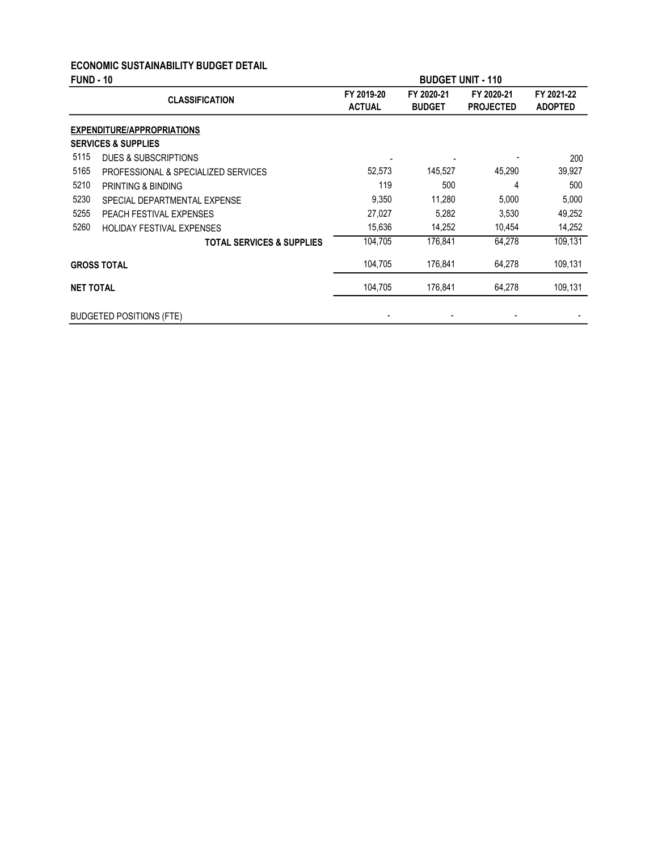### ECONOMIC SUSTAINABILITY BUDGET DETAIL

| <b>FUND - 10</b> |                                      |                             |                             | <b>BUDGET UNIT - 110</b>       |                              |
|------------------|--------------------------------------|-----------------------------|-----------------------------|--------------------------------|------------------------------|
|                  | <b>CLASSIFICATION</b>                | FY 2019-20<br><b>ACTUAL</b> | FY 2020-21<br><b>BUDGET</b> | FY 2020-21<br><b>PROJECTED</b> | FY 2021-22<br><b>ADOPTED</b> |
|                  | <b>EXPENDITURE/APPROPRIATIONS</b>    |                             |                             |                                |                              |
|                  | <b>SERVICES &amp; SUPPLIES</b>       |                             |                             |                                |                              |
| 5115             | DUES & SUBSCRIPTIONS                 |                             |                             |                                | 200                          |
| 5165             | PROFESSIONAL & SPECIALIZED SERVICES  | 52,573                      | 145,527                     | 45,290                         | 39,927                       |
| 5210             | PRINTING & BINDING                   | 119                         | 500                         | 4                              | 500                          |
| 5230             | SPECIAL DEPARTMENTAL EXPENSE         | 9,350                       | 11,280                      | 5,000                          | 5,000                        |
| 5255             | PEACH FESTIVAL EXPENSES              | 27,027                      | 5,282                       | 3,530                          | 49,252                       |
| 5260             | <b>HOLIDAY FESTIVAL EXPENSES</b>     | 15,636                      | 14,252                      | 10.454                         | 14,252                       |
|                  | <b>TOTAL SERVICES &amp; SUPPLIES</b> | 104,705                     | 176,841                     | 64,278                         | 109,131                      |
|                  | <b>GROSS TOTAL</b>                   | 104,705                     | 176,841                     | 64,278                         | 109,131                      |
| <b>NET TOTAL</b> |                                      | 104,705                     | 176,841                     | 64,278                         | 109,131                      |
|                  | <b>BUDGETED POSITIONS (FTE)</b>      |                             |                             |                                |                              |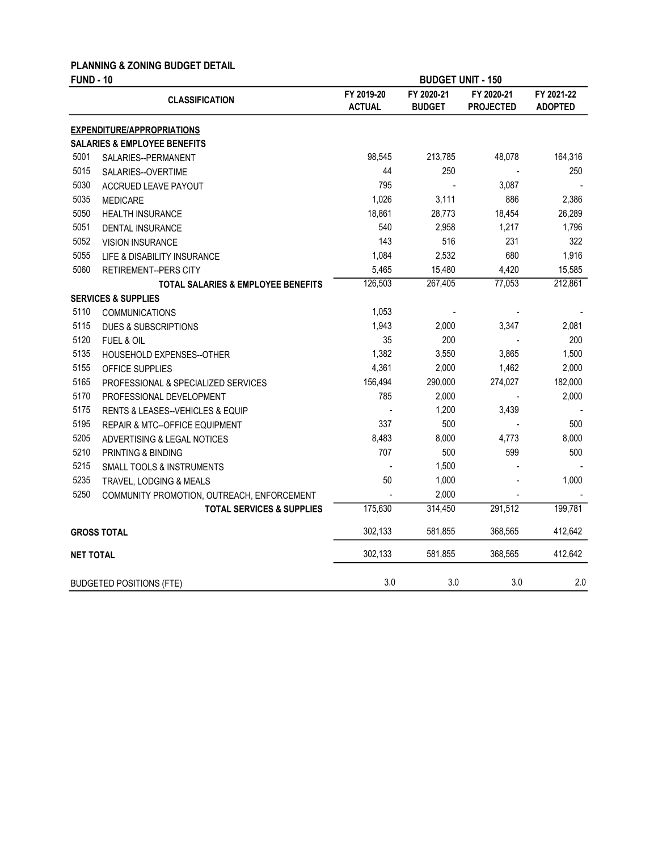### PLANNING & ZONING BUDGET DETAIL

| <b>FUND - 10</b> |                                               |                             | <b>BUDGET UNIT - 150</b>    |                                |                              |  |
|------------------|-----------------------------------------------|-----------------------------|-----------------------------|--------------------------------|------------------------------|--|
|                  | <b>CLASSIFICATION</b>                         | FY 2019-20<br><b>ACTUAL</b> | FY 2020-21<br><b>BUDGET</b> | FY 2020-21<br><b>PROJECTED</b> | FY 2021-22<br><b>ADOPTED</b> |  |
|                  | <b>EXPENDITURE/APPROPRIATIONS</b>             |                             |                             |                                |                              |  |
|                  | <b>SALARIES &amp; EMPLOYEE BENEFITS</b>       |                             |                             |                                |                              |  |
| 5001             | SALARIES--PERMANENT                           | 98,545                      | 213,785                     | 48,078                         | 164,316                      |  |
| 5015             | SALARIES--OVERTIME                            | 44                          | 250                         |                                | 250                          |  |
| 5030             | ACCRUED LEAVE PAYOUT                          | 795                         |                             | 3,087                          |                              |  |
| 5035             | <b>MEDICARE</b>                               | 1,026                       | 3,111                       | 886                            | 2,386                        |  |
| 5050             | <b>HEALTH INSURANCE</b>                       | 18,861                      | 28,773                      | 18,454                         | 26,289                       |  |
| 5051             | DENTAL INSURANCE                              | 540                         | 2,958                       | 1,217                          | 1,796                        |  |
| 5052             | <b>VISION INSURANCE</b>                       | 143                         | 516                         | 231                            | 322                          |  |
| 5055             | LIFE & DISABILITY INSURANCE                   | 1,084                       | 2,532                       | 680                            | 1,916                        |  |
| 5060             | <b>RETIREMENT--PERS CITY</b>                  | 5,465                       | 15,480                      | 4,420                          | 15,585                       |  |
|                  | <b>TOTAL SALARIES &amp; EMPLOYEE BENEFITS</b> | 126,503                     | 267,405                     | 77,053                         | 212,861                      |  |
|                  | <b>SERVICES &amp; SUPPLIES</b>                |                             |                             |                                |                              |  |
| 5110             | <b>COMMUNICATIONS</b>                         | 1,053                       |                             |                                |                              |  |
| 5115             | <b>DUES &amp; SUBSCRIPTIONS</b>               | 1,943                       | 2,000                       | 3,347                          | 2,081                        |  |
| 5120             | <b>FUEL &amp; OIL</b>                         | 35                          | 200                         |                                | 200                          |  |
| 5135             | HOUSEHOLD EXPENSES--OTHER                     | 1,382                       | 3,550                       | 3,865                          | 1,500                        |  |
| 5155             | OFFICE SUPPLIES                               | 4,361                       | 2,000                       | 1,462                          | 2,000                        |  |
| 5165             | PROFESSIONAL & SPECIALIZED SERVICES           | 156,494                     | 290,000                     | 274,027                        | 182,000                      |  |
| 5170             | PROFESSIONAL DEVELOPMENT                      | 785                         | 2,000                       |                                | 2,000                        |  |
| 5175             | RENTS & LEASES--VEHICLES & EQUIP              |                             | 1,200                       | 3,439                          |                              |  |
| 5195             | REPAIR & MTC--OFFICE EQUIPMENT                | 337                         | 500                         |                                | 500                          |  |
| 5205             | ADVERTISING & LEGAL NOTICES                   | 8,483                       | 8,000                       | 4,773                          | 8,000                        |  |
| 5210             | PRINTING & BINDING                            | 707                         | 500                         | 599                            | 500                          |  |
| 5215             | SMALL TOOLS & INSTRUMENTS                     |                             | 1,500                       |                                |                              |  |
| 5235             | TRAVEL, LODGING & MEALS                       | 50                          | 1,000                       |                                | 1,000                        |  |
| 5250             | COMMUNITY PROMOTION, OUTREACH, ENFORCEMENT    |                             | 2,000                       |                                |                              |  |
|                  | <b>TOTAL SERVICES &amp; SUPPLIES</b>          | 175,630                     | 314,450                     | 291,512                        | 199,781                      |  |
|                  | <b>GROSS TOTAL</b>                            | 302,133                     | 581,855                     | 368,565                        | 412,642                      |  |
| <b>NET TOTAL</b> |                                               | 302,133                     | 581,855                     | 368,565                        | 412,642                      |  |
|                  | <b>BUDGETED POSITIONS (FTE)</b>               | 3.0                         | 3.0                         | 3.0                            | 2.0                          |  |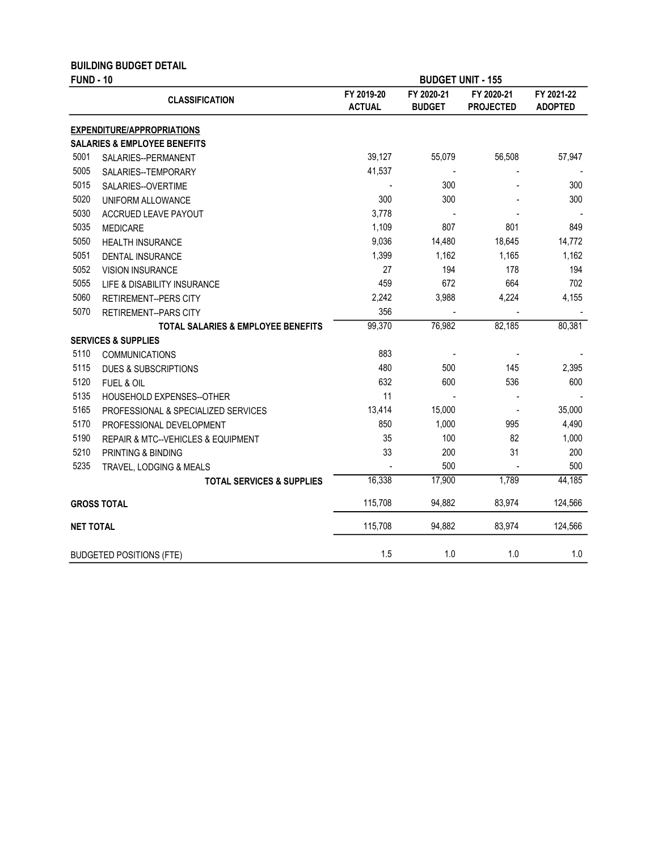| <b>FUND - 10</b> | <b>BUILDING BUDGET DETAIL</b>                 |                             |                             | <b>BUDGET UNIT - 155</b>       |                              |
|------------------|-----------------------------------------------|-----------------------------|-----------------------------|--------------------------------|------------------------------|
|                  | <b>CLASSIFICATION</b>                         | FY 2019-20<br><b>ACTUAL</b> | FY 2020-21<br><b>BUDGET</b> | FY 2020-21<br><b>PROJECTED</b> | FY 2021-22<br><b>ADOPTED</b> |
|                  | <b>EXPENDITURE/APPROPRIATIONS</b>             |                             |                             |                                |                              |
|                  | <b>SALARIES &amp; EMPLOYEE BENEFITS</b>       |                             |                             |                                |                              |
| 5001             | SALARIES--PERMANENT                           | 39,127                      | 55,079                      | 56,508                         | 57,947                       |
| 5005             | SALARIES--TEMPORARY                           | 41,537                      |                             |                                |                              |
| 5015             | SALARIES--OVERTIME                            |                             | 300                         |                                | 300                          |
| 5020             | UNIFORM ALLOWANCE                             | 300                         | 300                         |                                | 300                          |
| 5030             | ACCRUED LEAVE PAYOUT                          | 3,778                       |                             |                                |                              |
| 5035             | <b>MEDICARE</b>                               | 1,109                       | 807                         | 801                            | 849                          |
| 5050             | <b>HEALTH INSURANCE</b>                       | 9,036                       | 14,480                      | 18,645                         | 14,772                       |
| 5051             | DENTAL INSURANCE                              | 1,399                       | 1,162                       | 1,165                          | 1,162                        |
| 5052             | <b>VISION INSURANCE</b>                       | 27                          | 194                         | 178                            | 194                          |
| 5055             | LIFE & DISABILITY INSURANCE                   | 459                         | 672                         | 664                            | 702                          |
| 5060             | <b>RETIREMENT--PERS CITY</b>                  | 2,242                       | 3,988                       | 4,224                          | 4,155                        |
| 5070             | RETIREMENT--PARS CITY                         | 356                         |                             |                                |                              |
|                  | <b>TOTAL SALARIES &amp; EMPLOYEE BENEFITS</b> | 99,370                      | 76,982                      | 82,185                         | 80,381                       |
|                  | <b>SERVICES &amp; SUPPLIES</b>                |                             |                             |                                |                              |
| 5110             | <b>COMMUNICATIONS</b>                         | 883                         |                             |                                |                              |
| 5115             | <b>DUES &amp; SUBSCRIPTIONS</b>               | 480                         | 500                         | 145                            | 2,395                        |
| 5120             | FUEL & OIL                                    | 632                         | 600                         | 536                            | 600                          |
| 5135             | HOUSEHOLD EXPENSES--OTHER                     | 11                          |                             |                                |                              |
| 5165             | PROFESSIONAL & SPECIALIZED SERVICES           | 13,414                      | 15,000                      |                                | 35,000                       |
| 5170             | PROFESSIONAL DEVELOPMENT                      | 850                         | 1,000                       | 995                            | 4,490                        |
| 5190             | REPAIR & MTC--VEHICLES & EQUIPMENT            | 35                          | 100                         | 82                             | 1,000                        |
| 5210             | PRINTING & BINDING                            | 33                          | 200                         | 31                             | 200                          |
| 5235             | TRAVEL, LODGING & MEALS                       |                             | 500                         |                                | 500                          |
|                  | <b>TOTAL SERVICES &amp; SUPPLIES</b>          | 16,338                      | 17,900                      | 1,789                          | 44,185                       |
|                  | <b>GROSS TOTAL</b>                            | 115,708                     | 94,882                      | 83,974                         | 124,566                      |
| <b>NET TOTAL</b> |                                               | 115,708                     | 94.882                      | 83,974                         | 124,566                      |
|                  | <b>BUDGETED POSITIONS (FTE)</b>               | 1.5                         | 1.0                         | 1.0                            | 1.0                          |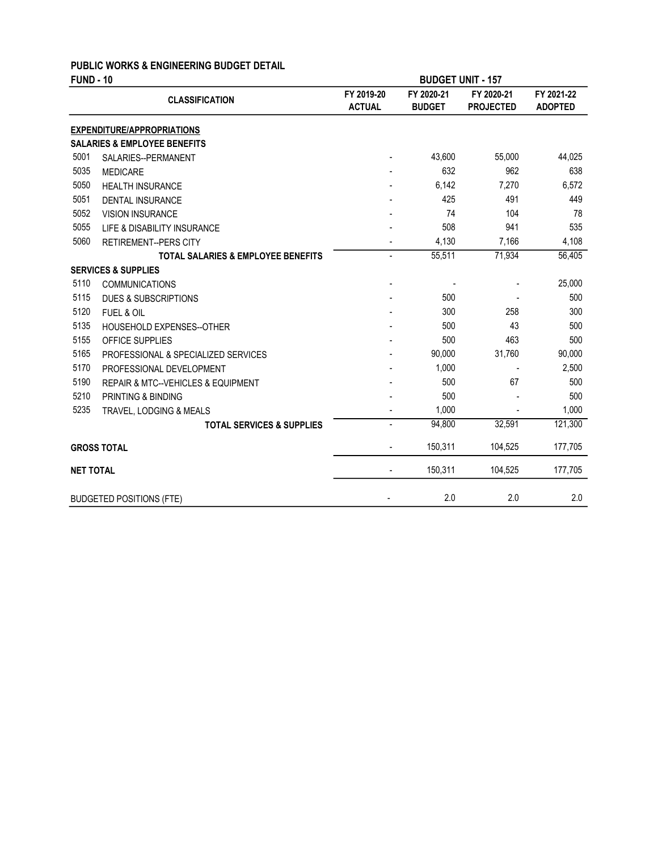### PUBLIC WORKS & ENGINEERING BUDGET DETAIL

| <b>FUND - 10</b> |                                               |                             | <b>BUDGET UNIT - 157</b>    |                                |                              |
|------------------|-----------------------------------------------|-----------------------------|-----------------------------|--------------------------------|------------------------------|
|                  | <b>CLASSIFICATION</b>                         | FY 2019-20<br><b>ACTUAL</b> | FY 2020-21<br><b>BUDGET</b> | FY 2020-21<br><b>PROJECTED</b> | FY 2021-22<br><b>ADOPTED</b> |
|                  | <b>EXPENDITURE/APPROPRIATIONS</b>             |                             |                             |                                |                              |
|                  | <b>SALARIES &amp; EMPLOYEE BENEFITS</b>       |                             |                             |                                |                              |
| 5001             | SALARIES--PERMANENT                           |                             | 43,600                      | 55,000                         | 44,025                       |
| 5035             | <b>MEDICARE</b>                               |                             | 632                         | 962                            | 638                          |
| 5050             | <b>HEALTH INSURANCE</b>                       |                             | 6,142                       | 7,270                          | 6,572                        |
| 5051             | <b>DENTAL INSURANCE</b>                       |                             | 425                         | 491                            | 449                          |
| 5052             | <b>VISION INSURANCE</b>                       |                             | 74                          | 104                            | 78                           |
| 5055             | LIFE & DISABILITY INSURANCE                   |                             | 508                         | 941                            | 535                          |
| 5060             | <b>RETIREMENT--PERS CITY</b>                  |                             | 4,130                       | 7,166                          | 4,108                        |
|                  | <b>TOTAL SALARIES &amp; EMPLOYEE BENEFITS</b> | $\overline{\phantom{0}}$    | 55,511                      | 71,934                         | 56,405                       |
|                  | <b>SERVICES &amp; SUPPLIES</b>                |                             |                             |                                |                              |
| 5110             | <b>COMMUNICATIONS</b>                         |                             |                             |                                | 25,000                       |
| 5115             | <b>DUES &amp; SUBSCRIPTIONS</b>               |                             | 500                         |                                | 500                          |
| 5120             | FUEL & OIL                                    |                             | 300                         | 258                            | 300                          |
| 5135             | HOUSEHOLD EXPENSES--OTHER                     |                             | 500                         | 43                             | 500                          |
| 5155             | OFFICE SUPPLIES                               |                             | 500                         | 463                            | 500                          |
| 5165             | PROFESSIONAL & SPECIALIZED SERVICES           |                             | 90,000                      | 31,760                         | 90,000                       |
| 5170             | PROFESSIONAL DEVELOPMENT                      |                             | 1,000                       |                                | 2,500                        |
| 5190             | REPAIR & MTC--VEHICLES & EQUIPMENT            |                             | 500                         | 67                             | 500                          |
| 5210             | PRINTING & BINDING                            |                             | 500                         |                                | 500                          |
| 5235             | TRAVEL, LODGING & MEALS                       |                             | 1,000                       |                                | 1,000                        |
|                  | <b>TOTAL SERVICES &amp; SUPPLIES</b>          | $\overline{\phantom{0}}$    | 94,800                      | 32,591                         | 121,300                      |
|                  | <b>GROSS TOTAL</b>                            |                             | 150,311                     | 104,525                        | 177,705                      |
| <b>NET TOTAL</b> |                                               |                             | 150,311                     | 104,525                        | 177,705                      |
|                  | <b>BUDGETED POSITIONS (FTE)</b>               |                             | 2.0                         | 2.0                            | 2.0                          |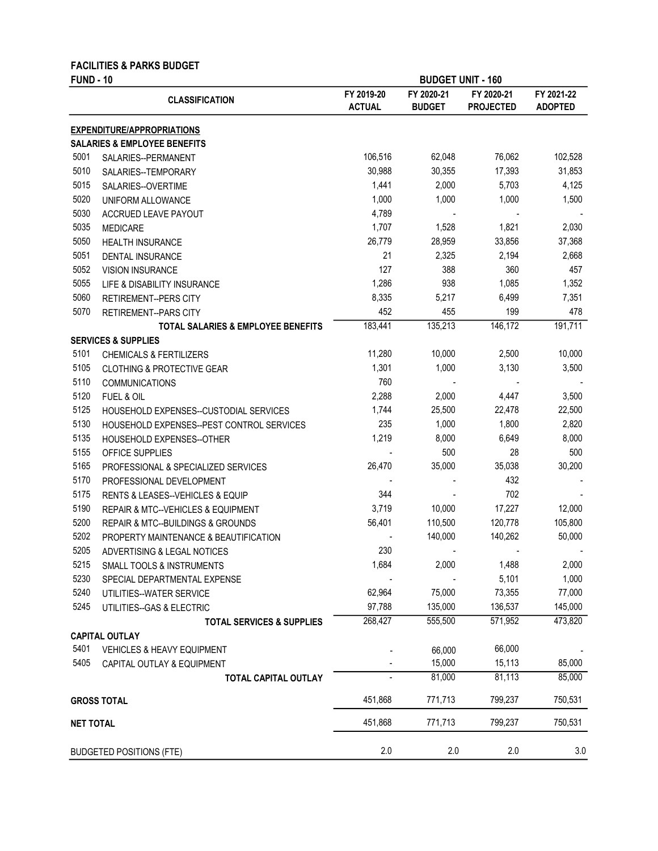| <b>FUND - 10</b> | <b>FACILITIES &amp; PARKS BUDGET</b>          |                             |                             | <b>BUDGET UNIT - 160</b>       |                              |
|------------------|-----------------------------------------------|-----------------------------|-----------------------------|--------------------------------|------------------------------|
|                  | <b>CLASSIFICATION</b>                         | FY 2019-20<br><b>ACTUAL</b> | FY 2020-21<br><b>BUDGET</b> | FY 2020-21<br><b>PROJECTED</b> | FY 2021-22<br><b>ADOPTED</b> |
|                  | <b>EXPENDITURE/APPROPRIATIONS</b>             |                             |                             |                                |                              |
|                  | <b>SALARIES &amp; EMPLOYEE BENEFITS</b>       |                             |                             |                                |                              |
| 5001             | SALARIES--PERMANENT                           | 106,516                     | 62,048                      | 76,062                         | 102,528                      |
| 5010             | SALARIES--TEMPORARY                           | 30,988                      | 30,355                      | 17,393                         | 31,853                       |
| 5015             | SALARIES--OVERTIME                            | 1,441                       | 2,000                       | 5,703                          | 4,125                        |
| 5020             | UNIFORM ALLOWANCE                             | 1,000                       | 1,000                       | 1,000                          | 1,500                        |
| 5030             | ACCRUED LEAVE PAYOUT                          | 4,789                       |                             |                                |                              |
| 5035             | <b>MEDICARE</b>                               | 1,707                       | 1,528                       | 1,821                          | 2,030                        |
| 5050             | <b>HEALTH INSURANCE</b>                       | 26,779                      | 28,959                      | 33,856                         | 37,368                       |
| 5051             | DENTAL INSURANCE                              | 21                          | 2,325                       | 2,194                          | 2,668                        |
| 5052             | <b>VISION INSURANCE</b>                       | 127                         | 388                         | 360                            | 457                          |
| 5055             | LIFE & DISABILITY INSURANCE                   | 1,286                       | 938                         | 1,085                          | 1,352                        |
| 5060             | <b>RETIREMENT--PERS CITY</b>                  | 8,335                       | 5,217                       | 6,499                          | 7,351                        |
| 5070             | RETIREMENT--PARS CITY                         | 452                         | 455                         | 199                            | 478                          |
|                  | <b>TOTAL SALARIES &amp; EMPLOYEE BENEFITS</b> | 183,441                     | 135,213                     | 146,172                        | 191,711                      |
|                  | <b>SERVICES &amp; SUPPLIES</b>                |                             |                             |                                |                              |
| 5101             | <b>CHEMICALS &amp; FERTILIZERS</b>            | 11,280                      | 10,000                      | 2,500                          | 10,000                       |
| 5105             | <b>CLOTHING &amp; PROTECTIVE GEAR</b>         | 1,301                       | 1,000                       | 3,130                          | 3,500                        |
| 5110             | <b>COMMUNICATIONS</b>                         | 760                         |                             |                                |                              |
| 5120             | <b>FUEL &amp; OIL</b>                         | 2,288                       | 2,000                       | 4,447                          | 3,500                        |
| 5125             | HOUSEHOLD EXPENSES--CUSTODIAL SERVICES        | 1,744                       | 25,500                      | 22,478                         | 22,500                       |
| 5130             |                                               | 235                         | 1,000                       | 1,800                          | 2,820                        |
| 5135             | HOUSEHOLD EXPENSES--PEST CONTROL SERVICES     | 1,219                       | 8,000                       | 6,649                          | 8,000                        |
|                  | HOUSEHOLD EXPENSES--OTHER                     |                             | 500                         | 28                             | 500                          |
| 5155             | OFFICE SUPPLIES                               |                             |                             |                                |                              |
| 5165             | PROFESSIONAL & SPECIALIZED SERVICES           | 26,470                      | 35,000                      | 35,038                         | 30,200                       |
| 5170             | PROFESSIONAL DEVELOPMENT                      |                             |                             | 432                            |                              |
| 5175             | RENTS & LEASES--VEHICLES & EQUIP              | 344                         |                             | 702                            |                              |
| 5190             | REPAIR & MTC--VEHICLES & EQUIPMENT            | 3,719                       | 10,000                      | 17,227                         | 12,000                       |
| 5200             | REPAIR & MTC--BUILDINGS & GROUNDS             | 56,401                      | 110,500                     | 120,778                        | 105,800                      |
| 5202             | PROPERTY MAINTENANCE & BEAUTIFICATION         |                             | 140.000                     | 140,262                        | 50.000                       |
| 5205             | ADVERTISING & LEGAL NOTICES                   | 230                         |                             |                                |                              |
| 5215             | SMALL TOOLS & INSTRUMENTS                     | 1,684                       | 2,000                       | 1,488                          | 2,000                        |
| 5230             | SPECIAL DEPARTMENTAL EXPENSE                  |                             |                             | 5,101                          | 1,000                        |
| 5240             | UTILITIES--WATER SERVICE                      | 62,964                      | 75,000                      | 73,355                         | 77,000                       |
| 5245             | UTILITIES--GAS & ELECTRIC                     | 97,788                      | 135,000                     | 136,537                        | 145,000                      |
|                  | <b>TOTAL SERVICES &amp; SUPPLIES</b>          | 268,427                     | 555,500                     | 571,952                        | 473,820                      |
|                  | <b>CAPITAL OUTLAY</b>                         |                             |                             |                                |                              |
| 5401             | <b>VEHICLES &amp; HEAVY EQUIPMENT</b>         |                             | 66,000                      | 66,000                         |                              |
| 5405             | CAPITAL OUTLAY & EQUIPMENT                    |                             | 15,000                      | 15,113                         | 85,000                       |
|                  | <b>TOTAL CAPITAL OUTLAY</b>                   |                             | 81,000                      | 81,113                         | 85,000                       |
|                  | <b>GROSS TOTAL</b>                            | 451,868                     | 771,713                     | 799,237                        | 750,531                      |
| <b>NET TOTAL</b> |                                               | 451,868                     | 771,713                     | 799,237                        | 750,531                      |
|                  | <b>BUDGETED POSITIONS (FTE)</b>               | 2.0                         | 2.0                         | 2.0                            | 3.0                          |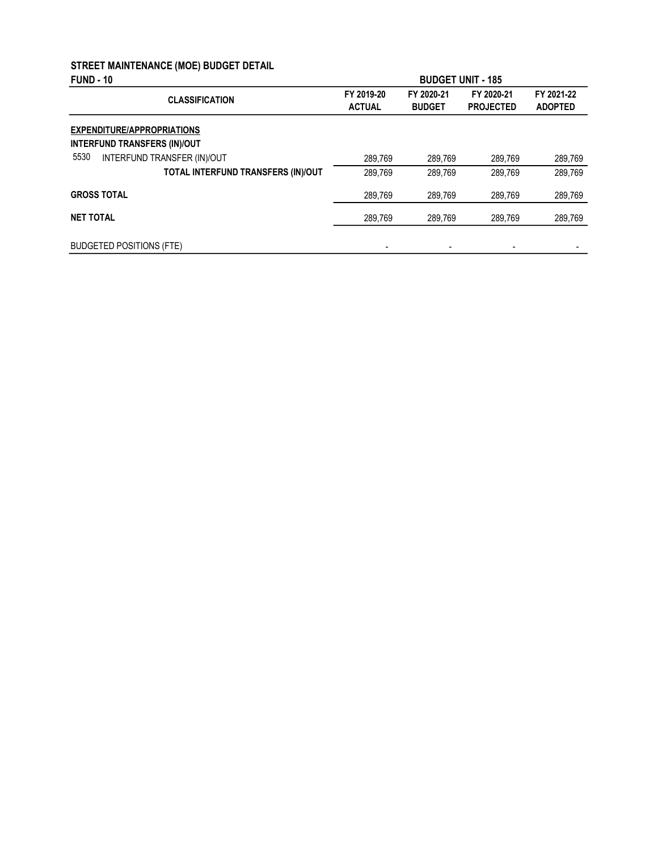# STREET MAINTENANCE (MOE) BUDGET DETAIL

| <b>FUND - 10</b>                                                         |                             |                             | <b>BUDGET UNIT - 185</b>       |                              |
|--------------------------------------------------------------------------|-----------------------------|-----------------------------|--------------------------------|------------------------------|
| <b>CLASSIFICATION</b>                                                    | FY 2019-20<br><b>ACTUAL</b> | FY 2020-21<br><b>BUDGET</b> | FY 2020-21<br><b>PROJECTED</b> | FY 2021-22<br><b>ADOPTED</b> |
| <b>EXPENDITURE/APPROPRIATIONS</b><br><b>INTERFUND TRANSFERS (IN)/OUT</b> |                             |                             |                                |                              |
| 5530<br>INTERFUND TRANSFER (IN)/OUT                                      | 289.769                     | 289,769                     | 289,769                        | 289,769                      |
| TOTAL INTERFUND TRANSFERS (IN)/OUT                                       | 289.769                     | 289.769                     | 289.769                        | 289.769                      |
| <b>GROSS TOTAL</b>                                                       | 289.769                     | 289.769                     | 289.769                        | 289,769                      |
| <b>NET TOTAL</b>                                                         | 289.769                     | 289.769                     | 289.769                        | 289,769                      |
| <b>BUDGETED POSITIONS (FTE)</b>                                          |                             |                             |                                |                              |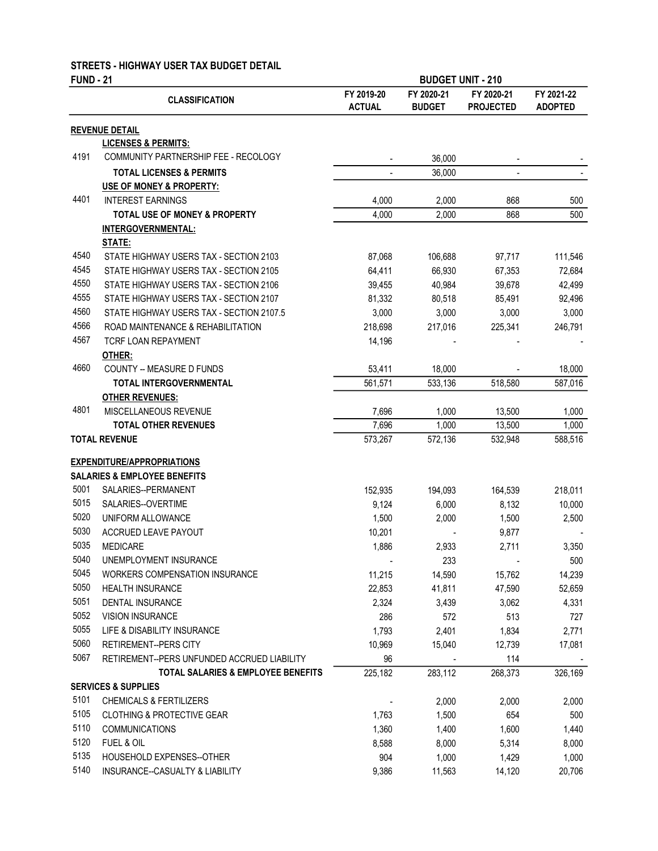### STREETS - HIGHWAY USER TAX BUDGET DETAIL

### FUND - 21

| <b>FUND - 21</b> |                                               |                             | <b>BUDGET UNIT - 210</b>    |                                |                              |
|------------------|-----------------------------------------------|-----------------------------|-----------------------------|--------------------------------|------------------------------|
|                  | <b>CLASSIFICATION</b>                         | FY 2019-20<br><b>ACTUAL</b> | FY 2020-21<br><b>BUDGET</b> | FY 2020-21<br><b>PROJECTED</b> | FY 2021-22<br><b>ADOPTED</b> |
|                  | <b>REVENUE DETAIL</b>                         |                             |                             |                                |                              |
|                  | <b>LICENSES &amp; PERMITS:</b>                |                             |                             |                                |                              |
| 4191             | COMMUNITY PARTNERSHIP FEE - RECOLOGY          | $\overline{\phantom{a}}$    | 36,000                      | $\overline{\phantom{a}}$       |                              |
|                  | <b>TOTAL LICENSES &amp; PERMITS</b>           | $\blacksquare$              | 36,000                      |                                |                              |
|                  | USE OF MONEY & PROPERTY:                      |                             |                             |                                |                              |
| 4401             | <b>INTEREST EARNINGS</b>                      | 4,000                       | 2,000                       | 868                            | 500                          |
|                  | <b>TOTAL USE OF MONEY &amp; PROPERTY</b>      | 4,000                       | 2,000                       | 868                            | 500                          |
|                  | <b>INTERGOVERNMENTAL:</b>                     |                             |                             |                                |                              |
|                  | <b>STATE:</b>                                 |                             |                             |                                |                              |
| 4540             | STATE HIGHWAY USERS TAX - SECTION 2103        | 87,068                      | 106,688                     | 97,717                         | 111,546                      |
| 4545             | STATE HIGHWAY USERS TAX - SECTION 2105        | 64,411                      | 66,930                      | 67,353                         | 72,684                       |
| 4550             | STATE HIGHWAY USERS TAX - SECTION 2106        | 39,455                      | 40,984                      | 39,678                         | 42,499                       |
| 4555             | STATE HIGHWAY USERS TAX - SECTION 2107        | 81,332                      | 80,518                      | 85,491                         | 92,496                       |
| 4560             | STATE HIGHWAY USERS TAX - SECTION 2107.5      | 3,000                       | 3,000                       | 3,000                          | 3,000                        |
| 4566             | ROAD MAINTENANCE & REHABILITATION             | 218,698                     | 217,016                     | 225,341                        | 246,791                      |
| 4567             | TCRF LOAN REPAYMENT                           | 14,196                      |                             |                                |                              |
|                  | OTHER:                                        |                             |                             |                                |                              |
| 4660             | COUNTY -- MEASURE D FUNDS                     | 53,411                      | 18,000                      |                                | 18,000                       |
|                  | TOTAL INTERGOVERNMENTAL                       | 561,571                     | 533,136                     | 518,580                        | 587,016                      |
|                  | <b>OTHER REVENUES:</b>                        |                             |                             |                                |                              |
| 4801             | MISCELLANEOUS REVENUE                         | 7,696                       | 1,000                       | 13,500                         | 1,000                        |
|                  | <b>TOTAL OTHER REVENUES</b>                   | 7,696                       | 1,000                       | 13,500                         | 1,000                        |
|                  | <b>TOTAL REVENUE</b>                          | 573,267                     | 572,136                     | 532,948                        | 588,516                      |
|                  | <b>EXPENDITURE/APPROPRIATIONS</b>             |                             |                             |                                |                              |
|                  | <b>SALARIES &amp; EMPLOYEE BENEFITS</b>       |                             |                             |                                |                              |
| 5001             | SALARIES--PERMANENT                           | 152,935                     | 194,093                     | 164,539                        | 218,011                      |
| 5015             | SALARIES--OVERTIME                            | 9,124                       | 6,000                       | 8,132                          | 10,000                       |
| 5020             | UNIFORM ALLOWANCE                             | 1,500                       | 2,000                       | 1,500                          | 2,500                        |
| 5030             | ACCRUED LEAVE PAYOUT                          | 10,201                      |                             | 9,877                          |                              |
| 5035             | <b>MEDICARE</b>                               | 1,886                       | 2,933                       | 2,711                          | 3,350                        |
| 5040             | UNEMPLOYMENT INSURANCE                        |                             | 233                         |                                | 500                          |
| 5045             | WORKERS COMPENSATION INSURANCE                | 11,215                      | 14,590                      | 15,762                         | 14,239                       |
| 5050             | <b>HEALTH INSURANCE</b>                       | 22,853                      | 41,811                      | 47,590                         | 52,659                       |
| 5051             | DENTAL INSURANCE                              | 2,324                       | 3,439                       | 3,062                          | 4,331                        |
| 5052             | <b>VISION INSURANCE</b>                       | 286                         | 572                         | 513                            | 727                          |
| 5055             | LIFE & DISABILITY INSURANCE                   | 1,793                       | 2,401                       | 1,834                          | 2,771                        |
| 5060             | RETIREMENT--PERS CITY                         | 10,969                      | 15,040                      | 12,739                         | 17,081                       |
| 5067             | RETIREMENT--PERS UNFUNDED ACCRUED LIABILITY   | 96                          |                             | 114                            |                              |
|                  | <b>TOTAL SALARIES &amp; EMPLOYEE BENEFITS</b> | 225,182                     | 283,112                     | 268,373                        | 326,169                      |
|                  | <b>SERVICES &amp; SUPPLIES</b>                |                             |                             |                                |                              |
| 5101             | <b>CHEMICALS &amp; FERTILIZERS</b>            |                             | 2,000                       | 2,000                          | 2,000                        |
| 5105             | <b>CLOTHING &amp; PROTECTIVE GEAR</b>         | 1,763                       | 1,500                       | 654                            | 500                          |
| 5110             | <b>COMMUNICATIONS</b>                         | 1,360                       | 1,400                       | 1,600                          | 1,440                        |
| 5120             | FUEL & OIL                                    | 8,588                       | 8,000                       | 5,314                          | 8,000                        |
| 5135             | HOUSEHOLD EXPENSES--OTHER                     | 904                         | 1,000                       | 1,429                          | 1,000                        |
| 5140             | INSURANCE--CASUALTY & LIABILITY               | 9,386                       | 11,563                      | 14,120                         | 20,706                       |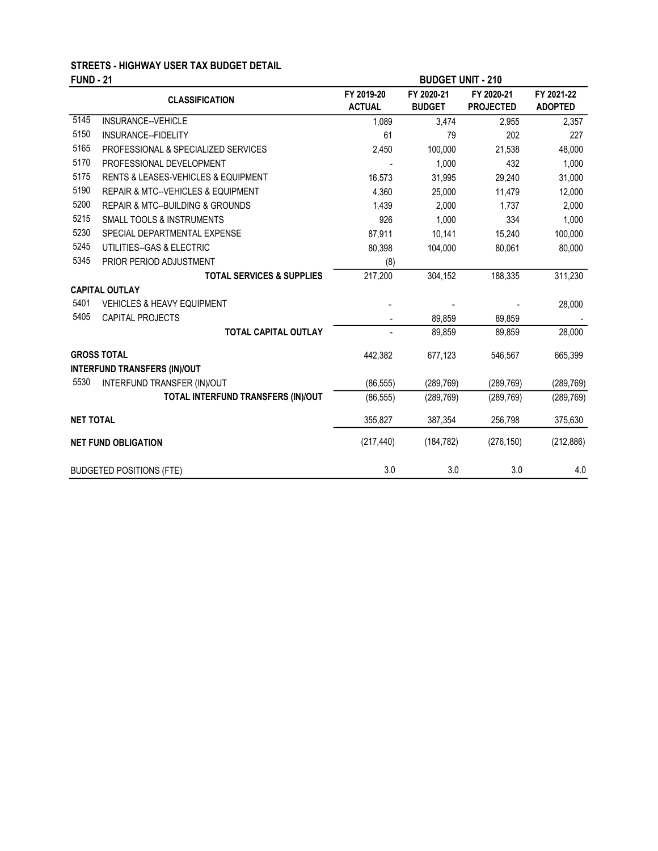# STREETS - HIGHWAY USER TAX BUDGET DETAIL

| <b>FUND - 21</b>  |                                                    | <b>BUDGET UNIT - 210</b>    |                             |                                |                              |
|-------------------|----------------------------------------------------|-----------------------------|-----------------------------|--------------------------------|------------------------------|
|                   | <b>CLASSIFICATION</b>                              | FY 2019-20<br><b>ACTUAL</b> | FY 2020-21<br><b>BUDGET</b> | FY 2020-21<br><b>PROJECTED</b> | FY 2021-22<br><b>ADOPTED</b> |
| $\overline{5145}$ | INSURANCE--VEHICLE                                 | 1,089                       | 3,474                       | 2,955                          | 2,357                        |
| 5150              | INSURANCE--FIDELITY                                | 61                          | 79                          | 202                            | 227                          |
| 5165              | PROFESSIONAL & SPECIALIZED SERVICES                | 2,450                       | 100,000                     | 21,538                         | 48,000                       |
| 5170              | PROFESSIONAL DEVELOPMENT                           |                             | 1,000                       | 432                            | 1,000                        |
| 5175              | <b>RENTS &amp; LEASES-VEHICLES &amp; EQUIPMENT</b> | 16,573                      | 31,995                      | 29,240                         | 31,000                       |
| 5190              | REPAIR & MTC--VEHICLES & EQUIPMENT                 | 4,360                       | 25,000                      | 11,479                         | 12,000                       |
| 5200              | <b>REPAIR &amp; MTC--BUILDING &amp; GROUNDS</b>    | 1,439                       | 2,000                       | 1,737                          | 2,000                        |
| 5215              | <b>SMALL TOOLS &amp; INSTRUMENTS</b>               | 926                         | 1,000                       | 334                            | 1,000                        |
| 5230              | SPECIAL DEPARTMENTAL EXPENSE                       | 87,911                      | 10,141                      | 15,240                         | 100,000                      |
| 5245              | UTILITIES--GAS & ELECTRIC                          | 80,398                      | 104,000                     | 80,061                         | 80,000                       |
| 5345              | PRIOR PERIOD ADJUSTMENT                            | (8)                         |                             |                                |                              |
|                   | <b>TOTAL SERVICES &amp; SUPPLIES</b>               | 217,200                     | 304,152                     | 188,335                        | 311,230                      |
|                   | <b>CAPITAL OUTLAY</b>                              |                             |                             |                                |                              |
| 5401              | <b>VEHICLES &amp; HEAVY EQUIPMENT</b>              |                             |                             |                                | 28,000                       |
| 5405              | CAPITAL PROJECTS                                   |                             | 89,859                      | 89,859                         |                              |
|                   | <b>TOTAL CAPITAL OUTLAY</b>                        |                             | 89,859                      | 89,859                         | 28,000                       |
|                   | <b>GROSS TOTAL</b>                                 | 442,382                     | 677,123                     | 546,567                        | 665,399                      |
|                   | <b>INTERFUND TRANSFERS (IN)/OUT</b>                |                             |                             |                                |                              |
| 5530              | INTERFUND TRANSFER (IN)/OUT                        | (86, 555)                   | (289, 769)                  | (289, 769)                     | (289, 769)                   |
|                   | TOTAL INTERFUND TRANSFERS (IN)/OUT                 | (86, 555)                   | (289, 769)                  | (289, 769)                     | (289, 769)                   |
| <b>NET TOTAL</b>  |                                                    | 355,827                     | 387,354                     | 256,798                        | 375,630                      |
|                   | <b>NET FUND OBLIGATION</b>                         | (217, 440)                  | (184, 782)                  | (276, 150)                     | (212, 886)                   |
|                   | <b>BUDGETED POSITIONS (FTE)</b>                    | 3.0                         | 3.0                         | 3.0                            | 4.0                          |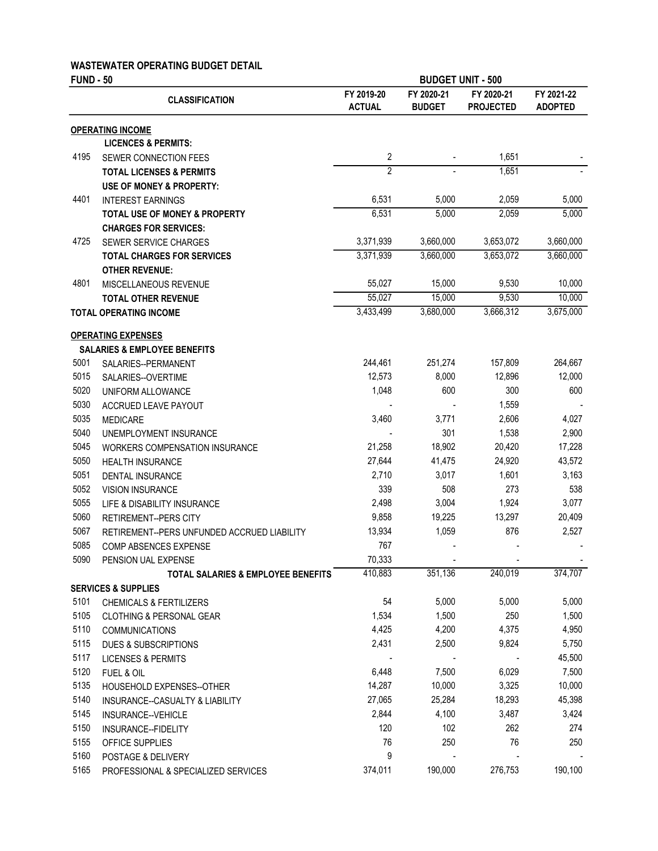#### WASTEWATER OPERATING BUDGET DETAIL

| <b>FUND - 50</b> |                                               | <b>BUDGET UNIT - 500</b>    |                             |                                |                              |
|------------------|-----------------------------------------------|-----------------------------|-----------------------------|--------------------------------|------------------------------|
|                  | <b>CLASSIFICATION</b>                         | FY 2019-20<br><b>ACTUAL</b> | FY 2020-21<br><b>BUDGET</b> | FY 2020-21<br><b>PROJECTED</b> | FY 2021-22<br><b>ADOPTED</b> |
|                  | <b>OPERATING INCOME</b>                       |                             |                             |                                |                              |
|                  | <b>LICENCES &amp; PERMITS:</b>                |                             |                             |                                |                              |
| 4195             | SEWER CONNECTION FEES                         | $\overline{c}$              |                             | 1,651                          |                              |
|                  | <b>TOTAL LICENSES &amp; PERMITS</b>           | $\overline{2}$              |                             | 1,651                          |                              |
|                  | <b>USE OF MONEY &amp; PROPERTY:</b>           |                             |                             |                                |                              |
| 4401             | <b>INTEREST EARNINGS</b>                      | 6,531                       | 5,000                       | 2,059                          | 5,000                        |
|                  | <b>TOTAL USE OF MONEY &amp; PROPERTY</b>      | 6,531                       | 5,000                       | 2,059                          | 5,000                        |
|                  | <b>CHARGES FOR SERVICES:</b>                  |                             |                             |                                |                              |
| 4725             | <b>SEWER SERVICE CHARGES</b>                  | 3,371,939                   | 3,660,000                   | 3,653,072                      | 3,660,000                    |
|                  | <b>TOTAL CHARGES FOR SERVICES</b>             | 3,371,939                   | 3,660,000                   | 3,653,072                      | 3,660,000                    |
|                  | <b>OTHER REVENUE:</b>                         |                             |                             |                                |                              |
| 4801             | MISCELLANEOUS REVENUE                         | 55,027                      | 15,000                      | 9,530                          | 10,000                       |
|                  | <b>TOTAL OTHER REVENUE</b>                    | 55,027                      | 15,000                      | 9,530                          | 10,000                       |
|                  | <b>TOTAL OPERATING INCOME</b>                 | 3,433,499                   | 3,680,000                   | 3,666,312                      | 3,675,000                    |
|                  | <b>OPERATING EXPENSES</b>                     |                             |                             |                                |                              |
|                  | <b>SALARIES &amp; EMPLOYEE BENEFITS</b>       |                             |                             |                                |                              |
| 5001             | SALARIES--PERMANENT                           | 244,461                     | 251,274                     | 157,809                        | 264,667                      |
| 5015             | SALARIES--OVERTIME                            | 12,573                      | 8,000                       | 12,896                         | 12,000                       |
| 5020             | UNIFORM ALLOWANCE                             | 1,048                       | 600                         | 300                            | 600                          |
| 5030             | ACCRUED LEAVE PAYOUT                          |                             |                             | 1,559                          |                              |
| 5035             | <b>MEDICARE</b>                               | 3,460                       | 3,771                       | 2,606                          | 4,027                        |
| 5040             | UNEMPLOYMENT INSURANCE                        |                             | 301                         | 1,538                          | 2,900                        |
| 5045             | <b>WORKERS COMPENSATION INSURANCE</b>         | 21,258                      | 18,902                      | 20,420                         | 17,228                       |
| 5050             | <b>HEALTH INSURANCE</b>                       | 27,644                      | 41,475                      | 24,920                         | 43,572                       |
| 5051             | DENTAL INSURANCE                              | 2,710                       | 3,017                       | 1,601                          | 3,163                        |
| 5052             | <b>VISION INSURANCE</b>                       | 339                         | 508                         | 273                            | 538                          |
| 5055             | LIFE & DISABILITY INSURANCE                   | 2,498                       | 3,004                       | 1,924                          | 3,077                        |
| 5060             | <b>RETIREMENT--PERS CITY</b>                  | 9,858                       | 19,225                      | 13,297                         | 20,409                       |
| 5067             | RETIREMENT--PERS UNFUNDED ACCRUED LIABILITY   | 13,934                      | 1,059                       | 876                            | 2,527                        |
| 5085             | COMP ABSENCES EXPENSE                         | 767                         |                             |                                |                              |
| 5090             | PENSION UAL EXPENSE                           | 70,333                      |                             |                                |                              |
|                  | <b>TOTAL SALARIES &amp; EMPLOYEE BENEFITS</b> | 410,883                     | 351,136                     | 240,019                        | 374,707                      |
|                  | <b>SERVICES &amp; SUPPLIES</b>                |                             |                             |                                |                              |
| 5101             | <b>CHEMICALS &amp; FERTILIZERS</b>            | 54                          | 5,000                       | 5,000                          | 5,000                        |
| 5105             | <b>CLOTHING &amp; PERSONAL GEAR</b>           | 1,534                       | 1,500                       | 250                            | 1,500                        |
| 5110             | <b>COMMUNICATIONS</b>                         | 4,425                       | 4,200                       | 4,375                          | 4,950                        |
| 5115             | <b>DUES &amp; SUBSCRIPTIONS</b>               | 2,431                       | 2,500                       | 9,824                          | 5,750                        |
| 5117             | <b>LICENSES &amp; PERMITS</b>                 |                             |                             |                                | 45,500                       |
| 5120             | FUEL & OIL                                    | 6,448                       | 7,500                       | 6,029                          | 7,500                        |
| 5135             | HOUSEHOLD EXPENSES--OTHER                     | 14,287                      | 10,000                      | 3,325                          | 10,000                       |
| 5140             | INSURANCE--CASUALTY & LIABILITY               | 27,065                      | 25,284                      | 18,293                         | 45,398                       |
| 5145             | INSURANCE--VEHICLE                            | 2,844                       | 4,100                       | 3,487                          | 3,424                        |
| 5150             | INSURANCE--FIDELITY                           | 120                         | 102                         | 262                            | 274                          |
| 5155             | OFFICE SUPPLIES                               | 76                          | 250                         | 76                             | 250                          |

5160 POSTAGE & DELIVERY 9 - - - 5165 PROFESSIONAL & SPECIALIZED SERVICES 374,011 190,000 276,753 190,100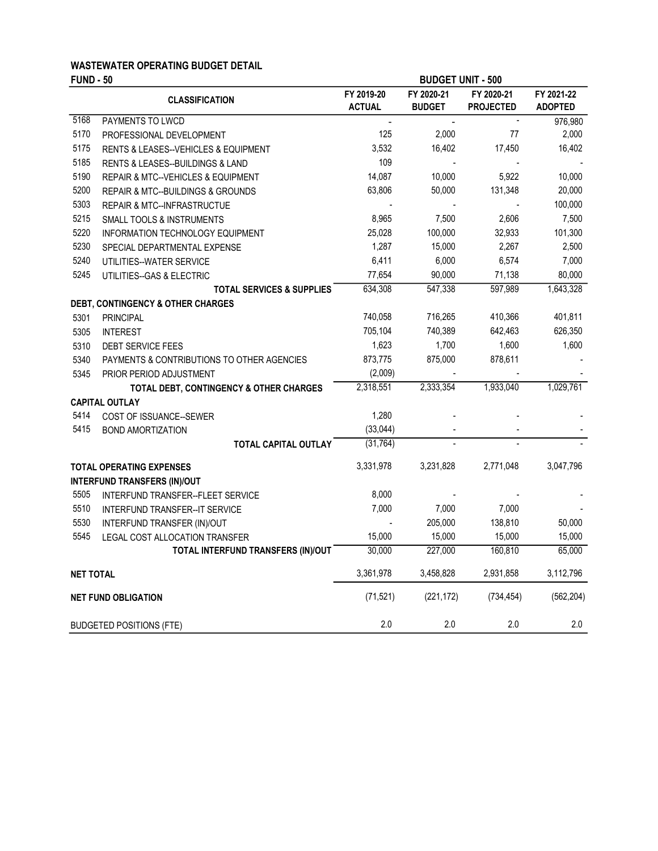# WASTEWATER OPERATING BUDGET DETAIL

|                  | <b>FUND - 50</b>                                    |                             | <b>BUDGET UNIT - 500</b>    |                                |                              |  |
|------------------|-----------------------------------------------------|-----------------------------|-----------------------------|--------------------------------|------------------------------|--|
|                  | <b>CLASSIFICATION</b>                               | FY 2019-20<br><b>ACTUAL</b> | FY 2020-21<br><b>BUDGET</b> | FY 2020-21<br><b>PROJECTED</b> | FY 2021-22<br><b>ADOPTED</b> |  |
| 5168             | PAYMENTS TO LWCD                                    | $\overline{a}$              | $\blacksquare$              | $\overline{\phantom{a}}$       | 976,980                      |  |
| 5170             | PROFESSIONAL DEVELOPMENT                            | 125                         | 2,000                       | 77                             | 2,000                        |  |
| 5175             | <b>RENTS &amp; LEASES--VEHICLES &amp; EQUIPMENT</b> | 3,532                       | 16,402                      | 17,450                         | 16,402                       |  |
| 5185             | RENTS & LEASES--BUILDINGS & LAND                    | 109                         |                             |                                |                              |  |
| 5190             | <b>REPAIR &amp; MTC--VEHICLES &amp; EQUIPMENT</b>   | 14,087                      | 10,000                      | 5,922                          | 10,000                       |  |
| 5200             | REPAIR & MTC--BUILDINGS & GROUNDS                   | 63,806                      | 50,000                      | 131,348                        | 20,000                       |  |
| 5303             | REPAIR & MTC--INFRASTRUCTUE                         |                             |                             |                                | 100,000                      |  |
| 5215             | <b>SMALL TOOLS &amp; INSTRUMENTS</b>                | 8,965                       | 7,500                       | 2,606                          | 7,500                        |  |
| 5220             | INFORMATION TECHNOLOGY EQUIPMENT                    | 25,028                      | 100,000                     | 32,933                         | 101,300                      |  |
| 5230             | SPECIAL DEPARTMENTAL EXPENSE                        | 1,287                       | 15,000                      | 2,267                          | 2,500                        |  |
| 5240             | UTILITIES--WATER SERVICE                            | 6,411                       | 6,000                       | 6,574                          | 7,000                        |  |
| 5245             | UTILITIES--GAS & ELECTRIC                           | 77,654                      | 90,000                      | 71,138                         | 80,000                       |  |
|                  | <b>TOTAL SERVICES &amp; SUPPLIES</b>                | 634,308                     | 547,338                     | 597,989                        | 1,643,328                    |  |
|                  | <b>DEBT, CONTINGENCY &amp; OTHER CHARGES</b>        |                             |                             |                                |                              |  |
| 5301             | <b>PRINCIPAL</b>                                    | 740,058                     | 716,265                     | 410,366                        | 401,811                      |  |
| 5305             | <b>INTEREST</b>                                     | 705,104                     | 740,389                     | 642,463                        | 626,350                      |  |
| 5310             | <b>DEBT SERVICE FEES</b>                            | 1,623                       | 1,700                       | 1,600                          | 1,600                        |  |
| 5340             | PAYMENTS & CONTRIBUTIONS TO OTHER AGENCIES          | 873,775                     | 875,000                     | 878,611                        |                              |  |
| 5345             | PRIOR PERIOD ADJUSTMENT                             | (2,009)                     |                             |                                |                              |  |
|                  | TOTAL DEBT, CONTINGENCY & OTHER CHARGES             | 2,318,551                   | 2,333,354                   | 1,933,040                      | 1,029,761                    |  |
|                  | <b>CAPITAL OUTLAY</b>                               |                             |                             |                                |                              |  |
| 5414             | COST OF ISSUANCE--SEWER                             | 1,280                       |                             |                                |                              |  |
| 5415             | <b>BOND AMORTIZATION</b>                            | (33, 044)                   |                             |                                |                              |  |
|                  | <b>TOTAL CAPITAL OUTLAY</b>                         | (31, 764)                   |                             |                                |                              |  |
|                  | <b>TOTAL OPERATING EXPENSES</b>                     | 3,331,978                   | 3,231,828                   | 2,771,048                      | 3,047,796                    |  |
|                  | <b>INTERFUND TRANSFERS (IN)/OUT</b>                 |                             |                             |                                |                              |  |
| 5505             | INTERFUND TRANSFER--FLEET SERVICE                   | 8,000                       |                             |                                |                              |  |
| 5510             | INTERFUND TRANSFER--IT SERVICE                      | 7,000                       | 7,000                       | 7,000                          |                              |  |
| 5530             | INTERFUND TRANSFER (IN)/OUT                         |                             | 205,000                     | 138,810                        | 50,000                       |  |
| 5545             | LEGAL COST ALLOCATION TRANSFER                      | 15,000                      | 15,000                      | 15,000                         | 15,000                       |  |
|                  | TOTAL INTERFUND TRANSFERS (IN)/OUT                  | 30,000                      | 227,000                     | 160,810                        | 65,000                       |  |
| <b>NET TOTAL</b> |                                                     | 3,361,978                   | 3,458,828                   | 2,931,858                      | 3,112,796                    |  |
|                  | <b>NET FUND OBLIGATION</b>                          | (71, 521)                   | (221, 172)                  | (734, 454)                     | (562, 204)                   |  |
|                  | <b>BUDGETED POSITIONS (FTE)</b>                     | 2.0                         | 2.0                         | 2.0                            | 2.0                          |  |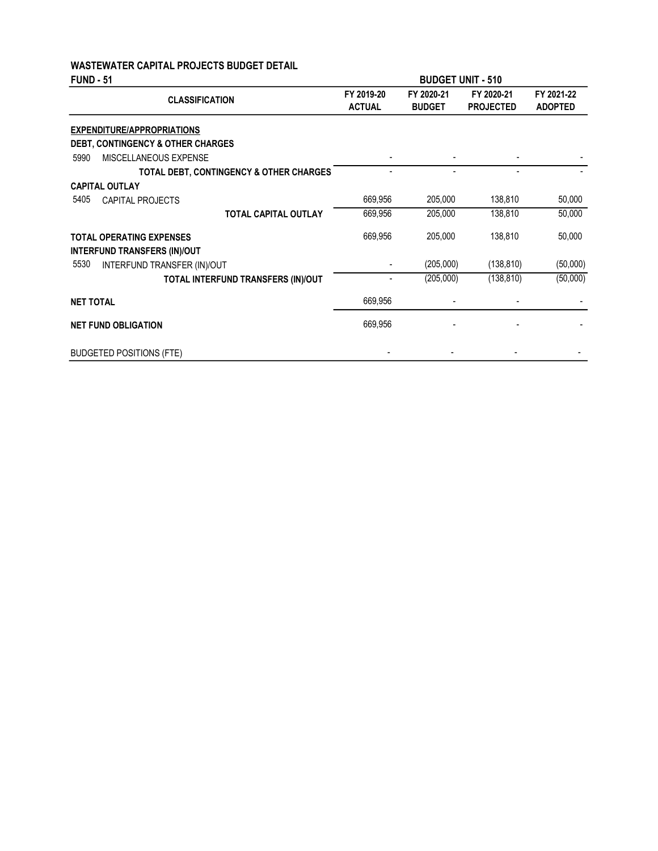### WASTEWATER CAPITAL PROJECTS BUDGET DETAIL

| <b>FUND - 51</b>                        | <b>BUDGET UNIT - 510</b>    |                             |                                |                              |
|-----------------------------------------|-----------------------------|-----------------------------|--------------------------------|------------------------------|
| <b>CLASSIFICATION</b>                   | FY 2019-20<br><b>ACTUAL</b> | FY 2020-21<br><b>BUDGET</b> | FY 2020-21<br><b>PROJECTED</b> | FY 2021-22<br><b>ADOPTED</b> |
| <b>EXPENDITURE/APPROPRIATIONS</b>       |                             |                             |                                |                              |
| DEBT, CONTINGENCY & OTHER CHARGES       |                             |                             |                                |                              |
| MISCELLANEOUS EXPENSE<br>5990           |                             |                             |                                |                              |
| TOTAL DEBT, CONTINGENCY & OTHER CHARGES |                             |                             |                                |                              |
| <b>CAPITAL OUTLAY</b>                   |                             |                             |                                |                              |
| 5405<br>CAPITAL PROJECTS                | 669,956                     | 205,000                     | 138,810                        | 50,000                       |
| <b>TOTAL CAPITAL OUTLAY</b>             | 669,956                     | 205,000                     | 138,810                        | 50,000                       |
| <b>TOTAL OPERATING EXPENSES</b>         | 669,956                     | 205,000                     | 138,810                        | 50,000                       |
| <b>INTERFUND TRANSFERS (IN)/OUT</b>     |                             |                             |                                |                              |
| 5530<br>INTERFUND TRANSFER (IN)/OUT     |                             | (205,000)                   | (138, 810)                     | (50,000)                     |
| TOTAL INTERFUND TRANSFERS (IN)/OUT      |                             | (205,000)                   | (138, 810)                     | (50,000)                     |
| <b>NET TOTAL</b>                        | 669,956                     |                             |                                |                              |
| <b>NET FUND OBLIGATION</b>              | 669,956                     |                             |                                |                              |
| <b>BUDGETED POSITIONS (FTE)</b>         |                             |                             |                                |                              |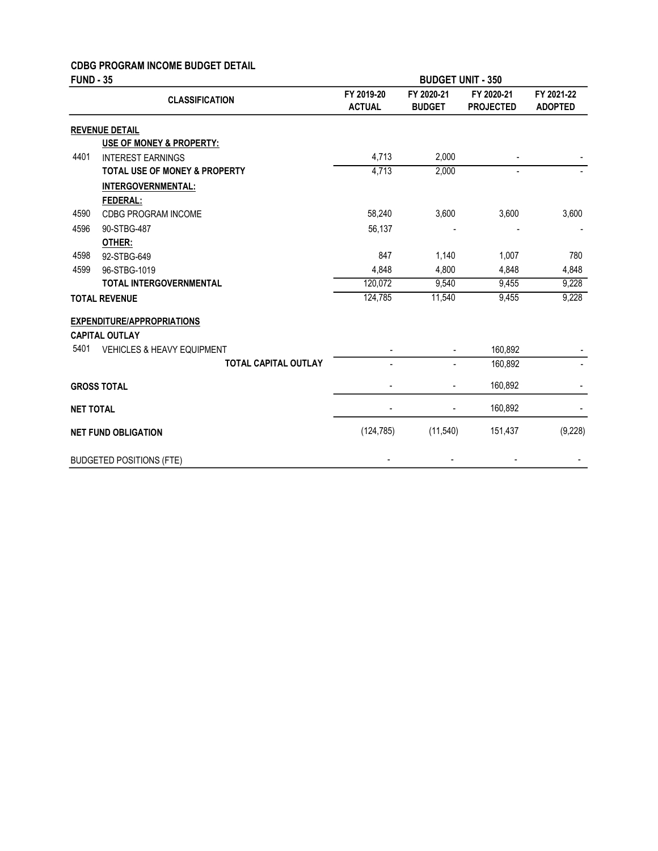### CDBG PROGRAM INCOME BUDGET DETAIL

| <b>FUND - 35</b> |                                       | <b>BUDGET UNIT - 350</b>    |                             |                                |                              |
|------------------|---------------------------------------|-----------------------------|-----------------------------|--------------------------------|------------------------------|
|                  | <b>CLASSIFICATION</b>                 | FY 2019-20<br><b>ACTUAL</b> | FY 2020-21<br><b>BUDGET</b> | FY 2020-21<br><b>PROJECTED</b> | FY 2021-22<br><b>ADOPTED</b> |
|                  | <b>REVENUE DETAIL</b>                 |                             |                             |                                |                              |
|                  | <b>USE OF MONEY &amp; PROPERTY:</b>   |                             |                             |                                |                              |
| 4401             | <b>INTEREST EARNINGS</b>              | 4,713                       | 2,000                       |                                |                              |
|                  | TOTAL USE OF MONEY & PROPERTY         | 4,713                       | 2,000                       | $\blacksquare$                 |                              |
|                  | <b>INTERGOVERNMENTAL:</b>             |                             |                             |                                |                              |
|                  | FEDERAL:                              |                             |                             |                                |                              |
| 4590             | CDBG PROGRAM INCOME                   | 58,240                      | 3,600                       | 3,600                          | 3,600                        |
| 4596             | 90-STBG-487                           | 56,137                      |                             |                                |                              |
|                  | OTHER:                                |                             |                             |                                |                              |
| 4598             | 92-STBG-649                           | 847                         | 1,140                       | 1,007                          | 780                          |
| 4599             | 96-STBG-1019                          | 4,848                       | 4,800                       | 4,848                          | 4,848                        |
|                  | <b>TOTAL INTERGOVERNMENTAL</b>        | 120,072                     | 9,540                       | 9,455                          | 9,228                        |
|                  | <b>TOTAL REVENUE</b>                  | 124,785                     | 11,540                      | 9,455                          | 9,228                        |
|                  | <b>EXPENDITURE/APPROPRIATIONS</b>     |                             |                             |                                |                              |
|                  | <b>CAPITAL OUTLAY</b>                 |                             |                             |                                |                              |
| 5401             | <b>VEHICLES &amp; HEAVY EQUIPMENT</b> |                             |                             | 160,892                        |                              |
|                  | <b>TOTAL CAPITAL OUTLAY</b>           |                             |                             | 160,892                        |                              |
|                  | <b>GROSS TOTAL</b>                    |                             |                             | 160,892                        |                              |
| <b>NET TOTAL</b> |                                       |                             |                             | 160,892                        |                              |
|                  | <b>NET FUND OBLIGATION</b>            | (124, 785)                  | (11,540)                    | 151,437                        | (9,228)                      |
|                  | <b>BUDGETED POSITIONS (FTE)</b>       |                             |                             |                                |                              |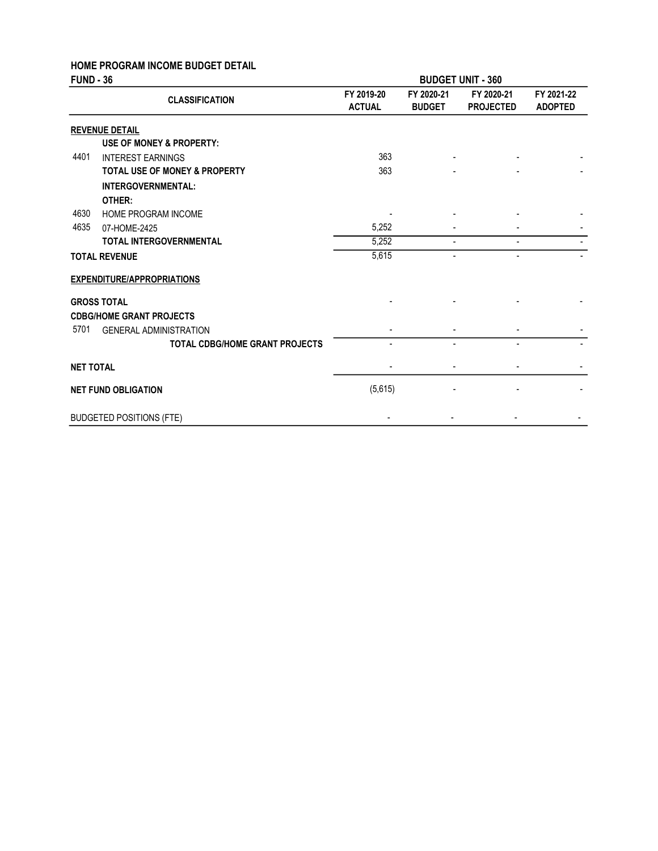# HOME PROGRAM INCOME BUDGET DETAIL

| <b>FUND - 36</b> |                                          | <b>BUDGET UNIT - 360</b>    |                             |                                |                              |
|------------------|------------------------------------------|-----------------------------|-----------------------------|--------------------------------|------------------------------|
|                  | <b>CLASSIFICATION</b>                    | FY 2019-20<br><b>ACTUAL</b> | FY 2020-21<br><b>BUDGET</b> | FY 2020-21<br><b>PROJECTED</b> | FY 2021-22<br><b>ADOPTED</b> |
|                  | <b>REVENUE DETAIL</b>                    |                             |                             |                                |                              |
|                  | USE OF MONEY & PROPERTY:                 |                             |                             |                                |                              |
| 4401             | <b>INTEREST EARNINGS</b>                 | 363                         |                             |                                |                              |
|                  | <b>TOTAL USE OF MONEY &amp; PROPERTY</b> | 363                         |                             |                                |                              |
|                  | <b>INTERGOVERNMENTAL:</b>                |                             |                             |                                |                              |
|                  | OTHER:                                   |                             |                             |                                |                              |
| 4630             | HOME PROGRAM INCOME                      |                             |                             |                                |                              |
| 4635             | 07-HOME-2425                             | 5,252                       |                             |                                |                              |
|                  | <b>TOTAL INTERGOVERNMENTAL</b>           | 5,252                       |                             |                                |                              |
|                  | <b>TOTAL REVENUE</b>                     | 5,615                       | ٠                           | -                              |                              |
|                  | <b>EXPENDITURE/APPROPRIATIONS</b>        |                             |                             |                                |                              |
|                  | <b>GROSS TOTAL</b>                       |                             |                             |                                |                              |
|                  | <b>CDBG/HOME GRANT PROJECTS</b>          |                             |                             |                                |                              |
| 5701             | <b>GENERAL ADMINISTRATION</b>            |                             |                             |                                |                              |
|                  | <b>TOTAL CDBG/HOME GRANT PROJECTS</b>    |                             |                             |                                |                              |
| <b>NET TOTAL</b> |                                          |                             |                             |                                |                              |
|                  | <b>NET FUND OBLIGATION</b>               | (5,615)                     |                             |                                |                              |
|                  | <b>BUDGETED POSITIONS (FTE)</b>          |                             |                             |                                |                              |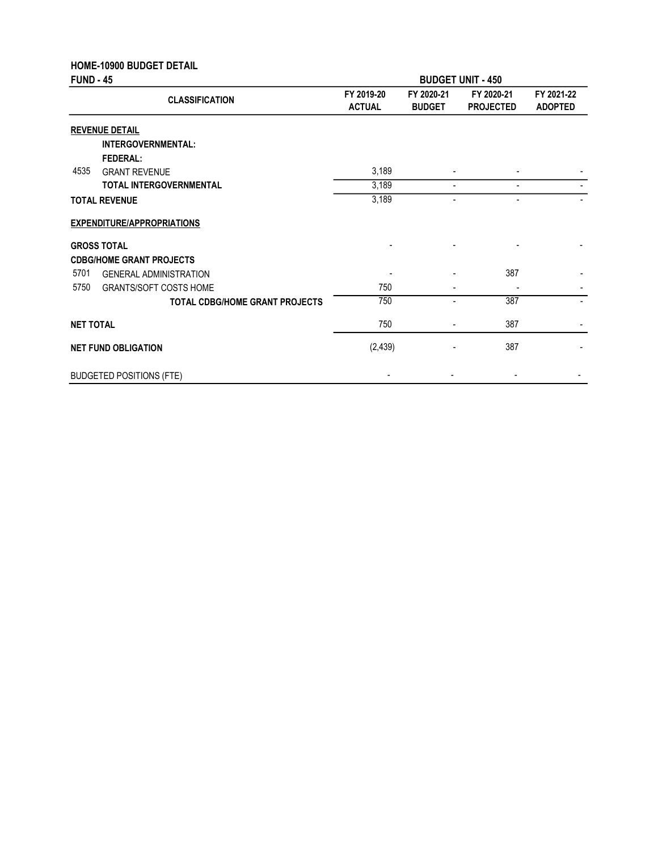|                  | <b>HOME-10900 BUDGET DETAIL</b>       |                             |                             |                                |                              |  |
|------------------|---------------------------------------|-----------------------------|-----------------------------|--------------------------------|------------------------------|--|
| <b>FUND - 45</b> |                                       | <b>BUDGET UNIT - 450</b>    |                             |                                |                              |  |
|                  | <b>CLASSIFICATION</b>                 | FY 2019-20<br><b>ACTUAL</b> | FY 2020-21<br><b>BUDGET</b> | FY 2020-21<br><b>PROJECTED</b> | FY 2021-22<br><b>ADOPTED</b> |  |
|                  | <b>REVENUE DETAIL</b>                 |                             |                             |                                |                              |  |
|                  | INTERGOVERNMENTAL:                    |                             |                             |                                |                              |  |
|                  | <b>FEDERAL:</b>                       |                             |                             |                                |                              |  |
| 4535             | <b>GRANT REVENUE</b>                  | 3,189                       |                             |                                |                              |  |
|                  | <b>TOTAL INTERGOVERNMENTAL</b>        | 3,189                       |                             |                                |                              |  |
|                  | <b>TOTAL REVENUE</b>                  | 3,189                       | $\overline{a}$              | $\overline{\phantom{a}}$       |                              |  |
|                  | <b>EXPENDITURE/APPROPRIATIONS</b>     |                             |                             |                                |                              |  |
|                  | <b>GROSS TOTAL</b>                    |                             |                             |                                |                              |  |
|                  | <b>CDBG/HOME GRANT PROJECTS</b>       |                             |                             |                                |                              |  |
| 5701             | <b>GENERAL ADMINISTRATION</b>         |                             |                             | 387                            |                              |  |
| 5750             | <b>GRANTS/SOFT COSTS HOME</b>         | 750                         |                             |                                |                              |  |
|                  | <b>TOTAL CDBG/HOME GRANT PROJECTS</b> | 750                         | ۰                           | 387                            |                              |  |
| <b>NET TOTAL</b> |                                       | 750                         |                             | 387                            |                              |  |
|                  | <b>NET FUND OBLIGATION</b>            | (2, 439)                    |                             | 387                            |                              |  |
|                  | <b>BUDGETED POSITIONS (FTE)</b>       |                             |                             |                                |                              |  |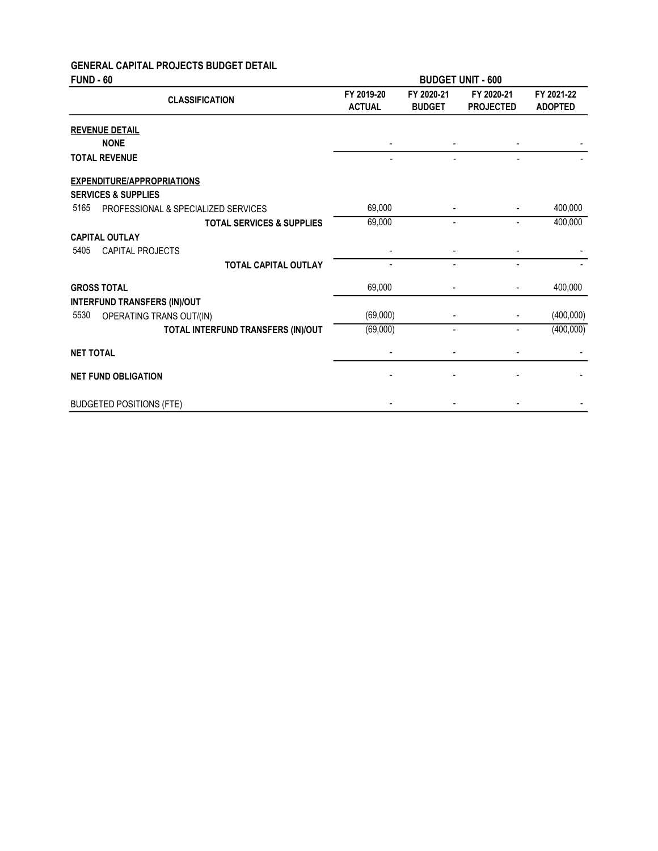# GENERAL CAPITAL PROJECTS BUDGET DETAIL

| <b>FUND - 60</b>                            | <b>BUDGET UNIT - 600</b>    |                             |                                |                              |
|---------------------------------------------|-----------------------------|-----------------------------|--------------------------------|------------------------------|
| <b>CLASSIFICATION</b>                       | FY 2019-20<br><b>ACTUAL</b> | FY 2020-21<br><b>BUDGET</b> | FY 2020-21<br><b>PROJECTED</b> | FY 2021-22<br><b>ADOPTED</b> |
| <b>REVENUE DETAIL</b>                       |                             |                             |                                |                              |
| <b>NONE</b>                                 | $\overline{\phantom{a}}$    |                             |                                |                              |
| <b>TOTAL REVENUE</b>                        |                             |                             |                                |                              |
| <b>EXPENDITURE/APPROPRIATIONS</b>           |                             |                             |                                |                              |
| <b>SERVICES &amp; SUPPLIES</b>              |                             |                             |                                |                              |
| 5165<br>PROFESSIONAL & SPECIALIZED SERVICES | 69,000                      |                             |                                | 400,000                      |
| <b>TOTAL SERVICES &amp; SUPPLIES</b>        | 69,000                      |                             |                                | 400,000                      |
| <b>CAPITAL OUTLAY</b>                       |                             |                             |                                |                              |
| 5405<br><b>CAPITAL PROJECTS</b>             |                             |                             |                                |                              |
| <b>TOTAL CAPITAL OUTLAY</b>                 |                             |                             |                                |                              |
| <b>GROSS TOTAL</b>                          | 69,000                      |                             |                                | 400,000                      |
| <b>INTERFUND TRANSFERS (IN)/OUT</b>         |                             |                             |                                |                              |
| 5530<br>OPERATING TRANS OUT/(IN)            | (69,000)                    |                             |                                | (400,000)                    |
| TOTAL INTERFUND TRANSFERS (IN)/OUT          | (69,000)                    | ۰                           |                                | (400,000)                    |
| <b>NET TOTAL</b>                            |                             |                             |                                |                              |
| <b>NET FUND OBLIGATION</b>                  |                             |                             |                                |                              |
| <b>BUDGETED POSITIONS (FTE)</b>             |                             |                             |                                |                              |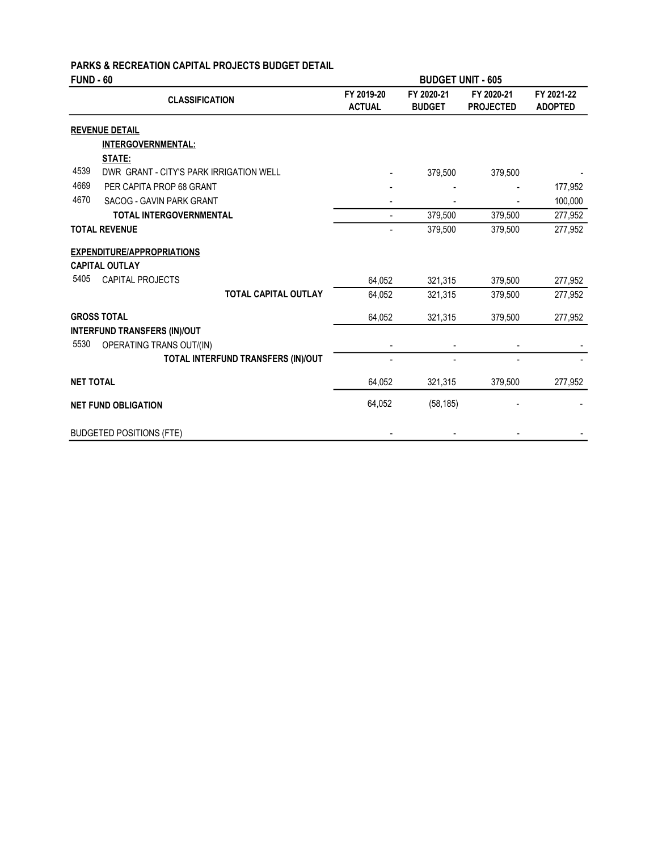# PARKS & RECREATION CAPITAL PROJECTS BUDGET DETAIL

| <b>FUND - 60</b> |                                         | <b>BUDGET UNIT - 605</b>    |                             |                                |                              |
|------------------|-----------------------------------------|-----------------------------|-----------------------------|--------------------------------|------------------------------|
|                  | <b>CLASSIFICATION</b>                   | FY 2019-20<br><b>ACTUAL</b> | FY 2020-21<br><b>BUDGET</b> | FY 2020-21<br><b>PROJECTED</b> | FY 2021-22<br><b>ADOPTED</b> |
|                  | <b>REVENUE DETAIL</b>                   |                             |                             |                                |                              |
|                  | INTERGOVERNMENTAL:                      |                             |                             |                                |                              |
|                  | STATE:                                  |                             |                             |                                |                              |
| 4539             | DWR GRANT - CITY'S PARK IRRIGATION WELL |                             | 379,500                     | 379,500                        |                              |
| 4669             | PER CAPITA PROP 68 GRANT                |                             |                             |                                | 177,952                      |
| 4670             | SACOG - GAVIN PARK GRANT                |                             |                             |                                | 100,000                      |
|                  | <b>TOTAL INTERGOVERNMENTAL</b>          |                             | 379,500                     | 379,500                        | 277,952                      |
|                  | <b>TOTAL REVENUE</b>                    |                             | 379,500                     | 379,500                        | 277,952                      |
|                  | <b>EXPENDITURE/APPROPRIATIONS</b>       |                             |                             |                                |                              |
|                  | <b>CAPITAL OUTLAY</b>                   |                             |                             |                                |                              |
| 5405             | <b>CAPITAL PROJECTS</b>                 | 64,052                      | 321,315                     | 379,500                        | 277,952                      |
|                  | <b>TOTAL CAPITAL OUTLAY</b>             | 64,052                      | 321,315                     | 379,500                        | 277,952                      |
|                  | <b>GROSS TOTAL</b>                      | 64,052                      | 321,315                     | 379,500                        | 277,952                      |
|                  | <b>INTERFUND TRANSFERS (IN)/OUT</b>     |                             |                             |                                |                              |
| 5530             | OPERATING TRANS OUT/(IN)                |                             |                             |                                |                              |
|                  | TOTAL INTERFUND TRANSFERS (IN)/OUT      |                             |                             |                                |                              |
| <b>NET TOTAL</b> |                                         | 64,052                      | 321,315                     | 379,500                        | 277,952                      |
|                  | <b>NET FUND OBLIGATION</b>              | 64,052                      | (58, 185)                   |                                |                              |
|                  | <b>BUDGETED POSITIONS (FTE)</b>         |                             |                             |                                |                              |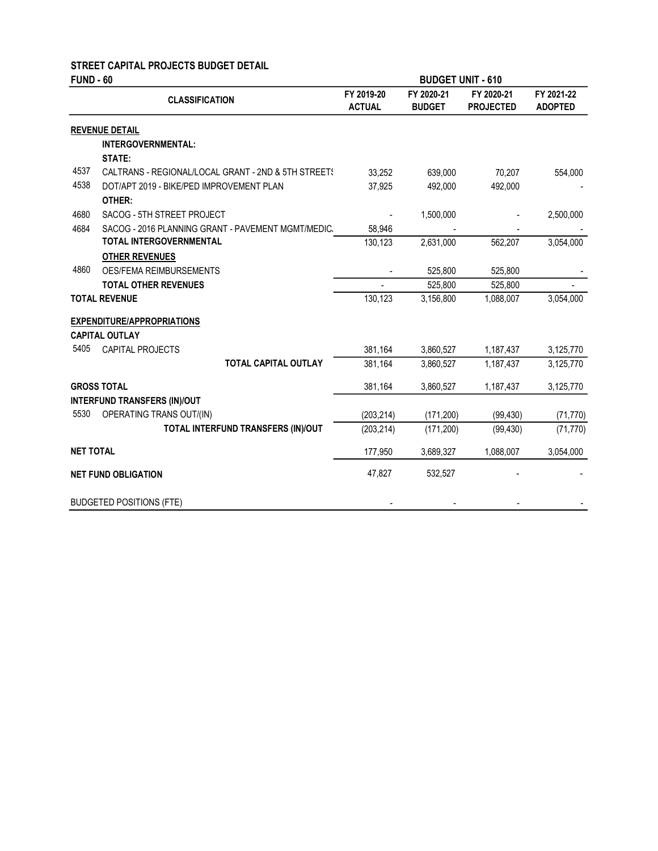### STREET CAPITAL PROJECTS BUDGET DETAIL

| <b>FUND - 60</b> |                                                                 | <b>BUDGET UNIT - 610</b>    |                             |                                |                              |
|------------------|-----------------------------------------------------------------|-----------------------------|-----------------------------|--------------------------------|------------------------------|
|                  | <b>CLASSIFICATION</b>                                           | FY 2019-20<br><b>ACTUAL</b> | FY 2020-21<br><b>BUDGET</b> | FY 2020-21<br><b>PROJECTED</b> | FY 2021-22<br><b>ADOPTED</b> |
|                  | <b>REVENUE DETAIL</b>                                           |                             |                             |                                |                              |
|                  | INTERGOVERNMENTAL:                                              |                             |                             |                                |                              |
|                  | STATE:                                                          |                             |                             |                                |                              |
| 4537             | CALTRANS - REGIONAL/LOCAL GRANT - 2ND & 5TH STREET!             | 33,252                      | 639,000                     | 70,207                         | 554,000                      |
| 4538             | DOT/APT 2019 - BIKE/PED IMPROVEMENT PLAN<br>OTHER:              | 37,925                      | 492,000                     | 492,000                        |                              |
| 4680             | SACOG - 5TH STREET PROJECT                                      |                             | 1,500,000                   |                                | 2,500,000                    |
| 4684             | SACOG - 2016 PLANNING GRANT - PAVEMENT MGMT/MEDIC.              | 58,946                      |                             |                                |                              |
|                  | TOTAL INTERGOVERNMENTAL                                         | 130,123                     | 2,631,000                   | 562,207                        | 3,054,000                    |
|                  | <b>OTHER REVENUES</b>                                           |                             |                             |                                |                              |
| 4860             | OES/FEMA REIMBURSEMENTS                                         |                             | 525,800                     | 525,800                        |                              |
|                  | <b>TOTAL OTHER REVENUES</b>                                     |                             | 525,800                     | 525,800                        |                              |
|                  | <b>TOTAL REVENUE</b>                                            | 130,123                     | 3,156,800                   | 1,088,007                      | 3,054,000                    |
|                  | <b>EXPENDITURE/APPROPRIATIONS</b>                               |                             |                             |                                |                              |
|                  | <b>CAPITAL OUTLAY</b>                                           |                             |                             |                                |                              |
| 5405             | <b>CAPITAL PROJECTS</b>                                         | 381,164                     | 3,860,527                   | 1,187,437                      | 3,125,770                    |
|                  | <b>TOTAL CAPITAL OUTLAY</b>                                     | 381,164                     | 3,860,527                   | 1,187,437                      | 3,125,770                    |
|                  | <b>GROSS TOTAL</b>                                              | 381,164                     | 3,860,527                   | 1,187,437                      | 3,125,770                    |
| 5530             | <b>INTERFUND TRANSFERS (IN)/OUT</b><br>OPERATING TRANS OUT/(IN) | (203, 214)                  | (171, 200)                  | (99, 430)                      | (71, 770)                    |
|                  | TOTAL INTERFUND TRANSFERS (IN)/OUT                              | (203, 214)                  | (171, 200)                  | (99, 430)                      | (71, 770)                    |
| <b>NET TOTAL</b> |                                                                 | 177,950                     | 3,689,327                   | 1,088,007                      | 3,054,000                    |
|                  | <b>NET FUND OBLIGATION</b>                                      | 47,827                      | 532,527                     |                                |                              |
|                  | <b>BUDGETED POSITIONS (FTE)</b>                                 |                             |                             |                                |                              |
|                  |                                                                 |                             |                             |                                |                              |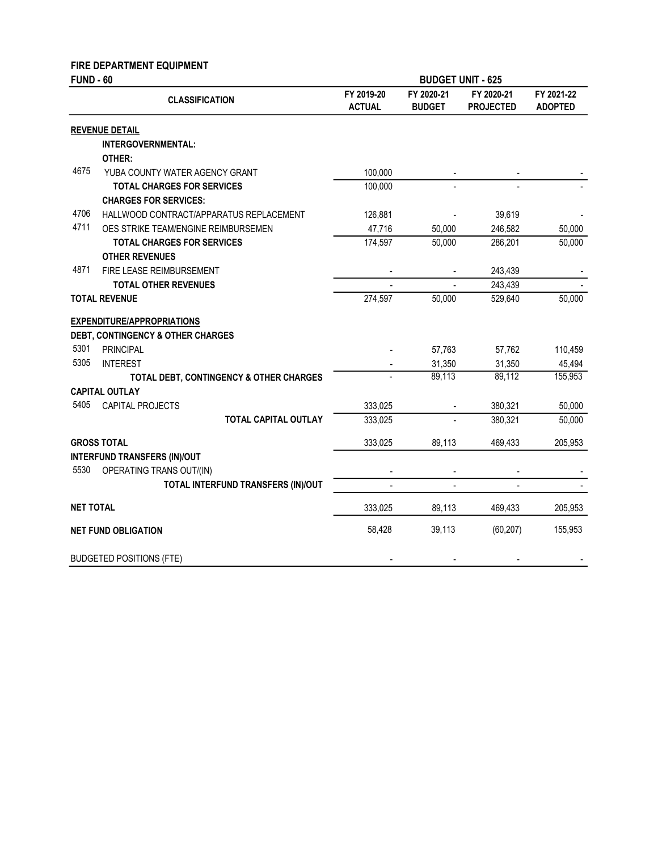### FIRE DEPARTMENT EQUIPMENT

| <b>FUND - 60</b> |                                         |                             | <b>BUDGET UNIT - 625</b>    |                                |                              |
|------------------|-----------------------------------------|-----------------------------|-----------------------------|--------------------------------|------------------------------|
|                  | <b>CLASSIFICATION</b>                   | FY 2019-20<br><b>ACTUAL</b> | FY 2020-21<br><b>BUDGET</b> | FY 2020-21<br><b>PROJECTED</b> | FY 2021-22<br><b>ADOPTED</b> |
|                  | <b>REVENUE DETAIL</b>                   |                             |                             |                                |                              |
|                  | INTERGOVERNMENTAL:                      |                             |                             |                                |                              |
|                  | OTHER:                                  |                             |                             |                                |                              |
| 4675             | YUBA COUNTY WATER AGENCY GRANT          | 100,000                     |                             |                                |                              |
|                  | <b>TOTAL CHARGES FOR SERVICES</b>       | 100,000                     |                             |                                |                              |
|                  | <b>CHARGES FOR SERVICES:</b>            |                             |                             |                                |                              |
| 4706             | HALLWOOD CONTRACT/APPARATUS REPLACEMENT | 126,881                     |                             | 39,619                         |                              |
| 4711             | OES STRIKE TEAM/ENGINE REIMBURSEMEN     | 47,716                      | 50,000                      | 246,582                        | 50,000                       |
|                  | <b>TOTAL CHARGES FOR SERVICES</b>       | 174,597                     | 50,000                      | 286,201                        | 50,000                       |
|                  | <b>OTHER REVENUES</b>                   |                             |                             |                                |                              |
| 4871             | FIRE LEASE REIMBURSEMENT                |                             |                             | 243,439                        |                              |
|                  | <b>TOTAL OTHER REVENUES</b>             |                             |                             | 243,439                        |                              |
|                  | <b>TOTAL REVENUE</b>                    | 274,597                     | 50,000                      | 529,640                        | 50,000                       |
|                  | <b>EXPENDITURE/APPROPRIATIONS</b>       |                             |                             |                                |                              |
|                  | DEBT, CONTINGENCY & OTHER CHARGES       |                             |                             |                                |                              |
| 5301             | <b>PRINCIPAL</b>                        |                             | 57,763                      | 57,762                         | 110,459                      |
| 5305             | <b>INTEREST</b>                         |                             | 31,350                      | 31,350                         | 45,494                       |
|                  | TOTAL DEBT, CONTINGENCY & OTHER CHARGES |                             | 89,113                      | 89,112                         | 155,953                      |
|                  | <b>CAPITAL OUTLAY</b>                   |                             |                             |                                |                              |
| 5405             | CAPITAL PROJECTS                        | 333,025                     |                             | 380,321                        | 50,000                       |
|                  | <b>TOTAL CAPITAL OUTLAY</b>             | 333,025                     |                             | 380,321                        | 50,000                       |
|                  | <b>GROSS TOTAL</b>                      | 333,025                     | 89,113                      | 469,433                        | 205,953                      |
|                  | <b>INTERFUND TRANSFERS (IN)/OUT</b>     |                             |                             |                                |                              |
| 5530             | OPERATING TRANS OUT/(IN)                |                             |                             |                                |                              |
|                  | TOTAL INTERFUND TRANSFERS (IN)/OUT      |                             |                             |                                |                              |
| <b>NET TOTAL</b> |                                         | 333,025                     | 89,113                      | 469,433                        | 205,953                      |
|                  | <b>NET FUND OBLIGATION</b>              | 58,428                      | 39,113                      | (60, 207)                      | 155,953                      |
|                  | <b>BUDGETED POSITIONS (FTE)</b>         |                             |                             |                                |                              |
|                  |                                         |                             |                             |                                |                              |